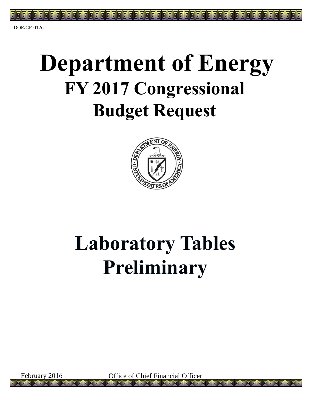# **Department of Energy FY 2017 Congressional Budget Request**



## **Laboratory Tables Preliminary**

February 2016 Office of Chief Financial Officer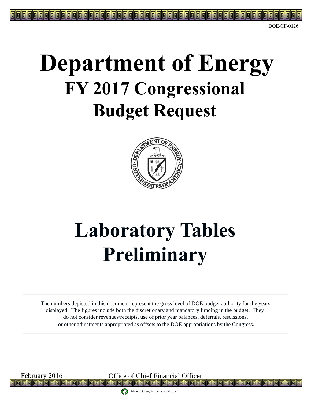DOE/CF-0126

# **Department of Energy FY 2017 Congressional Budget Request**



# **Laboratory Tables Preliminary**

The numbers depicted in this document represent the gross level of DOE budget authority for the years displayed. The figures include both the discretionary and mandatory funding in the budget. They do not consider revenues/receipts, use of prior year balances, deferrals, rescissions, or other adjustments appropriated as offsets to the DOE appropriations by the Congress**.**

February 2016 Office of Chief Financial Officer

Printed with soy ink on recycled paper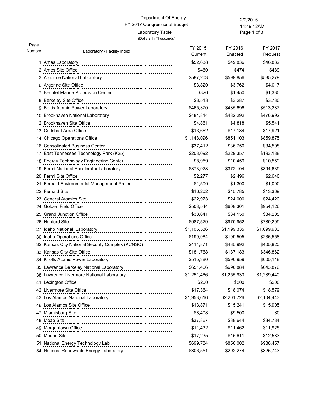Page 1 of 3 11:49:12AM

| Page<br>Number |                                                                                                                    | FY 2015     | FY 2016     | FY 2017     |
|----------------|--------------------------------------------------------------------------------------------------------------------|-------------|-------------|-------------|
|                | Laboratory / Facility Index                                                                                        | Current     | Enacted     | Request     |
|                | 1 Ames Laboratory                                                                                                  | \$52,638    | \$49,836    | \$46,832    |
|                | 2 Ames Site Office                                                                                                 | \$460       | \$474       | \$489       |
|                | 3 Argonne National Laboratory<br>1990 - Processor Processor Productional Property Production Production Production | \$587,203   | \$599,856   | \$585,279   |
|                | 6 Argonne Site Office                                                                                              | \$3,820     | \$3,762     | \$4,017     |
|                | 7 Bechtel Marine Propulsion Center<br>----------------------------                                                 | \$826       | \$1,450     | \$1,330     |
|                | 8 Berkeley Site Office                                                                                             | \$3,513     | \$3,287     | \$3,730     |
|                | 9 Bettis Atomic Power Laboratory                                                                                   | \$465,370   | \$485,696   | \$513,287   |
|                | 10 Brookhaven National Laboratory                                                                                  | \$484,814   | \$482,292   | \$476,992   |
|                | 12 Brookhaven Site Office                                                                                          | \$4,861     | \$4,818     | \$5,541     |
|                | 13 Carlsbad Area Office                                                                                            | \$13,662    | \$17,184    | \$17,921    |
|                | 14 Chicago Operations Office<br>-----------------------------------                                                | \$1,148,096 | \$851,103   | \$859,875   |
|                | 16 Consolidated Business Center                                                                                    | \$37,412    | \$36,750    | \$34,508    |
|                | 17 East Tennessee Technology Park (K25)                                                                            | \$208,092   | \$229,357   | \$193,188   |
|                | 18 Energy Technology Engineering Center<br>----------------------                                                  | \$8,959     | \$10,459    | \$10,559    |
|                | 19 Fermi National Accelerator Laboratory<br>19 Fermi National Accelerator Laboratory                               | \$373,928   | \$372,104   | \$394,639   |
|                | 20 Fermi Site Office                                                                                               | \$2,277     | \$2,496     | \$2,640     |
|                | 21 Fernald Environmental Management Project                                                                        | \$1,500     | \$1,300     | \$1,000     |
|                | 22 Fernald Site                                                                                                    | \$16,202    | \$15,785    | \$13,369    |
|                | 23 General Atomics Site                                                                                            | \$22,973    | \$24,000    | \$24,420    |
|                | 24 Golden Field Office                                                                                             | \$508,544   | \$608,301   | \$954,126   |
|                | 25 Grand Junction Office                                                                                           | \$33,641    | \$34,150    | \$34,205    |
|                | 26 Hanford Site                                                                                                    | \$987,529   | \$970,952   | \$780,299   |
|                | 27 Idaho National Laboratory<br>                                                                                   | \$1,105,586 | \$1,199,335 | \$1,099,903 |
|                | 30 Idaho Operations Office<br>.                                                                                    | \$199,984   | \$199,505   | \$236,558   |
|                | 32 Kansas City National Security Complex (KCNSC)                                                                   | \$414,871   | \$435,992   | \$405,820   |
|                | 33 Kansas City Site Office<br>_______________ <b>________________</b>                                              | \$181,768   | \$187,183   | \$346,862   |
|                | 34 Knolls Atomic Power Laboratory                                                                                  | \$515,380   | \$596,959   | \$605,118   |
|                | 35 Lawrence Berkeley National Laboratory                                                                           | \$651,466   | \$690,884   | \$643,876   |
|                | 38 Lawrence Livermore National Laboratory                                                                          | \$1,251,466 | \$1,255,933 | \$1,239,440 |
|                | 41 Lexington Office<br>                                                                                            | \$200       | \$200       | \$200       |
|                | 42 Livermore Site Office<br><u>---------------------------</u>                                                     | \$17,364    | \$18,074    | \$18,579    |
|                | 43 Los Alamos National Laboratory                                                                                  | \$1,953,616 | \$2,201,726 | \$2,104,443 |
|                | 46 Los Alamos Site Office                                                                                          | \$13,871    | \$15,241    | \$15,905    |
|                | 47 Miamisburg Site                                                                                                 | \$8,408     | \$9,500     | \$0         |
|                | 48 Moab Site                                                                                                       | \$37,867    | \$38,644    | \$34,784    |
|                | 49 Morgantown Office                                                                                               | \$11,432    | \$11,462    | \$11,925    |
|                | 50 Mound Site                                                                                                      | \$17,235    | \$15,611    | \$12,583    |
|                | 51 National Energy Technology Lab                                                                                  | \$699,784   | \$850,002   | \$988,457   |
|                | 54 National Renewable Energy Laboratory                                                                            | \$306,551   | \$292,274   | \$325,743   |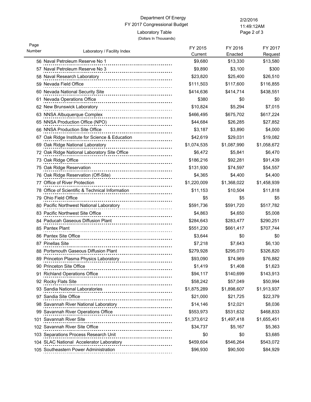Page 2 of 3 11:49:12AM

| Page<br>Number | Laboratory / Facility Index                                        | FY 2015<br>Current | FY 2016<br>Enacted | FY 2017<br>Request |
|----------------|--------------------------------------------------------------------|--------------------|--------------------|--------------------|
|                | 56 Naval Petroleum Reserve No 1                                    | \$9,680            | \$13,330           | \$13,580           |
|                | 57 Naval Petroleum Reserve No 3                                    | \$9,890            | \$3,100            | \$300              |
|                | --------------------------------<br>58 Naval Research Laboratory   | \$23,820           | \$25,400           | \$26,510           |
|                | ---------------------------------<br>59 Nevada Field Office        | \$111,503          | \$117,600          | \$116,855          |
|                | 60 Nevada National Security Site                                   | \$414,636          | \$414,714          | \$438,551          |
|                | 61 Nevada Operations Office                                        | \$380              | \$0                | \$0                |
|                | <br>62 New Brunswick Laboratory                                    | \$10,824           | \$5,294            | \$7,015            |
|                | 63 NNSA Albuquerque Complex                                        | \$466,495          | \$675,702          | \$617,224          |
|                | 65 NNSA Production Office (NPO)                                    | \$44,684           | \$26,285           | \$27,852           |
|                | 66 NNSA Production Site Office                                     | \$3,187            | \$3,890            | \$4,000            |
|                | 67 Oak Ridge Institute for Science & Education                     | \$42,619           | \$29,031           | \$19,082           |
|                | ------------------<br>69 Oak Ridge National Laboratory             | \$1,074,535        | \$1,087,990        | \$1,058,672        |
|                | 72 Oak Ridge National Laboratory Site Office                       | \$6,472            | \$5,841            | \$6,470            |
|                | 73 Oak Ridge Office                                                | \$186,216          | \$92,281           | \$91,439           |
|                | 75 Oak Ridge Reservation                                           | \$131,930          | \$74,597           | \$54,557           |
|                | 76 Oak Ridge Reservation (Off-Site)                                | \$4,365            | \$4,400            | \$4,400            |
|                | 77 Office of River Protection                                      | \$1,220,009        | \$1,368,022        | \$1,458,939        |
|                | 78 Office of Scientific & Technical Information                    | \$11,153           | \$10,504           | \$11,818           |
|                | 79 Ohio Field Office                                               | \$5                | \$5                | \$5                |
|                | 80 Pacific Northwest National Laboratory                           | \$591,736          | \$591,720          | \$517,782          |
|                | 83 Pacific Northwest Site Office                                   | \$4,863            | \$4,650            | \$5,008            |
|                | 84 Paducah Gaseous Diffusion Plant                                 | \$284,643          | \$283,477          | \$290,251          |
|                | 85 Pantex Plant                                                    | \$551,230          | \$661,417          | \$707,744          |
|                | 86 Pantex Site Office                                              | \$3,644            | \$0                | \$0                |
|                | 87 Pinellas Site                                                   | \$7,218            | \$7,643            | \$6,130            |
|                | 88 Portsmouth Gaseous Diffusion Plant<br>------------------------- | \$279,928          | \$295,070          | \$326,820          |
|                | 89 Princeton Plasma Physics Laboratory                             | \$93,090           | \$74,969           | \$76,882           |
|                | 90 Princeton Site Office                                           | \$1.419            | \$1,408            | \$1,623            |
|                | 91 Richland Operations Office                                      | \$94,117           | \$140,699          | \$143,913          |
|                | 92 Rocky Flats Site                                                | \$58,242           | \$57,049           | \$50,994           |
|                | 93 Sandia National Laboratories<br><u></u>                         | \$1,875,289        | \$1,898,607        | \$1,913,937        |
|                | 97 Sandia Site Office                                              | \$21,000           | \$21,725           | \$22,379           |
|                | 98 Savannah River National Laboratory                              | \$14,146           | \$12,021           | \$8,036            |
|                | 99 Savannah River Operations Office                                | \$553,973          | \$531,632          | \$468,833          |
|                | 101 Savannah River Site                                            | \$1,373,612        | \$1,497,418        | \$1,655,451        |
|                | 102 Savannah River Site Office                                     | \$34,737           | \$5,167            | \$5,363            |
|                | 103 Separations Process Research Unit<br><u>.</u>                  | \$0                | \$0                | \$3,685            |
|                | 104 SLAC National Accelerator Laboratory                           | \$459,604          | \$546,264          | \$543,072          |
|                | 105 Southeastern Power Administration                              | \$96,930           | \$90,500           | \$84,929           |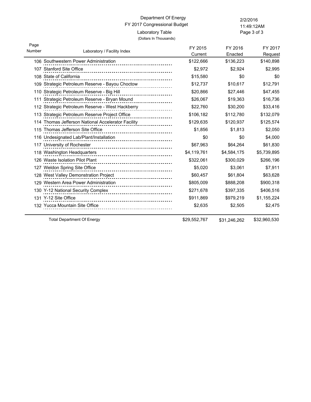Page 3 of 3 11:49:12AM

| Page<br>Number | Laboratory / Facility Index                                 | FY 2015<br>Current | FY 2016<br>Enacted | FY 2017<br>Request |
|----------------|-------------------------------------------------------------|--------------------|--------------------|--------------------|
|                | 106 Southwestern Power Administration                       | \$122,666          | \$136,223          | \$140,898          |
|                | 107 Stanford Site Office                                    | \$2,972            | \$2,924            | \$2,995            |
|                | 108 State of California<br>.                                | \$15,580           | \$0                | \$0                |
|                | 109 Strategic Petroleum Reserve - Bayou Choctow             | \$12,737           | \$10,617           | \$12,791           |
|                | 110 Strategic Petroleum Reserve - Big Hill                  | \$20,866           | \$27,446           | \$47,455           |
|                | 111 Strategic Petroleum Reserve - Bryan Mound               | \$26,067           | \$19,363           | \$16,736           |
|                | 112 Strategic Petroleum Reserve - West Hackberry            | \$22,760           | \$30,200           | \$33,416           |
|                | 113 Strategic Petroleum Reserve Project Office              | \$106,182          | \$112,780          | \$132,079          |
|                | 114 Thomas Jefferson National Accelerator Facility          | \$129,635          | \$120,937          | \$125,574          |
|                | 115 Thomas Jefferson Site Office<br>----------------------- | \$1,856            | \$1,813            | \$2,050            |
|                | 116 Undesignated Lab/Plant/Installation                     | \$0                | \$0                | \$4,000            |
|                | 117 University of Rochester                                 | \$67,963           | \$64,264           | \$61,830           |
|                | 118 Washington Headquarters                                 | \$4,119,761        | \$4,584,175        | \$5,739,895        |
|                | 126 Waste Isolation Pilot Plant                             | \$322,061          | \$300,029          | \$266,196          |
|                | 127 Weldon Spring Site Office                               | \$5,020            | \$3,061            | \$7,911            |
|                | 128 West Valley Demonstration Project                       | \$60,457           | \$61,804           | \$63,628           |
|                | 129 Western Area Power Administration                       | \$805,009          | \$888,208          | \$900,318          |
|                | 130 Y-12 National Security Complex                          | \$271,678          | \$397,335          | \$406,516          |
|                | 131 Y-12 Site Office                                        | \$911,869          | \$979,219          | \$1,155,224        |
|                | 132 Yucca Mountain Site Office                              | \$2,635            | \$2,505            | \$2,475            |

Total Department Of Energy **\$29,552,767** \$31,246,262 \$32,960,530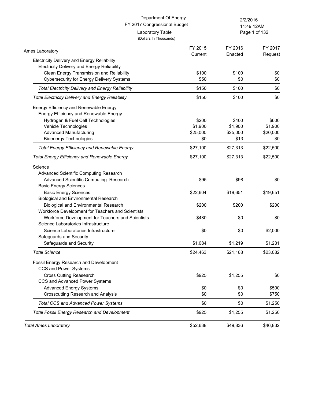|                                                          | Department Of Energy<br>FY 2017 Congressional Budget |            | 2/2/2016      |  |
|----------------------------------------------------------|------------------------------------------------------|------------|---------------|--|
|                                                          |                                                      | 11:49:12AM |               |  |
| Laboratory Table<br>(Dollars In Thousands)               |                                                      |            | Page 1 of 132 |  |
| Ames Laboratory                                          | FY 2015                                              | FY 2016    | FY 2017       |  |
| <b>Electricity Delivery and Energy Reliability</b>       | Current                                              | Enacted    | Request       |  |
| <b>Electricity Delivery and Energy Reliability</b>       |                                                      |            |               |  |
| Clean Energy Transmission and Reliability                | \$100                                                | \$100      | \$0           |  |
| <b>Cybersecurity for Energy Delivery Systems</b>         | \$50                                                 | \$0        | \$0           |  |
| <b>Total Electricity Delivery and Energy Reliability</b> | \$150                                                | \$100      | \$0           |  |
| <b>Total Electricity Delivery and Energy Reliability</b> | \$150                                                | \$100      | \$0           |  |
| Energy Efficiency and Renewable Energy                   |                                                      |            |               |  |
| Energy Efficiency and Renewable Energy                   |                                                      |            |               |  |
| Hydrogen & Fuel Cell Technologies                        | \$200                                                | \$400      | \$600         |  |
| Vehicle Technologies                                     | \$1,900                                              | \$1,900    | \$1,900       |  |
| <b>Advanced Manufacturing</b>                            | \$25,000                                             | \$25,000   | \$20,000      |  |
| <b>Bioenergy Technologies</b>                            | \$0                                                  | \$13       | \$0           |  |
| <b>Total Energy Efficiency and Renewable Energy</b>      | \$27,100                                             | \$27,313   | \$22,500      |  |
| <b>Total Energy Efficiency and Renewable Energy</b>      | \$27,100                                             | \$27,313   | \$22,500      |  |
| Science                                                  |                                                      |            |               |  |
| Advanced Scientific Computing Research                   |                                                      |            |               |  |
| Advanced Scientific Computing Research                   | \$95                                                 | \$98       | \$0           |  |
| <b>Basic Energy Sciences</b>                             |                                                      |            |               |  |
| <b>Basic Energy Sciences</b>                             | \$22,604                                             | \$19,651   | \$19,651      |  |
| <b>Biological and Environmental Research</b>             |                                                      |            |               |  |
| <b>Biological and Environmental Research</b>             | \$200                                                | \$200      | \$200         |  |
| Workforce Development for Teachers and Scientists        |                                                      |            |               |  |
| Workforce Development for Teachers and Scientists        | \$480                                                | \$0        | \$0           |  |
| Science Laboratories Infrastructure                      |                                                      |            |               |  |
| Science Laboratories Infrastructure                      | \$0                                                  | \$0        | \$2,000       |  |
| Safeguards and Security                                  |                                                      |            |               |  |
| Safeguards and Security                                  | \$1,084                                              | \$1,219    | \$1,231       |  |
| <b>Total Science</b>                                     | \$24,463                                             | \$21,168   | \$23,082      |  |
| Fossil Energy Research and Development                   |                                                      |            |               |  |
| CCS and Power Systems                                    |                                                      |            |               |  |
| Cross Cutting Reasearch                                  | \$925                                                | \$1,255    | \$0           |  |
| CCS and Advanced Power Systems                           |                                                      |            |               |  |
| <b>Advanced Energy Systems</b>                           | \$0                                                  | \$0        | \$500         |  |
| <b>Crosscutting Research and Analysis</b>                | \$0                                                  | \$0        | \$750         |  |
| <b>Total CCS and Advanced Power Systems</b>              | \$0                                                  | \$0        | \$1,250       |  |
| <b>Total Fossil Energy Research and Development</b>      | \$925                                                | \$1,255    | \$1,250       |  |
| <b>Total Ames Laboratory</b>                             | \$52,638                                             | \$49,836   | \$46,832      |  |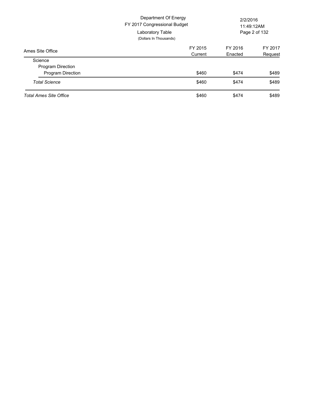|                               | Department Of Energy<br>FY 2017 Congressional Budget<br>Laboratory Table<br>(Dollars In Thousands) |         | 2/2/2016<br>11:49:12AM<br>Page 2 of 132 |  |
|-------------------------------|----------------------------------------------------------------------------------------------------|---------|-----------------------------------------|--|
| Ames Site Office              | FY 2015                                                                                            | FY 2016 | FY 2017                                 |  |
|                               | Current                                                                                            | Enacted | Request                                 |  |
| Science                       |                                                                                                    |         |                                         |  |
| Program Direction             |                                                                                                    |         |                                         |  |
| <b>Program Direction</b>      | \$460                                                                                              | \$474   | \$489                                   |  |
| <b>Total Science</b>          | \$460                                                                                              | \$474   | \$489                                   |  |
| <b>Total Ames Site Office</b> | \$460                                                                                              | \$474   | \$489                                   |  |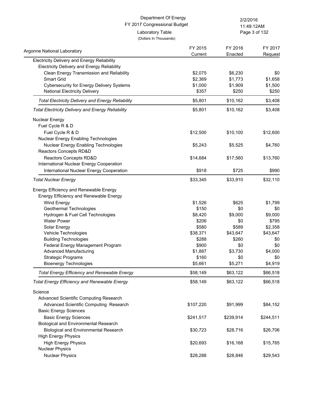Page 3 of 132 11:49:12AM

| Argonne National Laboratory                              | FY 2015   | FY 2016   | FY 2017   |
|----------------------------------------------------------|-----------|-----------|-----------|
| Electricity Delivery and Energy Reliability              | Current   | Enacted   | Request   |
| <b>Electricity Delivery and Energy Reliability</b>       |           |           |           |
| Clean Energy Transmission and Reliability                | \$2,075   | \$6,230   | \$0       |
| Smart Grid                                               | \$2,369   | \$1,773   | \$1,658   |
| <b>Cybersecurity for Energy Delivery Systems</b>         | \$1,000   | \$1,909   | \$1,500   |
| National Electricity Delivery                            | \$357     | \$250     | \$250     |
| <b>Total Electricity Delivery and Energy Reliability</b> | \$5,801   | \$10,162  | \$3,408   |
| <b>Total Electricity Delivery and Energy Reliability</b> | \$5,801   | \$10,162  | \$3,408   |
| <b>Nuclear Energy</b>                                    |           |           |           |
| Fuel Cycle R & D                                         |           |           |           |
| Fuel Cycle R & D                                         | \$12,500  | \$10,100  | \$12,600  |
| Nuclear Energy Enabling Technologies                     |           |           |           |
| Nuclear Energy Enabling Technologies                     | \$5,243   | \$5,525   | \$4,760   |
| Reactors Concepts RD&D                                   |           |           |           |
| Reactors Concepts RD&D                                   | \$14,684  | \$17,560  | \$13,760  |
| International Nuclear Energy Cooperation                 |           |           |           |
| International Nuclear Energy Cooperation                 | \$918     | \$725     | \$990     |
| <b>Total Nuclear Energy</b>                              | \$33,345  | \$33,910  | \$32,110  |
| Energy Efficiency and Renewable Energy                   |           |           |           |
| Energy Efficiency and Renewable Energy                   |           |           |           |
| Wind Energy                                              | \$1,526   | \$625     | \$1,799   |
| Geothermal Technologies                                  | \$150     | \$0       | \$0       |
| Hydrogen & Fuel Cell Technologies                        | \$8,420   | \$9,000   | \$9,000   |
| <b>Water Power</b>                                       | \$206     | \$0       | \$795     |
| Solar Energy                                             | \$580     | \$589     | \$2,358   |
| Vehicle Technologies                                     | \$38,371  | \$43,647  | \$43,647  |
| <b>Building Technologies</b>                             | \$288     | \$260     | \$0       |
| Federal Energy Management Program                        | \$900     | \$0       | \$0       |
| <b>Advanced Manufacturing</b>                            | \$1,887   | \$3,730   | \$4,000   |
| <b>Strategic Programs</b>                                | \$160     | \$0       | \$0       |
| <b>Bioenergy Technologies</b>                            | \$5,661   | \$5,271   | \$4,919   |
| Total Energy Efficiency and Renewable Energy             | \$58,149  | \$63,122  | \$66,518  |
| <b>Total Energy Efficiency and Renewable Energy</b>      | \$58,149  | \$63,122  | \$66,518  |
| Science                                                  |           |           |           |
| Advanced Scientific Computing Research                   |           |           |           |
| Advanced Scientific Computing Research                   | \$107,220 | \$91,999  | \$84,152  |
| <b>Basic Energy Sciences</b>                             |           |           |           |
| <b>Basic Energy Sciences</b>                             | \$241,517 | \$239,914 | \$244,511 |
| <b>Biological and Environmental Research</b>             |           |           |           |
| <b>Biological and Environmental Research</b>             | \$30,723  | \$28,716  | \$26,706  |
| <b>High Energy Physics</b>                               |           |           |           |
| <b>High Energy Physics</b>                               | \$20,693  | \$16,168  | \$15,765  |
| <b>Nuclear Physics</b>                                   |           |           |           |
| <b>Nuclear Physics</b>                                   | \$28,288  | \$28,846  | \$29,543  |
|                                                          |           |           |           |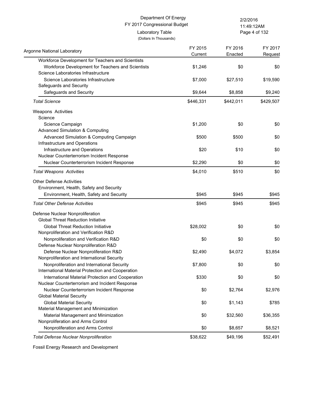|                                                   | Department Of Energy<br>FY 2017 Congressional Budget |           | 2/2/2016      |
|---------------------------------------------------|------------------------------------------------------|-----------|---------------|
|                                                   |                                                      |           | 11:49:12AM    |
|                                                   | Laboratory Table<br>(Dollars In Thousands)           |           | Page 4 of 132 |
|                                                   | FY 2015                                              | FY 2016   | FY 2017       |
| Argonne National Laboratory                       | Current                                              | Enacted   | Request       |
| Workforce Development for Teachers and Scientists |                                                      |           |               |
| Workforce Development for Teachers and Scientists | \$1,246                                              | \$0       | \$0           |
| Science Laboratories Infrastructure               |                                                      |           |               |
| Science Laboratories Infrastructure               | \$7,000                                              | \$27,510  | \$19,590      |
| Safeguards and Security                           |                                                      |           |               |
| Safeguards and Security                           | \$9,644                                              | \$8,858   | \$9,240       |
| <b>Total Science</b>                              | \$446,331                                            | \$442,011 | \$429,507     |
| Weapons Activities                                |                                                      |           |               |
| Science                                           |                                                      |           |               |
| Science Campaign                                  | \$1,200                                              | \$0       | \$0           |
| <b>Advanced Simulation &amp; Computing</b>        |                                                      |           |               |
| Advanced Simulation & Computing Campaign          | \$500                                                | \$500     | \$0           |
| Infrastructure and Operations                     |                                                      |           |               |
| Infrastructure and Operations                     | \$20                                                 | \$10      | \$0           |
| Nuclear Counterterrorism Incident Response        |                                                      |           |               |
| Nuclear Counterterrorism Incident Response        | \$2,290                                              | \$0       | \$0           |
| <b>Total Weapons Activities</b>                   | \$4,010                                              | \$510     | \$0           |
| <b>Other Defense Activities</b>                   |                                                      |           |               |
| Environment, Health, Safety and Security          |                                                      |           |               |
| Environment, Health, Safety and Security          | \$945                                                | \$945     | \$945         |
|                                                   |                                                      |           |               |
| <b>Total Other Defense Activities</b>             | \$945                                                | \$945     | \$945         |
| Defense Nuclear Nonproliferation                  |                                                      |           |               |
| <b>Global Threat Reduction Initiative</b>         |                                                      |           |               |
| <b>Global Threat Reduction Initiative</b>         | \$28,002                                             | \$0       | \$0           |
| Nonproliferation and Verification R&D             |                                                      |           |               |
| Nonproliferation and Verification R&D             | \$0                                                  | \$0       | \$0           |
| Defense Nuclear Nonproliferation R&D              |                                                      |           |               |
| Defense Nuclear Nonproliferation R&D              | \$2,490                                              | \$4,072   | \$3,854       |
| Nonproliferation and International Security       |                                                      |           |               |
| Nonproliferation and International Security       | \$7,800                                              | \$0       | \$0           |
| International Material Protection and Cooperation |                                                      |           |               |
| International Material Protection and Cooperation | \$330                                                | \$0       | \$0           |
| Nuclear Counterterrorism and Incident Response    |                                                      |           |               |
| Nuclear Counterterrorism Incident Response        | \$0                                                  | \$2,764   | \$2,976       |
| <b>Global Material Security</b>                   |                                                      |           |               |
| <b>Global Material Security</b>                   | \$0                                                  | \$1,143   | \$785         |
| Material Management and Minimization              |                                                      |           |               |
| Material Management and Minimization              | \$0                                                  | \$32,560  | \$36,355      |
| Nonproliferation and Arms Control                 |                                                      |           |               |
| Nonproliferation and Arms Control                 | \$0                                                  | \$8,657   | \$8,521       |
| <b>Total Defense Nuclear Nonproliferation</b>     | \$38,622                                             | \$49,196  | \$52,491      |

Fossil Energy Research and Development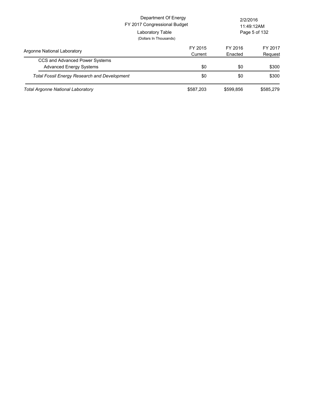|                                                     | Department Of Energy<br>FY 2017 Congressional Budget<br>Laboratory Table<br>(Dollars In Thousands) |                    | 2/2/2016<br>11:49:12AM<br>Page 5 of 132 |  |
|-----------------------------------------------------|----------------------------------------------------------------------------------------------------|--------------------|-----------------------------------------|--|
| Argonne National Laboratory                         | FY 2015<br>Current                                                                                 | FY 2016<br>Enacted | FY 2017<br>Request                      |  |
| CCS and Advanced Power Systems                      |                                                                                                    |                    |                                         |  |
| <b>Advanced Energy Systems</b>                      | \$0                                                                                                | \$0                | \$300                                   |  |
| <b>Total Fossil Energy Research and Development</b> | \$0                                                                                                | \$0                | \$300                                   |  |
| Total Argonne National Laboratory                   | \$587,203                                                                                          | \$599.856          | \$585.279                               |  |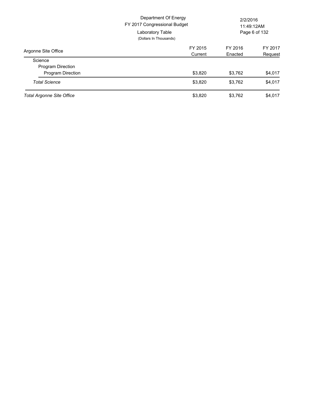|                                  | Department Of Energy<br>FY 2017 Congressional Budget<br>Laboratory Table<br>(Dollars In Thousands) |         | 2/2/2016<br>11:49:12AM<br>Page 6 of 132 |  |
|----------------------------------|----------------------------------------------------------------------------------------------------|---------|-----------------------------------------|--|
| Argonne Site Office              | FY 2015                                                                                            | FY 2016 | FY 2017                                 |  |
|                                  | Current                                                                                            | Enacted | Request                                 |  |
| Science                          |                                                                                                    |         |                                         |  |
| Program Direction                |                                                                                                    |         |                                         |  |
| <b>Program Direction</b>         | \$3,820                                                                                            | \$3,762 | \$4,017                                 |  |
| <b>Total Science</b>             | \$3,820                                                                                            | \$3,762 | \$4,017                                 |  |
| <b>Total Argonne Site Office</b> | \$3,820                                                                                            | \$3,762 | \$4,017                                 |  |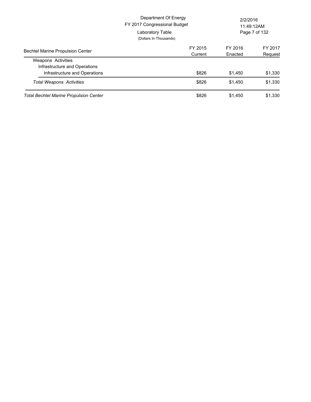|                                                            | Department Of Energy<br>FY 2017 Congressional Budget<br>Laboratory Table<br>(Dollars In Thousands) | 2/2/2016<br>11:49:12AM<br>Page 7 of 132 |         |
|------------------------------------------------------------|----------------------------------------------------------------------------------------------------|-----------------------------------------|---------|
| <b>Bechtel Marine Propulsion Center</b>                    | FY 2015<br>Current                                                                                 | FY 2016<br>Enacted                      | FY 2017 |
| <b>Weapons Activities</b><br>Infrastructure and Operations |                                                                                                    |                                         | Request |
| Infrastructure and Operations                              | \$826                                                                                              | \$1,450                                 | \$1,330 |
| <b>Total Weapons Activities</b>                            | \$826                                                                                              | \$1,450                                 | \$1,330 |
| <b>Total Bechtel Marine Propulsion Center</b>              | \$826                                                                                              | \$1.450                                 | \$1.330 |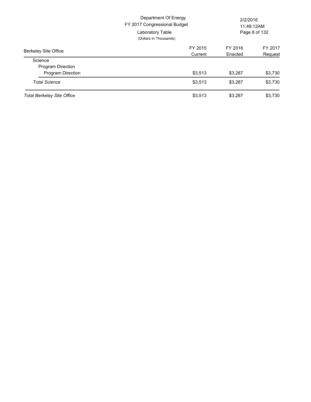|                                   | Department Of Energy<br>FY 2017 Congressional Budget<br>Laboratory Table<br>(Dollars In Thousands) | 2/2/2016<br>11:49:12AM<br>Page 8 of 132 |         |
|-----------------------------------|----------------------------------------------------------------------------------------------------|-----------------------------------------|---------|
| <b>Berkeley Site Office</b>       | FY 2015                                                                                            | FY 2016                                 | FY 2017 |
|                                   | Current                                                                                            | Enacted                                 | Request |
| Science                           |                                                                                                    |                                         |         |
| <b>Program Direction</b>          |                                                                                                    |                                         |         |
| <b>Program Direction</b>          | \$3,513                                                                                            | \$3,287                                 | \$3,730 |
| <b>Total Science</b>              | \$3,513                                                                                            | \$3,287                                 | \$3,730 |
| <b>Total Berkeley Site Office</b> | \$3,513                                                                                            | \$3.287                                 | \$3,730 |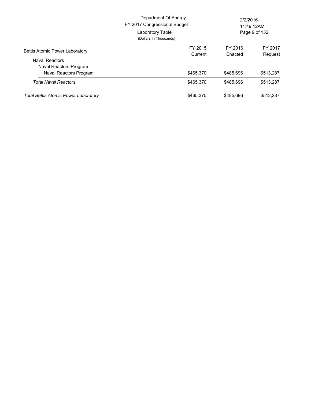|                                       | Department Of Energy<br>FY 2017 Congressional Budget<br>Laboratory Table<br>(Dollars In Thousands) |           | 2/2/2016<br>11:49:12AM<br>Page 9 of 132 |  |
|---------------------------------------|----------------------------------------------------------------------------------------------------|-----------|-----------------------------------------|--|
| <b>Bettis Atomic Power Laboratory</b> | FY 2015                                                                                            | FY 2016   | FY 2017                                 |  |
| <b>Naval Reactors</b>                 | Current                                                                                            | Enacted   | Request                                 |  |
| Naval Reactors Program                |                                                                                                    |           |                                         |  |
| Naval Reactors Program                | \$465,370                                                                                          | \$485.696 | \$513,287                               |  |
| <b>Total Naval Reactors</b>           | \$465.370                                                                                          | \$485,696 | \$513,287                               |  |
| Total Bettis Atomic Power Laboratory  | \$465.370                                                                                          | \$485.696 | \$513.287                               |  |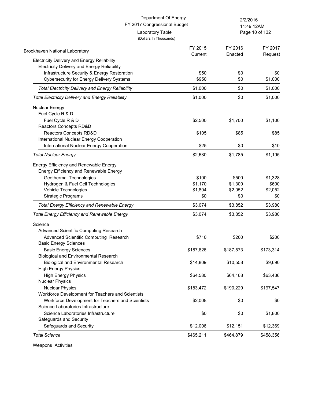|                                                          | Department Of Energy<br>FY 2017 Congressional Budget |           | 2/2/2016<br>11:49:12AM |  |
|----------------------------------------------------------|------------------------------------------------------|-----------|------------------------|--|
|                                                          | Laboratory Table<br>(Dollars In Thousands)           |           | Page 10 of 132         |  |
| <b>Brookhaven National Laboratory</b>                    | FY 2015                                              | FY 2016   | FY 2017                |  |
| Electricity Delivery and Energy Reliability              | Current                                              | Enacted   | Request                |  |
| <b>Electricity Delivery and Energy Reliability</b>       |                                                      |           |                        |  |
| Infrastructure Security & Energy Restoration             | \$50                                                 | \$0       | \$0                    |  |
| <b>Cybersecurity for Energy Delivery Systems</b>         | \$950                                                | \$0       | \$1,000                |  |
| <b>Total Electricity Delivery and Energy Reliability</b> | \$1,000                                              | \$0       | \$1,000                |  |
| <b>Total Electricity Delivery and Energy Reliability</b> | \$1,000                                              | \$0       | \$1,000                |  |
| <b>Nuclear Energy</b>                                    |                                                      |           |                        |  |
| Fuel Cycle R & D                                         |                                                      |           |                        |  |
| Fuel Cycle R & D                                         | \$2,500                                              | \$1,700   | \$1,100                |  |
| Reactors Concepts RD&D                                   |                                                      |           |                        |  |
| Reactors Concepts RD&D                                   | \$105                                                | \$85      | \$85                   |  |
| International Nuclear Energy Cooperation                 |                                                      |           |                        |  |
| International Nuclear Energy Cooperation                 | \$25                                                 | \$0       | \$10                   |  |
| <b>Total Nuclear Energy</b>                              | \$2,630                                              | \$1,785   | \$1,195                |  |
| Energy Efficiency and Renewable Energy                   |                                                      |           |                        |  |
| Energy Efficiency and Renewable Energy                   |                                                      |           |                        |  |
| Geothermal Technologies                                  | \$100                                                | \$500     | \$1,328                |  |
| Hydrogen & Fuel Cell Technologies                        | \$1,170                                              | \$1,300   | \$600                  |  |
| Vehicle Technologies                                     | \$1,804                                              | \$2,052   | \$2,052                |  |
| <b>Strategic Programs</b>                                | \$0                                                  | \$0       | \$0                    |  |
| <b>Total Energy Efficiency and Renewable Energy</b>      | \$3,074                                              | \$3,852   | \$3,980                |  |
| <b>Total Energy Efficiency and Renewable Energy</b>      | \$3,074                                              | \$3,852   | \$3,980                |  |
| Science                                                  |                                                      |           |                        |  |
| Advanced Scientific Computing Research                   |                                                      |           |                        |  |
| Advanced Scientific Computing Research                   | \$710                                                | \$200     | \$200                  |  |
| <b>Basic Energy Sciences</b>                             |                                                      |           |                        |  |
| <b>Basic Energy Sciences</b>                             | \$187,626                                            | \$187,573 | \$173,314              |  |
| Biological and Environmental Research                    |                                                      |           |                        |  |
| <b>Biological and Environmental Research</b>             | \$14,809                                             | \$10,558  | \$9,690                |  |
| <b>High Energy Physics</b>                               |                                                      |           |                        |  |
| <b>High Energy Physics</b>                               | \$64,580                                             | \$64,168  | \$63,436               |  |
| <b>Nuclear Physics</b>                                   |                                                      |           |                        |  |
| <b>Nuclear Physics</b>                                   | \$183,472                                            | \$190,229 | \$197,547              |  |
| Workforce Development for Teachers and Scientists        |                                                      |           |                        |  |
| Workforce Development for Teachers and Scientists        | \$2,008                                              | \$0       | \$0                    |  |
| Science Laboratories Infrastructure                      |                                                      |           |                        |  |
| Science Laboratories Infrastructure                      | \$0                                                  | \$0       | \$1,800                |  |
| Safeguards and Security                                  |                                                      |           |                        |  |
| Safeguards and Security                                  | \$12,006                                             | \$12,151  | \$12,369               |  |
| <b>Total Science</b>                                     | \$465,211                                            | \$464,879 | \$458,356              |  |

Weapons Activities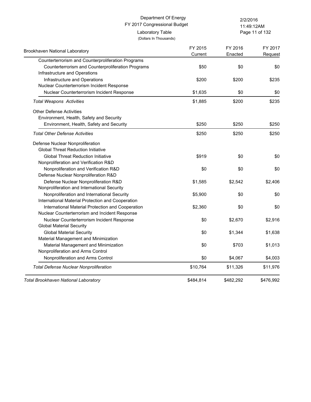Page 11 of 132 11:49:12AM

| Brookhaven National Laboratory                     | FY 2015<br>Current | FY 2016<br>Enacted | FY 2017<br>Request |
|----------------------------------------------------|--------------------|--------------------|--------------------|
| Counterterrorism and Counterproliferation Programs |                    |                    |                    |
| Counterterrorism and Counterproliferation Programs | \$50               | \$0                | \$0                |
| Infrastructure and Operations                      |                    |                    |                    |
| Infrastructure and Operations                      | \$200              | \$200              | \$235              |
| Nuclear Counterterrorism Incident Response         |                    |                    |                    |
| Nuclear Counterterrorism Incident Response         | \$1,635            | \$0                | \$0                |
| <b>Total Weapons Activities</b>                    | \$1,885            | \$200              | \$235              |
| <b>Other Defense Activities</b>                    |                    |                    |                    |
| Environment, Health, Safety and Security           |                    |                    |                    |
| Environment, Health, Safety and Security           | \$250              | \$250              | \$250              |
| <b>Total Other Defense Activities</b>              | \$250              | \$250              | \$250              |
| Defense Nuclear Nonproliferation                   |                    |                    |                    |
| <b>Global Threat Reduction Initiative</b>          |                    |                    |                    |
| <b>Global Threat Reduction Initiative</b>          | \$919              | \$0                | \$0                |
| Nonproliferation and Verification R&D              |                    |                    |                    |
| Nonproliferation and Verification R&D              | \$0                | \$0                | \$0                |
| Defense Nuclear Nonproliferation R&D               |                    |                    |                    |
| Defense Nuclear Nonproliferation R&D               | \$1,585            | \$2,542            | \$2,406            |
| Nonproliferation and International Security        |                    |                    |                    |
| Nonproliferation and International Security        | \$5,900            | \$0                | \$0                |
| International Material Protection and Cooperation  |                    |                    |                    |
| International Material Protection and Cooperation  | \$2,360            | \$0                | \$0                |
| Nuclear Counterterrorism and Incident Response     |                    |                    |                    |
| Nuclear Counterterrorism Incident Response         | \$0                | \$2,670            | \$2,916            |
| <b>Global Material Security</b>                    |                    |                    |                    |
| <b>Global Material Security</b>                    | \$0                | \$1,344            | \$1,638            |
| Material Management and Minimization               |                    |                    |                    |
| Material Management and Minimization               | \$0                | \$703              | \$1,013            |
| Nonproliferation and Arms Control                  |                    |                    |                    |
| Nonproliferation and Arms Control                  | \$0                | \$4,067            | \$4,003            |
| <b>Total Defense Nuclear Nonproliferation</b>      | \$10,764           | \$11,326           | \$11,976           |
| Total Brookhaven National Laboratory               | \$484,814          | \$482.292          | \$476,992          |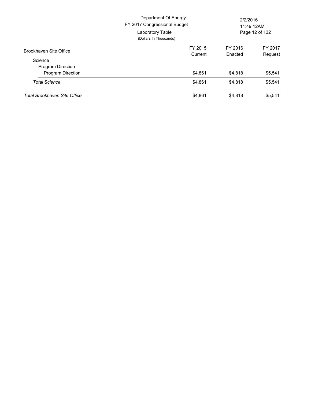|                                     | Department Of Energy<br>FY 2017 Congressional Budget<br>Laboratory Table<br>(Dollars In Thousands) | 2/2/2016<br>11:49:12AM<br>Page 12 of 132 |         |
|-------------------------------------|----------------------------------------------------------------------------------------------------|------------------------------------------|---------|
| Brookhaven Site Office              | FY 2015                                                                                            | FY 2016                                  | FY 2017 |
|                                     | Current                                                                                            | Enacted                                  | Request |
| Science                             |                                                                                                    |                                          |         |
| <b>Program Direction</b>            |                                                                                                    |                                          |         |
| <b>Program Direction</b>            | \$4,861                                                                                            | \$4,818                                  | \$5,541 |
| <b>Total Science</b>                | \$4,861                                                                                            | \$4,818                                  | \$5,541 |
| <b>Total Brookhaven Site Office</b> | \$4,861                                                                                            | \$4.818                                  | \$5,541 |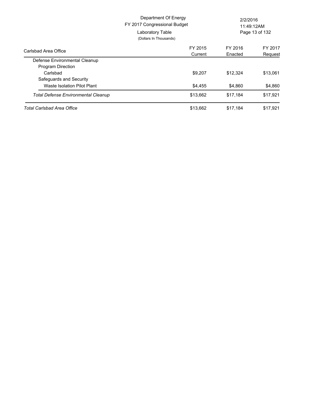|                                            | Department Of Energy<br>FY 2017 Congressional Budget<br>Laboratory Table<br>(Dollars In Thousands) | 2/2/2016<br>11:49:12AM<br>Page 13 of 132 |                    |
|--------------------------------------------|----------------------------------------------------------------------------------------------------|------------------------------------------|--------------------|
| Carlsbad Area Office                       | FY 2015<br>Current                                                                                 | FY 2016<br>Enacted                       | FY 2017<br>Request |
| Defense Environmental Cleanup              |                                                                                                    |                                          |                    |
| <b>Program Direction</b>                   |                                                                                                    |                                          |                    |
| Carlsbad                                   | \$9,207                                                                                            | \$12,324                                 | \$13,061           |
| Safeguards and Security                    |                                                                                                    |                                          |                    |
| Waste Isolation Pilot Plant                | \$4,455                                                                                            | \$4,860                                  | \$4,860            |
| <b>Total Defense Environmental Cleanup</b> | \$13,662                                                                                           | \$17,184                                 | \$17,921           |
| Total Carlsbad Area Office                 | \$13,662                                                                                           | \$17,184                                 | \$17,921           |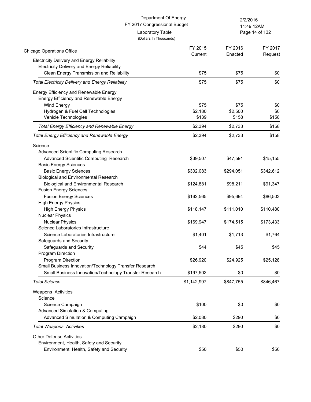| Department Of Energy<br>FY 2017 Congressional Budget                             |                    | 2/2/2016<br>11:49:12AM |                    |
|----------------------------------------------------------------------------------|--------------------|------------------------|--------------------|
| Laboratory Table<br>(Dollars In Thousands)                                       |                    |                        | Page 14 of 132     |
| <b>Chicago Operations Office</b>                                                 | FY 2015<br>Current | FY 2016<br>Enacted     | FY 2017<br>Request |
| Electricity Delivery and Energy Reliability                                      |                    |                        |                    |
| <b>Electricity Delivery and Energy Reliability</b>                               |                    |                        |                    |
| Clean Energy Transmission and Reliability                                        | \$75               | \$75                   | \$0                |
| <b>Total Electricity Delivery and Energy Reliability</b>                         | \$75               | \$75                   | \$0                |
| Energy Efficiency and Renewable Energy<br>Energy Efficiency and Renewable Energy |                    |                        |                    |
| Wind Energy                                                                      | \$75               | \$75                   | \$0                |
| Hydrogen & Fuel Cell Technologies                                                | \$2,180            | \$2,500                | \$0                |
| Vehicle Technologies                                                             | \$139              | \$158                  | \$158              |
| <b>Total Energy Efficiency and Renewable Energy</b>                              | \$2,394            | \$2,733                | \$158              |
| <b>Total Energy Efficiency and Renewable Energy</b>                              | \$2,394            | \$2,733                | \$158              |
| Science                                                                          |                    |                        |                    |
| Advanced Scientific Computing Research                                           |                    |                        |                    |
| Advanced Scientific Computing Research                                           | \$39,507           | \$47,591               | \$15,155           |
| <b>Basic Energy Sciences</b>                                                     |                    |                        |                    |
| <b>Basic Energy Sciences</b>                                                     | \$302,083          | \$294,051              | \$342,612          |
| <b>Biological and Environmental Research</b>                                     |                    |                        |                    |
| <b>Biological and Environmental Research</b>                                     | \$124,881          | \$98,211               | \$91,347           |
| <b>Fusion Energy Sciences</b>                                                    |                    |                        |                    |
| <b>Fusion Energy Sciences</b>                                                    | \$162,565          | \$95,694               | \$86,503           |
| <b>High Energy Physics</b>                                                       |                    |                        |                    |
| <b>High Energy Physics</b>                                                       | \$118,147          | \$111,010              | \$110,480          |
| <b>Nuclear Physics</b>                                                           |                    |                        |                    |
| <b>Nuclear Physics</b>                                                           | \$169,947          | \$174,515              | \$173,433          |
| Science Laboratories Infrastructure                                              |                    |                        |                    |
| Science Laboratories Infrastructure<br>Safeguards and Security                   | \$1,401            | \$1,713                | \$1,764            |
| Safeguards and Security                                                          | \$44               | \$45                   | \$45               |
| Program Direction                                                                |                    |                        |                    |
| Program Direction                                                                | \$26,920           | \$24,925               | \$25,128           |
| Small Business Innovation/Technology Transfer Research                           |                    |                        |                    |
| Small Business Innovation/Technology Transfer Research                           | \$197,502          | \$0                    | \$0                |
| <b>Total Science</b>                                                             | \$1,142,997        | \$847,755              | \$846,467          |
| Weapons Activities                                                               |                    |                        |                    |
| Science                                                                          |                    |                        |                    |
| Science Campaign                                                                 | \$100              | \$0                    | \$0                |
| <b>Advanced Simulation &amp; Computing</b>                                       |                    |                        |                    |
| Advanced Simulation & Computing Campaign                                         | \$2,080            | \$290                  | \$0                |
| <b>Total Weapons Activities</b>                                                  | \$2,180            | \$290                  | \$0                |
| <b>Other Defense Activities</b>                                                  |                    |                        |                    |
| Environment, Health, Safety and Security                                         |                    |                        |                    |
| Environment, Health, Safety and Security                                         | \$50               | \$50                   | \$50               |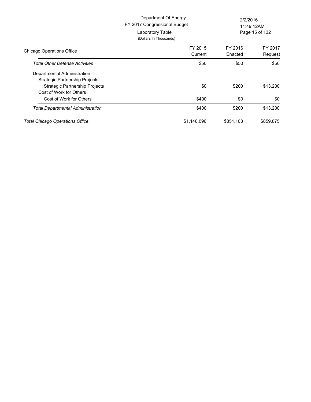|                                                                      | Department Of Energy<br>FY 2017 Congressional Budget<br>Laboratory Table<br>(Dollars In Thousands) | 2/2/2016<br>11:49:12AM<br>Page 15 of 132 |                    |
|----------------------------------------------------------------------|----------------------------------------------------------------------------------------------------|------------------------------------------|--------------------|
| <b>Chicago Operations Office</b>                                     | FY 2015<br>Current                                                                                 | FY 2016<br>Enacted                       | FY 2017<br>Request |
| <b>Total Other Defense Activities</b>                                | \$50                                                                                               | \$50                                     | \$50               |
| Departmental Administration<br><b>Strategic Partnership Projects</b> |                                                                                                    |                                          |                    |
| <b>Strategic Partnership Projects</b><br>Cost of Work for Others     | \$0                                                                                                | \$200                                    | \$13,200           |
| Cost of Work for Others                                              | \$400                                                                                              | \$0                                      | \$0                |
| Total Departmental Administration                                    | \$400                                                                                              | \$200                                    | \$13,200           |
| <b>Total Chicago Operations Office</b>                               | \$1,148,096                                                                                        | \$851,103                                | \$859,875          |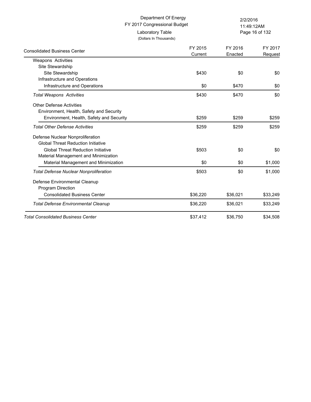## FY 2017 Congressional Budget Department Of Energy 2/2/2016 Laboratory Table

(Dollars In Thousands)

Page 16 of 132 11:49:12AM

| <b>Consolidated Business Center</b>           | FY 2015<br>Current | FY 2016<br>Enacted | FY 2017<br>Request |
|-----------------------------------------------|--------------------|--------------------|--------------------|
| <b>Weapons Activities</b>                     |                    |                    |                    |
| Site Stewardship                              |                    |                    |                    |
| Site Stewardship                              | \$430              | \$0                | \$0                |
| Infrastructure and Operations                 |                    |                    |                    |
| Infrastructure and Operations                 | \$0                | \$470              | \$0                |
| <b>Total Weapons Activities</b>               | \$430              | \$470              | \$0                |
| <b>Other Defense Activities</b>               |                    |                    |                    |
| Environment, Health, Safety and Security      |                    |                    |                    |
| Environment, Health, Safety and Security      | \$259              | \$259              | \$259              |
| <b>Total Other Defense Activities</b>         | \$259              | \$259              | \$259              |
| Defense Nuclear Nonproliferation              |                    |                    |                    |
| <b>Global Threat Reduction Initiative</b>     |                    |                    |                    |
| <b>Global Threat Reduction Initiative</b>     | \$503              | \$0                | \$0                |
| Material Management and Minimization          |                    |                    |                    |
| Material Management and Minimization          | \$0                | \$0                | \$1,000            |
| <b>Total Defense Nuclear Nonproliferation</b> | \$503              | \$0                | \$1,000            |
| Defense Environmental Cleanup                 |                    |                    |                    |
| <b>Program Direction</b>                      |                    |                    |                    |
| <b>Consolidated Business Center</b>           | \$36,220           | \$36,021           | \$33,249           |
| <b>Total Defense Environmental Cleanup</b>    | \$36,220           | \$36,021           | \$33,249           |
| <b>Total Consolidated Business Center</b>     | \$37,412           | \$36,750           | \$34,508           |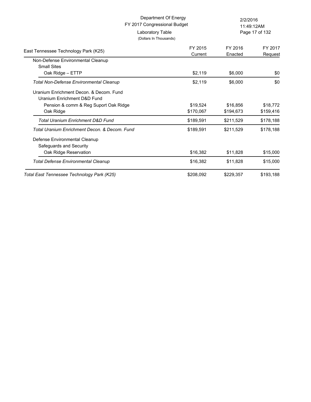|                                                                        | Department Of Energy<br>FY 2017 Congressional Budget | 2/2/2016<br>11:49:12AM |                |
|------------------------------------------------------------------------|------------------------------------------------------|------------------------|----------------|
| Laboratory Table<br>(Dollars In Thousands)                             |                                                      |                        | Page 17 of 132 |
| East Tennessee Technology Park (K25)                                   | FY 2015                                              | FY 2016                | FY 2017        |
|                                                                        | Current                                              | Enacted                | Request        |
| Non-Defense Environmental Cleanup<br><b>Small Sites</b>                |                                                      |                        |                |
| Oak Ridge - ETTP                                                       | \$2,119                                              | \$6,000                | \$0            |
| <b>Total Non-Defense Environmental Cleanup</b>                         | \$2,119                                              | \$6,000                | \$0            |
| Uranium Enrichment Decon, & Decom, Fund<br>Uranium Enrichment D&D Fund |                                                      |                        |                |
| Pension & comm & Reg Suport Oak Ridge                                  | \$19,524                                             | \$16,856               | \$18,772       |
| Oak Ridge                                                              | \$170,067                                            | \$194,673              | \$159,416      |
| Total Uranium Enrichment D&D Fund                                      | \$189,591                                            | \$211,529              | \$178,188      |
| Total Uranium Enrichment Decon, & Decom, Fund                          | \$189,591                                            | \$211,529              | \$178,188      |
| Defense Environmental Cleanup<br>Safeguards and Security               |                                                      |                        |                |
| Oak Ridge Reservation                                                  | \$16,382                                             | \$11,828               | \$15,000       |
| <b>Total Defense Environmental Cleanup</b>                             | \$16,382                                             | \$11,828               | \$15,000       |
| Total East Tennessee Technology Park (K25)                             | \$208,092                                            | \$229,357              | \$193,188      |
|                                                                        |                                                      |                        |                |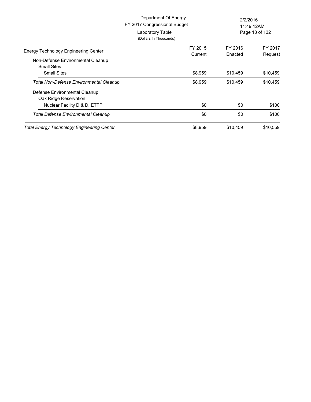|                                                         | Department Of Energy<br>FY 2017 Congressional Budget<br>Laboratory Table<br>(Dollars In Thousands) | 2/2/2016<br>11:49:12AM<br>Page 18 of 132 |                    |
|---------------------------------------------------------|----------------------------------------------------------------------------------------------------|------------------------------------------|--------------------|
| <b>Energy Technology Engineering Center</b>             | FY 2015<br>Current                                                                                 | FY 2016<br>Enacted                       | FY 2017<br>Request |
| Non-Defense Environmental Cleanup<br><b>Small Sites</b> |                                                                                                    |                                          |                    |
| <b>Small Sites</b>                                      | \$8,959                                                                                            | \$10,459                                 | \$10,459           |
| Total Non-Defense Environmental Cleanup                 | \$8,959                                                                                            | \$10,459                                 | \$10,459           |
| Defense Environmental Cleanup<br>Oak Ridge Reservation  |                                                                                                    |                                          |                    |
| Nuclear Facility D & D, ETTP                            | \$0                                                                                                | \$0                                      | \$100              |
| Total Defense Environmental Cleanup                     | \$0                                                                                                | \$0                                      | \$100              |
| <b>Total Energy Technology Engineering Center</b>       | \$8,959                                                                                            | \$10,459                                 | \$10,559           |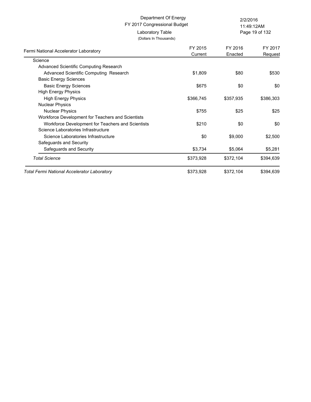#### FY 2017 Congressional Budget Department Of Energy 2/2/2016

(Dollars In Thousands)

Laboratory Table

Page 19 of 132 11:49:12AM

| Fermi National Accelerator Laboratory             | FY 2015<br>Current | FY 2016<br>Enacted | FY 2017<br>Request |
|---------------------------------------------------|--------------------|--------------------|--------------------|
| Science                                           |                    |                    |                    |
| Advanced Scientific Computing Research            |                    |                    |                    |
| Advanced Scientific Computing Research            | \$1,809            | \$80               | \$530              |
| <b>Basic Energy Sciences</b>                      |                    |                    |                    |
| <b>Basic Energy Sciences</b>                      | \$675              | \$0                | \$0                |
| <b>High Energy Physics</b>                        |                    |                    |                    |
| <b>High Energy Physics</b>                        | \$366,745          | \$357,935          | \$386,303          |
| <b>Nuclear Physics</b>                            |                    |                    |                    |
| <b>Nuclear Physics</b>                            | \$755              | \$25               | \$25               |
| Workforce Development for Teachers and Scientists |                    |                    |                    |
| Workforce Development for Teachers and Scientists | \$210              | \$0                | \$0                |
| Science Laboratories Infrastructure               |                    |                    |                    |
| Science Laboratories Infrastructure               | \$0                | \$9,000            | \$2,500            |
| Safeguards and Security                           |                    |                    |                    |
| Safeguards and Security                           | \$3,734            | \$5,064            | \$5,281            |
| <b>Total Science</b>                              | \$373,928          | \$372,104          | \$394,639          |
| Total Fermi National Accelerator Laboratory       | \$373,928          | \$372,104          | \$394,639          |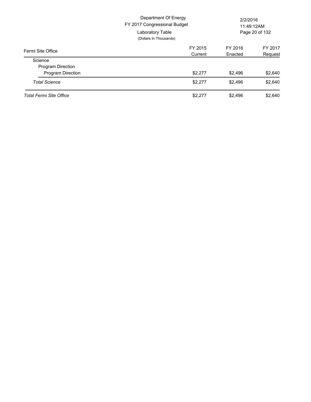|                                | Department Of Energy<br>FY 2017 Congressional Budget<br>Laboratory Table<br>(Dollars In Thousands) | 2/2/2016<br>11:49:12AM<br>Page 20 of 132 |         |
|--------------------------------|----------------------------------------------------------------------------------------------------|------------------------------------------|---------|
| Fermi Site Office              | FY 2015                                                                                            | FY 2016                                  | FY 2017 |
|                                | Current                                                                                            | Enacted                                  | Request |
| Science                        |                                                                                                    |                                          |         |
| <b>Program Direction</b>       |                                                                                                    |                                          |         |
| Program Direction              | \$2,277                                                                                            | \$2,496                                  | \$2,640 |
| <b>Total Science</b>           | \$2,277                                                                                            | \$2,496                                  | \$2,640 |
| <b>Total Fermi Site Office</b> | \$2.277                                                                                            | \$2.496                                  | \$2,640 |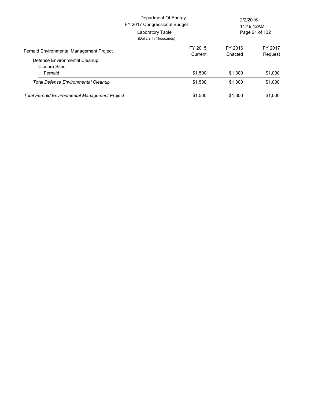|                                                       | Department Of Energy<br>FY 2017 Congressional Budget<br>Laboratory Table<br>(Dollars In Thousands) |                    | 2/2/2016<br>11:49:12AM<br>Page 21 of 132 |  |
|-------------------------------------------------------|----------------------------------------------------------------------------------------------------|--------------------|------------------------------------------|--|
| Fernald Environmental Management Project              | FY 2015<br>Current                                                                                 | FY 2016<br>Enacted | FY 2017<br>Request                       |  |
| Defense Environmental Cleanup<br><b>Closure Sites</b> |                                                                                                    |                    |                                          |  |
| Fernald<br><b>Total Defense Environmental Cleanup</b> | \$1,500<br>\$1,500                                                                                 | \$1,300<br>\$1,300 | \$1,000<br>\$1,000                       |  |
| Total Fernald Environmental Management Project        | \$1,500                                                                                            | \$1,300            | \$1,000                                  |  |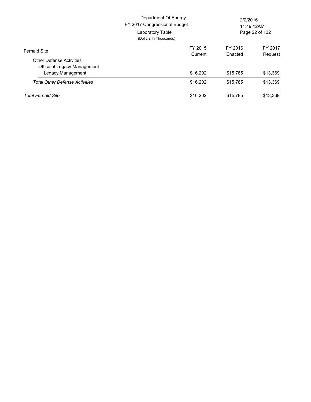| <b>Fernald Site</b>                   | Department Of Energy<br>FY 2017 Congressional Budget<br>Laboratory Table<br>(Dollars In Thousands) | 2/2/2016<br>11:49:12AM<br>Page 22 of 132 |          |
|---------------------------------------|----------------------------------------------------------------------------------------------------|------------------------------------------|----------|
|                                       | FY 2015                                                                                            | FY 2016                                  | FY 2017  |
|                                       | Current                                                                                            | Enacted                                  | Request  |
| <b>Other Defense Activities</b>       |                                                                                                    |                                          |          |
| Office of Legacy Management           |                                                                                                    |                                          |          |
| Legacy Management                     | \$16,202                                                                                           | \$15,785                                 | \$13,369 |
| <b>Total Other Defense Activities</b> | \$16,202                                                                                           | \$15,785                                 | \$13,369 |
| <b>Total Fernald Site</b>             | \$16,202                                                                                           | \$15.785                                 | \$13.369 |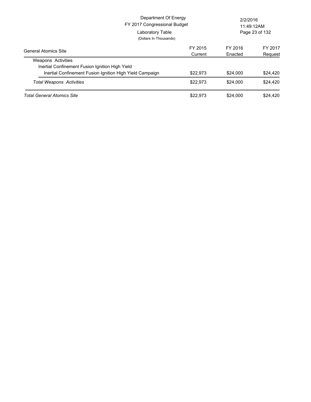|                                                                              | Department Of Energy<br>FY 2017 Congressional Budget<br>Laboratory Table<br>(Dollars In Thousands) |          | 2/2/2016<br>11:49:12AM<br>Page 23 of 132 |          |
|------------------------------------------------------------------------------|----------------------------------------------------------------------------------------------------|----------|------------------------------------------|----------|
| <b>General Atomics Site</b>                                                  |                                                                                                    | FY 2015  | FY 2016                                  | FY 2017  |
| <b>Weapons Activities</b><br>Inertial Confinement Fusion Ignition High Yield |                                                                                                    | Current  | Enacted                                  | Request  |
| Inertial Confinement Fusion Ignition High Yield Campaign                     |                                                                                                    | \$22,973 | \$24,000                                 | \$24,420 |
| <b>Total Weapons Activities</b>                                              |                                                                                                    | \$22,973 | \$24,000                                 | \$24,420 |
| <b>Total General Atomics Site</b>                                            |                                                                                                    | \$22,973 | \$24,000                                 | \$24,420 |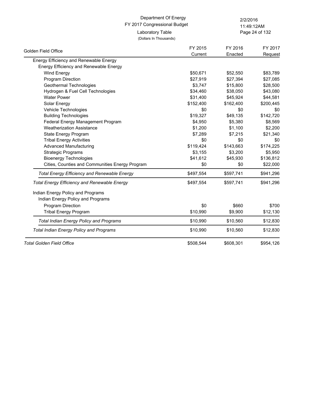## FY 2017 Congressional Budget Department Of Energy 2/2/2016 Laboratory Table

11:49:12AM

(Dollars In Thousands)

Page 24 of 132

|                                                     | FY 2015   | FY 2016   | FY 2017   |
|-----------------------------------------------------|-----------|-----------|-----------|
| Golden Field Office                                 | Current   | Enacted   | Request   |
| Energy Efficiency and Renewable Energy              |           |           |           |
| Energy Efficiency and Renewable Energy              |           |           |           |
| Wind Energy                                         | \$50,671  | \$52,550  | \$83,789  |
| Program Direction                                   | \$27,919  | \$27,394  | \$27,085  |
| Geothermal Technologies                             | \$3,747   | \$15,800  | \$28,500  |
| Hydrogen & Fuel Cell Technologies                   | \$34,460  | \$38,050  | \$43,080  |
| <b>Water Power</b>                                  | \$31,400  | \$45,924  | \$44,581  |
| Solar Energy                                        | \$152,400 | \$162,400 | \$200,445 |
| Vehicle Technologies                                | \$0       | \$0       | \$0       |
| <b>Building Technologies</b>                        | \$19,327  | \$49,135  | \$142,720 |
| Federal Energy Management Program                   | \$4,950   | \$5,380   | \$8,569   |
| <b>Weatherization Assistance</b>                    | \$1,200   | \$1,100   | \$2,200   |
| State Energy Program                                | \$7,289   | \$7,215   | \$21,340  |
| <b>Tribal Energy Activities</b>                     | \$0       | \$0       | \$0       |
| <b>Advanced Manufacturing</b>                       | \$119,424 | \$143,663 | \$174,225 |
| <b>Strategic Programs</b>                           | \$3,155   | \$3,200   | \$5,950   |
| <b>Bioenergy Technologies</b>                       | \$41,612  | \$45,930  | \$136,812 |
| Cities, Counties and Communities Energy Program     | \$0       | \$0       | \$22,000  |
| <b>Total Energy Efficiency and Renewable Energy</b> | \$497,554 | \$597,741 | \$941,296 |
| <b>Total Energy Efficiency and Renewable Energy</b> | \$497,554 | \$597,741 | \$941,296 |
| Indian Energy Policy and Programs                   |           |           |           |
| Indian Energy Policy and Programs                   |           |           |           |
| Program Direction                                   | \$0       | \$660     | \$700     |
| <b>Tribal Energy Program</b>                        | \$10,990  | \$9,900   | \$12,130  |
| Total Indian Energy Policy and Programs             | \$10,990  | \$10,560  | \$12,830  |
| <b>Total Indian Energy Policy and Programs</b>      | \$10,990  | \$10,560  | \$12,830  |
| <b>Total Golden Field Office</b>                    | \$508,544 | \$608,301 | \$954,126 |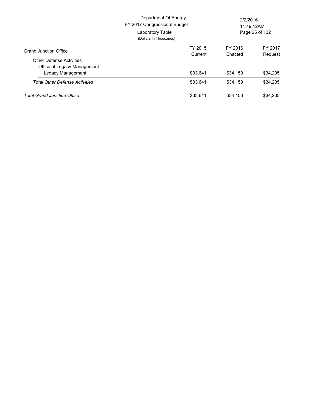|                                       | Department Of Energy<br>FY 2017 Congressional Budget<br>Laboratory Table<br>(Dollars In Thousands) | 2/2/2016<br>11:49:12AM<br>Page 25 of 132 |          |
|---------------------------------------|----------------------------------------------------------------------------------------------------|------------------------------------------|----------|
| <b>Grand Junction Office</b>          | FY 2015                                                                                            | FY 2016                                  | FY 2017  |
|                                       | Current                                                                                            | Enacted                                  | Request  |
| <b>Other Defense Activities</b>       |                                                                                                    |                                          |          |
| Office of Legacy Management           |                                                                                                    |                                          |          |
| Legacy Management                     | \$33.641                                                                                           | \$34.150                                 | \$34,205 |
| <b>Total Other Defense Activities</b> | \$33,641                                                                                           | \$34.150                                 | \$34.205 |
| <b>Total Grand Junction Office</b>    | \$33.641                                                                                           | \$34.150                                 | \$34.205 |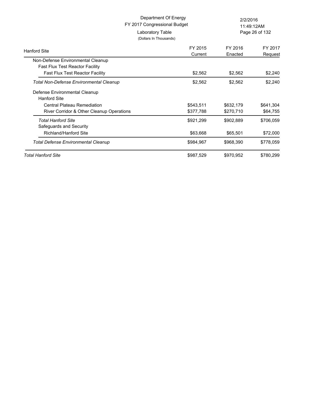| Department Of Energy<br>FY 2017 Congressional Budget                                     |                                            | 2/2/2016<br>11:49:12AM |                       |
|------------------------------------------------------------------------------------------|--------------------------------------------|------------------------|-----------------------|
|                                                                                          | Laboratory Table<br>(Dollars In Thousands) | Page 26 of 132         |                       |
| <b>Hanford Site</b>                                                                      | FY 2015<br>Current                         | FY 2016<br>Enacted     | FY 2017<br>Request    |
| Non-Defense Environmental Cleanup<br><b>Fast Flux Test Reactor Facility</b>              |                                            |                        |                       |
| <b>Fast Flux Test Reactor Facility</b><br><b>Total Non-Defense Environmental Cleanup</b> | \$2,562<br>\$2,562                         | \$2,562<br>\$2,562     | \$2,240<br>\$2,240    |
| Defense Environmental Cleanup<br>Hanford Site                                            |                                            |                        |                       |
| Central Plateau Remediation<br>River Corridor & Other Cleanup Operations                 | \$543,511<br>\$377,788                     | \$632,179<br>\$270,710 | \$641,304<br>\$64,755 |
| <b>Total Hanford Site</b><br>Safeguards and Security                                     | \$921,299                                  | \$902,889              | \$706,059             |
| Richland/Hanford Site                                                                    | \$63,668                                   | \$65,501               | \$72,000              |
| <b>Total Defense Environmental Cleanup</b>                                               | \$984,967                                  | \$968,390              | \$778,059             |
| Total Hanford Site                                                                       | \$987,529                                  | \$970,952              | \$780,299             |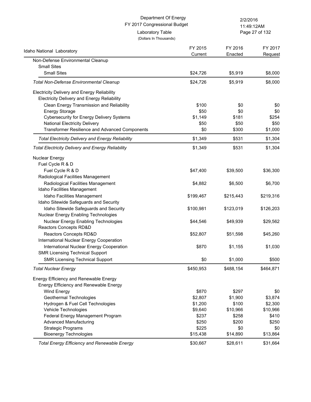|                                                                                                   | Department Of Energy<br>FY 2017 Congressional Budget |                    | 2/2/2016<br>11:49:12AM |  |
|---------------------------------------------------------------------------------------------------|------------------------------------------------------|--------------------|------------------------|--|
|                                                                                                   | Laboratory Table<br>(Dollars In Thousands)           |                    | Page 27 of 132         |  |
| Idaho National Laboratory                                                                         | FY 2015<br>Current                                   | FY 2016<br>Enacted | FY 2017<br>Request     |  |
| Non-Defense Environmental Cleanup                                                                 |                                                      |                    |                        |  |
| <b>Small Sites</b>                                                                                |                                                      |                    |                        |  |
| <b>Small Sites</b>                                                                                | \$24,726                                             | \$5,919            | \$8,000                |  |
| <b>Total Non-Defense Environmental Cleanup</b>                                                    | \$24,726                                             | \$5,919            | \$8,000                |  |
| <b>Electricity Delivery and Energy Reliability</b><br>Electricity Delivery and Energy Reliability |                                                      |                    |                        |  |
| Clean Energy Transmission and Reliability                                                         | \$100                                                | \$0                | \$0                    |  |
| <b>Energy Storage</b>                                                                             | \$50                                                 | \$0                | \$0                    |  |
| <b>Cybersecurity for Energy Delivery Systems</b>                                                  | \$1,149                                              | \$181              | \$254                  |  |
| <b>National Electricity Delivery</b>                                                              | \$50                                                 | \$50               | \$50                   |  |
| <b>Transformer Resilience and Advanced Components</b>                                             | \$0                                                  | \$300              | \$1,000                |  |
| <b>Total Electricity Delivery and Energy Reliability</b>                                          | \$1,349                                              | \$531              | \$1,304                |  |
| <b>Total Electricity Delivery and Energy Reliability</b>                                          | \$1,349                                              | \$531              | \$1,304                |  |
| <b>Nuclear Energy</b>                                                                             |                                                      |                    |                        |  |
| Fuel Cycle R & D                                                                                  |                                                      |                    |                        |  |
| Fuel Cycle R & D                                                                                  | \$47,400                                             | \$39,500           | \$36,300               |  |
| Radiological Facilities Management                                                                |                                                      |                    |                        |  |
| Radiological Facilities Management                                                                | \$4,882                                              | \$6,500            | \$6,700                |  |
| Idaho Facilities Management                                                                       |                                                      |                    |                        |  |
| Idaho Facilities Management                                                                       | \$199,467                                            | \$215,443          | \$219,316              |  |
| Idaho Sitewide Safeguards and Security                                                            |                                                      |                    |                        |  |
| Idaho Sitewide Safeguards and Security<br>Nuclear Energy Enabling Technologies                    | \$100,981                                            | \$123,019          | \$126,203              |  |
|                                                                                                   |                                                      |                    |                        |  |
| Nuclear Energy Enabling Technologies<br>Reactors Concepts RD&D                                    | \$44,546                                             | \$49,939           | \$29,562               |  |
| Reactors Concepts RD&D                                                                            | \$52,807                                             | \$51,598           | \$45,260               |  |
| International Nuclear Energy Cooperation                                                          |                                                      |                    |                        |  |
| International Nuclear Energy Cooperation                                                          | \$870                                                | \$1,155            | \$1,030                |  |
| <b>SMR Licensing Technical Support</b>                                                            |                                                      |                    |                        |  |
| <b>SMR Licensing Technical Support</b>                                                            | \$0                                                  | \$1,000            | \$500                  |  |
| <b>Total Nuclear Energy</b>                                                                       | \$450,953                                            | \$488,154          | \$464,871              |  |
| Energy Efficiency and Renewable Energy                                                            |                                                      |                    |                        |  |
| Energy Efficiency and Renewable Energy                                                            |                                                      |                    |                        |  |
| <b>Wind Energy</b>                                                                                | \$870                                                | \$297              | \$0                    |  |
| Geothermal Technologies                                                                           | \$2,807                                              | \$1,900            | \$3,874                |  |
| Hydrogen & Fuel Cell Technologies                                                                 | \$1,200                                              | \$100              | \$2,300                |  |
| Vehicle Technologies                                                                              | \$9,640                                              | \$10,966           | \$10,966               |  |
| Federal Energy Management Program                                                                 | \$237                                                | \$258              | \$410                  |  |
| <b>Advanced Manufacturing</b>                                                                     | \$250                                                | \$200              | \$250                  |  |
| <b>Strategic Programs</b>                                                                         | \$225                                                | \$0                | \$0                    |  |
| <b>Bioenergy Technologies</b>                                                                     | \$15,438                                             | \$14,890           | \$13,864               |  |
| <b>Total Energy Efficiency and Renewable Energy</b>                                               | \$30,667                                             | \$28,611           | \$31,664               |  |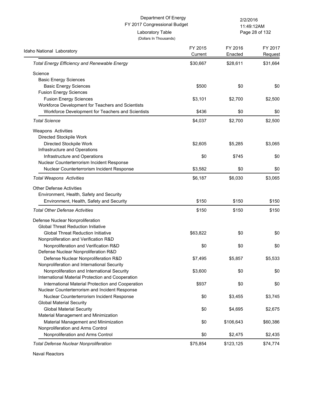Page 28 of 132 11:49:12AM

| Idaho National Laboratory                           | FY 2015<br>Current | FY 2016<br>Enacted | FY 2017<br>Request |
|-----------------------------------------------------|--------------------|--------------------|--------------------|
| <b>Total Energy Efficiency and Renewable Energy</b> | \$30,667           | \$28,611           | \$31,664           |
| Science                                             |                    |                    |                    |
| <b>Basic Energy Sciences</b>                        |                    |                    |                    |
| <b>Basic Energy Sciences</b>                        | \$500              | \$0                | \$0                |
| <b>Fusion Energy Sciences</b>                       |                    |                    |                    |
| <b>Fusion Energy Sciences</b>                       | \$3,101            | \$2,700            | \$2,500            |
| Workforce Development for Teachers and Scientists   |                    |                    |                    |
| Workforce Development for Teachers and Scientists   | \$436              | \$0                | \$0                |
| <b>Total Science</b>                                | \$4,037            | \$2,700            | \$2,500            |
| Weapons Activities                                  |                    |                    |                    |
| Directed Stockpile Work                             |                    |                    |                    |
| Directed Stockpile Work                             | \$2,605            | \$5,285            | \$3,065            |
| Infrastructure and Operations                       |                    |                    |                    |
| Infrastructure and Operations                       | \$0                | \$745              | \$0                |
| Nuclear Counterterrorism Incident Response          |                    |                    |                    |
| Nuclear Counterterrorism Incident Response          | \$3,582            | \$0                | \$0                |
| <b>Total Weapons Activities</b>                     | \$6,187            | \$6,030            | \$3,065            |
| <b>Other Defense Activities</b>                     |                    |                    |                    |
| Environment, Health, Safety and Security            |                    |                    |                    |
| Environment, Health, Safety and Security            | \$150              | \$150              | \$150              |
| <b>Total Other Defense Activities</b>               | \$150              | \$150              | \$150              |
| Defense Nuclear Nonproliferation                    |                    |                    |                    |
| <b>Global Threat Reduction Initiative</b>           |                    |                    |                    |
| <b>Global Threat Reduction Initiative</b>           | \$63,822           | \$0                | \$0                |
| Nonproliferation and Verification R&D               |                    |                    |                    |
| Nonproliferation and Verification R&D               | \$0                | \$0                | \$0                |
| Defense Nuclear Nonproliferation R&D                |                    |                    |                    |
| Defense Nuclear Nonproliferation R&D                | \$7,495            | \$5,857            | \$5,533            |
| Nonproliferation and International Security         |                    |                    |                    |
| Nonproliferation and International Security         | \$3,600            | \$0                | \$0                |
| International Material Protection and Cooperation   |                    |                    |                    |
| International Material Protection and Cooperation   | \$937              | \$0                | \$0                |
| Nuclear Counterterrorism and Incident Response      |                    |                    |                    |
| Nuclear Counterterrorism Incident Response          | \$0                | \$3,455            | \$3,745            |
| <b>Global Material Security</b>                     |                    |                    |                    |
| <b>Global Material Security</b>                     | \$0                | \$4,695            | \$2,675            |
| Material Management and Minimization                |                    |                    |                    |
| Material Management and Minimization                | \$0                | \$106,643          | \$60,386           |
| Nonproliferation and Arms Control                   |                    |                    |                    |
| Nonproliferation and Arms Control                   | \$0                | \$2,475            | \$2,435            |
| <b>Total Defense Nuclear Nonproliferation</b>       | \$75,854           | \$123,125          | \$74,774           |

Naval Reactors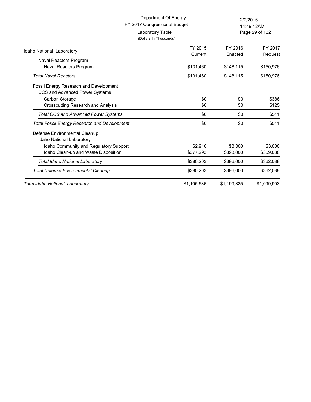Page 29 of 132 11:49:12AM

| Idaho National Laboratory                                                | FY 2015     | FY 2016     | FY 2017     |
|--------------------------------------------------------------------------|-------------|-------------|-------------|
| Naval Reactors Program                                                   | Current     | Enacted     | Request     |
| Naval Reactors Program                                                   | \$131,460   | \$148,115   | \$150,976   |
| <b>Total Naval Reactors</b>                                              | \$131,460   | \$148,115   | \$150,976   |
| Fossil Energy Research and Development<br>CCS and Advanced Power Systems |             |             |             |
| Carbon Storage                                                           | \$0         | \$0         | \$386       |
| <b>Crosscutting Research and Analysis</b>                                | \$0         | \$0         | \$125       |
| <b>Total CCS and Advanced Power Systems</b>                              | \$0         | \$0         | \$511       |
| <b>Total Fossil Energy Research and Development</b>                      | \$0         | \$0         | \$511       |
| Defense Environmental Cleanup<br>Idaho National Laboratory               |             |             |             |
| Idaho Community and Regulatory Support                                   | \$2,910     | \$3,000     | \$3,000     |
| Idaho Clean-up and Waste Disposition                                     | \$377,293   | \$393,000   | \$359,088   |
| Total Idaho National Laboratory                                          | \$380,203   | \$396,000   | \$362,088   |
| <b>Total Defense Environmental Cleanup</b>                               | \$380,203   | \$396,000   | \$362,088   |
| Total Idaho National Laboratory                                          | \$1,105,586 | \$1,199,335 | \$1,099,903 |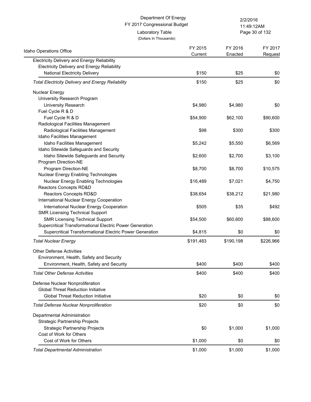(Dollars In Thousands) Laboratory Table

Page 30 of 132 11:49:12AM

| Idaho Operations Office                                  | FY 2015<br>Current | FY 2016<br>Enacted | FY 2017   |
|----------------------------------------------------------|--------------------|--------------------|-----------|
| Electricity Delivery and Energy Reliability              |                    |                    | Request   |
| <b>Electricity Delivery and Energy Reliability</b>       |                    |                    |           |
| National Electricity Delivery                            | \$150              | \$25               | \$0       |
| <b>Total Electricity Delivery and Energy Reliability</b> | \$150              | \$25               | \$0       |
| <b>Nuclear Energy</b>                                    |                    |                    |           |
| University Research Program                              |                    |                    |           |
| University Research                                      | \$4,980            | \$4,980            | \$0       |
| Fuel Cycle R & D                                         |                    |                    |           |
| Fuel Cycle R & D                                         | \$54,900           | \$62,100           | \$90,600  |
| Radiological Facilities Management                       |                    |                    |           |
| Radiological Facilities Management                       | \$98               | \$300              | \$300     |
| Idaho Facilities Management                              |                    |                    |           |
| Idaho Facilities Management                              | \$5,242            | \$5,550            | \$6,569   |
| Idaho Sitewide Safeguards and Security                   |                    |                    |           |
| Idaho Sitewide Safeguards and Security                   | \$2,600            | \$2,700            | \$3,100   |
| Program Direction-NE                                     |                    |                    |           |
| Program Direction-NE                                     | \$8,700            | \$8,700            | \$10,575  |
| Nuclear Energy Enabling Technologies                     |                    |                    |           |
| Nuclear Energy Enabling Technologies                     | \$16,489           | \$7,021            | \$4,750   |
| Reactors Concepts RD&D                                   |                    |                    |           |
| Reactors Concepts RD&D                                   | \$38,654           | \$38,212           | \$21,980  |
| International Nuclear Energy Cooperation                 |                    |                    |           |
| International Nuclear Energy Cooperation                 | \$505              | \$35               | \$492     |
| <b>SMR Licensing Technical Support</b>                   |                    |                    |           |
| <b>SMR Licensing Technical Support</b>                   | \$54,500           | \$60,600           | \$88,600  |
| Supercritical Transformational Electric Power Generation |                    |                    |           |
| Supercritical Transformational Electric Power Generation | \$4,815            | \$0                | \$0       |
| <b>Total Nuclear Energy</b>                              | \$191,483          | \$190,198          | \$226,966 |
| <b>Other Defense Activities</b>                          |                    |                    |           |
| Environment, Health, Safety and Security                 |                    |                    |           |
| Environment, Health, Safety and Security                 | \$400              | \$400              | \$400     |
| <b>Total Other Defense Activities</b>                    | \$400              | \$400              | \$400     |
| Defense Nuclear Nonproliferation                         |                    |                    |           |
| <b>Global Threat Reduction Initiative</b>                |                    |                    |           |
| <b>Global Threat Reduction Initiative</b>                | \$20               | \$0                | \$0       |
| <b>Total Defense Nuclear Nonproliferation</b>            | \$20               | \$0                | \$0       |
| Departmental Administration                              |                    |                    |           |
| <b>Strategic Partnership Projects</b>                    |                    |                    |           |
| <b>Strategic Partnership Projects</b>                    | \$0                | \$1,000            | \$1,000   |
| Cost of Work for Others                                  |                    |                    |           |
| Cost of Work for Others                                  | \$1,000            | \$0                | \$0       |
| <b>Total Departmental Administration</b>                 | \$1,000            | \$1,000            | \$1,000   |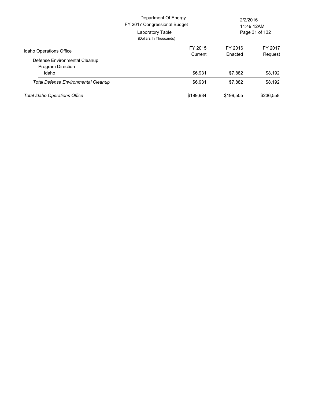|                                            | Department Of Energy<br>FY 2017 Congressional Budget<br>Laboratory Table<br>(Dollars In Thousands) | 2/2/2016<br>11:49:12AM<br>Page 31 of 132 |           |
|--------------------------------------------|----------------------------------------------------------------------------------------------------|------------------------------------------|-----------|
| <b>Idaho Operations Office</b>             | FY 2015                                                                                            | FY 2016                                  | FY 2017   |
| Defense Environmental Cleanup              | Current                                                                                            | Enacted                                  | Request   |
| Program Direction                          |                                                                                                    |                                          |           |
| Idaho                                      | \$6,931                                                                                            | \$7,882                                  | \$8,192   |
| <b>Total Defense Environmental Cleanup</b> | \$6.931                                                                                            | \$7.882                                  | \$8.192   |
| <b>Total Idaho Operations Office</b>       | \$199,984                                                                                          | \$199.505                                | \$236,558 |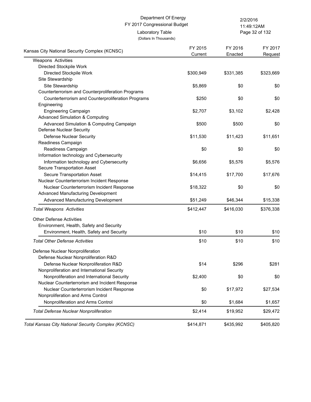(Dollars In Thousands)

Laboratory Table

Page 32 of 132 11:49:12AM

| Kansas City National Security Complex (KCNSC)       | FY 2015   | FY 2016   | FY 2017   |
|-----------------------------------------------------|-----------|-----------|-----------|
|                                                     | Current   | Enacted   | Request   |
| Weapons Activities                                  |           |           |           |
| Directed Stockpile Work                             |           |           |           |
| Directed Stockpile Work                             | \$300,949 | \$331,385 | \$323,669 |
| Site Stewardship                                    |           |           |           |
| Site Stewardship                                    | \$5,869   | \$0       | \$0       |
| Counterterrorism and Counterproliferation Programs  |           |           |           |
| Counterterrorism and Counterproliferation Programs  | \$250     | \$0       | \$0       |
| Engineering                                         |           |           |           |
| <b>Engineering Campaign</b>                         | \$2,707   | \$3,102   | \$2,428   |
| <b>Advanced Simulation &amp; Computing</b>          |           |           |           |
| Advanced Simulation & Computing Campaign            | \$500     | \$500     | \$0       |
| <b>Defense Nuclear Security</b>                     |           |           |           |
| <b>Defense Nuclear Security</b>                     | \$11,530  | \$11,423  | \$11,651  |
| Readiness Campaign                                  |           |           |           |
| Readiness Campaign                                  | \$0       | \$0       | \$0       |
| Information technology and Cybersecurity            |           |           |           |
| Information technology and Cybersecurity            | \$6,656   | \$5,576   | \$5,576   |
| Secure Transportation Asset                         |           |           |           |
| <b>Secure Transportation Asset</b>                  | \$14,415  | \$17,700  | \$17,676  |
| Nuclear Counterterrorism Incident Response          |           |           |           |
| Nuclear Counterterrorism Incident Response          | \$18,322  | \$0       | \$0       |
| Advanced Manufacturing Development                  |           |           |           |
| Advanced Manufacturing Development                  | \$51,249  | \$46,344  | \$15,338  |
| <b>Total Weapons Activities</b>                     | \$412,447 | \$416,030 | \$376,338 |
| <b>Other Defense Activities</b>                     |           |           |           |
| Environment, Health, Safety and Security            |           |           |           |
| Environment, Health, Safety and Security            | \$10      | \$10      | \$10      |
|                                                     |           |           |           |
| <b>Total Other Defense Activities</b>               | \$10      | \$10      | \$10      |
| Defense Nuclear Nonproliferation                    |           |           |           |
| Defense Nuclear Nonproliferation R&D                |           |           |           |
| Defense Nuclear Nonproliferation R&D                | \$14      | \$296     | \$281     |
| Nonproliferation and International Security         |           |           |           |
| Nonproliferation and International Security         | \$2,400   | \$0       | \$0       |
| Nuclear Counterterrorism and Incident Response      |           |           |           |
| Nuclear Counterterrorism Incident Response          | \$0       | \$17,972  | \$27,534  |
| Nonproliferation and Arms Control                   |           |           |           |
| Nonproliferation and Arms Control                   | \$0       | \$1,684   | \$1,657   |
| <b>Total Defense Nuclear Nonproliferation</b>       | \$2,414   | \$19,952  | \$29,472  |
| Total Kansas City National Security Complex (KCNSC) | \$414,871 | \$435,992 | \$405,820 |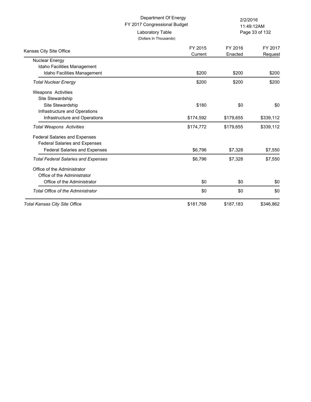(Dollars In Thousands)

Laboratory Table

Page 33 of 132 11:49:12AM

| Kansas City Site Office                    | FY 2015<br>Current | FY 2016<br>Enacted | FY 2017<br>Request |
|--------------------------------------------|--------------------|--------------------|--------------------|
| Nuclear Energy                             |                    |                    |                    |
| Idaho Facilities Management                |                    |                    |                    |
| Idaho Facilities Management                | \$200              | \$200              | \$200              |
| <b>Total Nuclear Energy</b>                | \$200              | \$200              | \$200              |
| <b>Weapons Activities</b>                  |                    |                    |                    |
| Site Stewardship                           |                    |                    |                    |
| Site Stewardship                           | \$180              | \$0                | \$0                |
| Infrastructure and Operations              |                    |                    |                    |
| Infrastructure and Operations              | \$174,592          | \$179,655          | \$339,112          |
| <b>Total Weapons Activities</b>            | \$174,772          | \$179,655          | \$339,112          |
| <b>Federal Salaries and Expenses</b>       |                    |                    |                    |
| <b>Federal Salaries and Expenses</b>       |                    |                    |                    |
| <b>Federal Salaries and Expenses</b>       | \$6,796            | \$7,328            | \$7,550            |
| <b>Total Federal Salaries and Expenses</b> | \$6,796            | \$7,328            | \$7,550            |
| Office of the Administrator                |                    |                    |                    |
| Office of the Administrator                |                    |                    |                    |
| Office of the Administrator                | \$0                | \$0                | \$0                |
| <b>Total Office of the Administrator</b>   | \$0                | \$0                | \$0                |
| <b>Total Kansas City Site Office</b>       | \$181,768          | \$187,183          | \$346,862          |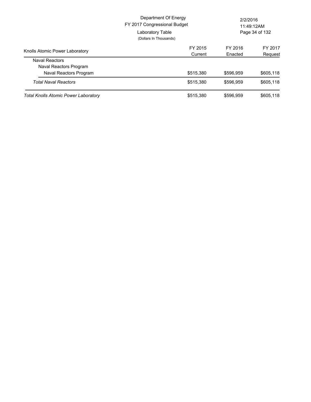|                                             | Department Of Energy<br>FY 2017 Congressional Budget<br>Laboratory Table<br>(Dollars In Thousands) | 2/2/2016<br>11:49:12AM<br>Page 34 of 132 |           |
|---------------------------------------------|----------------------------------------------------------------------------------------------------|------------------------------------------|-----------|
| Knolls Atomic Power Laboratory              | FY 2015                                                                                            | FY 2016                                  | FY 2017   |
| <b>Naval Reactors</b>                       | Current                                                                                            | Enacted                                  | Request   |
| Naval Reactors Program                      |                                                                                                    |                                          |           |
| Naval Reactors Program                      | \$515,380                                                                                          | \$596.959                                | \$605,118 |
| <b>Total Naval Reactors</b>                 | \$515,380                                                                                          | \$596.959                                | \$605,118 |
| <b>Total Knolls Atomic Power Laboratory</b> | \$515,380                                                                                          | \$596.959                                | \$605,118 |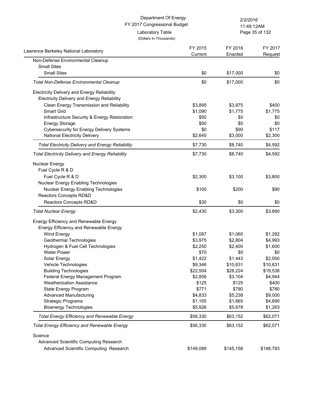Page 35 of 132 11:49:12AM

FY 2016 Enacted

FY 2015

FY 2017 Request

(Dollars In Thousands)

Lawrence Berkeley National Laboratory **Current Containers** Current Current

| Non-Defense Environmental Cleanup                        |         |          |         |
|----------------------------------------------------------|---------|----------|---------|
| <b>Small Sites</b>                                       |         |          |         |
| <b>Small Sites</b>                                       | \$0     | \$17,000 | \$0     |
| <b>Total Non-Defense Environmental Cleanup</b>           | \$0     | \$17,000 | \$0     |
| <b>Electricity Delivery and Energy Reliability</b>       |         |          |         |
| <b>Electricity Delivery and Energy Reliability</b>       |         |          |         |
| Clean Energy Transmission and Reliability                | \$3,895 | \$3,875  | \$400   |
| <b>Smart Grid</b>                                        | \$1,090 | \$1,775  | \$1,775 |
| Infrastructure Security & Energy Restoration             | \$50    | \$0      | \$0     |
| <b>Energy Storage</b>                                    | \$50    | \$0      | \$0     |
| <b>Cybersecurity for Energy Delivery Systems</b>         | \$0     | \$90     | \$117   |
| <b>National Electricity Delivery</b>                     | \$2,645 | \$3,000  | \$2,300 |
| <b>Total Electricity Delivery and Energy Reliability</b> | \$7,730 | \$8,740  | \$4,592 |
| <b>Total Electricity Delivery and Energy Reliability</b> | \$7,730 | \$8,740  | \$4,592 |
| Nuclear Energy                                           |         |          |         |
| Fuel Cycle R & D                                         |         |          |         |
| Fuel Cycle R & D                                         | \$2,300 | \$3,100  | \$3,800 |
| <b>Nuclear Energy Enabling Technologies</b>              |         |          |         |
| <b>Nuclear Energy Enabling Technologies</b>              | \$100   | \$200    | \$90    |
| Reactors Concepts RD&D                                   |         |          |         |
| <b>Reactors Concepts RD&amp;D</b>                        | \$30    | \$0      | \$0     |
| <b>Total Nuclear Energy</b>                              | \$2,430 | \$3,300  | \$3,890 |
| Energy Efficiency and Renewable Energy                   |         |          |         |
| Energy Efficiency and Renewable Energy                   |         |          |         |
| Wind Energy                                              | \$1,087 | \$1,060  | \$1,282 |
| Geothermal Technologies                                  | \$3,975 | \$2,804  | \$4,993 |

Electricity Deli Clean Energy Transmission and Reliability \$3,895 \$3,875 \$400 Smart Grid \$1,775 \$1,775 \$1,775 \$1,775 \$1,775 \$1,775 \$1,775 \$1,775 \$1,775 Infrastructure Security & Energy Restoration \$50 \$0 \$0 Energy Storage \$50 \$0 \$0 Cybersecurity for Energy Delivery Systems \$0 \$90 \$117 National Electricity Delivery \$2,645 \$3,000 \$2,300 *Total Electricity Delivery and Energy Reliability* \$7,730 \$8,740 \$4,592 *Total Electricity Delivery and Energy Reliability* \$7,730 \$8,740 \$4,592 Nuclear Energy Fuel Cycle R Fuel Cycle R & D \$2,300 \$3,100 \$3,800 Nuclear Energ Nuclear Energy Enabling Technologies \$100 \$200 \$90 Reactors Con Reactors Concepts RD&D \$30 \$0 \$0 **Total Nuclear Energy 53,890** \$3,890 \$3,890 \$3,890 \$3,890 \$3,890 \$3,890 \$3,890 \$3,890 \$3,890 \$3,890 \$3,890 \$3,890 \$3,890 \$3,890 \$3,890 \$3,890 \$3,890 \$3,890 \$3,890 \$3,890 \$3,890 \$3,890 \$3,890 \$3,890 \$3,890 \$3,890 \$3,890 \$3, Energy Efficiency Energy Efficie Wind Energy \$1,087 \$1,060 \$1,282 Geothermal Technologies \$3,975 \$2,804 \$4,993 Hydrogen & Fuel Cell Technologies **\$2,250** \$2,400 \$1,600 Water Power \$70 \$0 \$0 Solar Energy \$1,422 \$1,443 \$2,950 Vehicle Technologies **69,346** \$10,631 \$10,631 Building Technologies **622,504** \$22,504 \$28,224 \$19,538 Federal Energy Management Program  $$2,856$   $$3,104$   $$4,944$ Weatherization Assistance **\$125** \$400 State Energy Program \$771 \$780 \$780 Advanced Manufacturing **1990 1991 1991 1991 1991 1991 1991 1992 1993 1996 1991 1992 1996 1991 1992 1996 1992 1996 1992 1996 1992 1996 1992 1996 1992 1993 1992 1993 19** Strategic Programs  $$1,165$   $$1,665$   $$4,690$ Bioenergy Technologies **65,926** \$5,926 \$5,678 \$1,263 *Total Energy Efficiency and Renewable Energy* \$56,330 \$63,152 \$62,071 *Total Energy Efficiency and Renewable Energy* \$56,330 \$63,152 \$62,071 **Science** Advanced Scientific Computing Research Advanced Scientific Computing Research  $$149,089$  \$145,158 \$148,793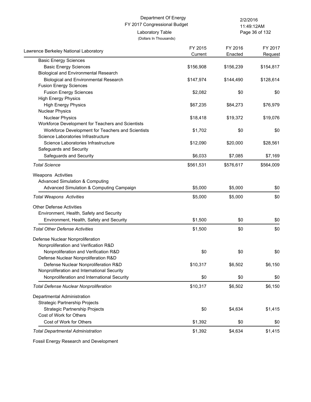Page 36 of 132 11:49:12AM

| Lawrence Berkeley National Laboratory             | FY 2015<br>Current | FY 2016<br>Enacted | FY 2017<br>Request |
|---------------------------------------------------|--------------------|--------------------|--------------------|
| <b>Basic Energy Sciences</b>                      |                    |                    |                    |
| <b>Basic Energy Sciences</b>                      | \$156,908          | \$156,239          | \$154,817          |
| <b>Biological and Environmental Research</b>      |                    |                    |                    |
| <b>Biological and Environmental Research</b>      | \$147,974          | \$144,490          | \$128,614          |
| <b>Fusion Energy Sciences</b>                     |                    |                    |                    |
| <b>Fusion Energy Sciences</b>                     | \$2,082            | \$0                | \$0                |
| <b>High Energy Physics</b>                        |                    |                    |                    |
| <b>High Energy Physics</b>                        | \$67,235           | \$84,273           | \$76,979           |
| <b>Nuclear Physics</b>                            |                    |                    |                    |
| <b>Nuclear Physics</b>                            | \$18,418           | \$19,372           | \$19,076           |
| Workforce Development for Teachers and Scientists |                    |                    |                    |
| Workforce Development for Teachers and Scientists | \$1,702            | \$0                | \$0                |
| Science Laboratories Infrastructure               |                    |                    |                    |
| Science Laboratories Infrastructure               | \$12,090           | \$20,000           | \$28,561           |
| Safeguards and Security                           |                    |                    |                    |
| Safeguards and Security                           | \$6,033            | \$7,085            | \$7,169            |
| <b>Total Science</b>                              | \$561,531          | \$576,617          | \$564,009          |
| Weapons Activities                                |                    |                    |                    |
| <b>Advanced Simulation &amp; Computing</b>        |                    |                    |                    |
| Advanced Simulation & Computing Campaign          | \$5,000            | \$5,000            | \$0                |
| <b>Total Weapons Activities</b>                   | \$5,000            | \$5,000            | \$0                |
| <b>Other Defense Activities</b>                   |                    |                    |                    |
| Environment, Health, Safety and Security          |                    |                    |                    |
| Environment, Health, Safety and Security          | \$1,500            | \$0                | \$0                |
| <b>Total Other Defense Activities</b>             | \$1,500            | \$0                | \$0                |
| Defense Nuclear Nonproliferation                  |                    |                    |                    |
| Nonproliferation and Verification R&D             |                    |                    |                    |
| Nonproliferation and Verification R&D             | \$0                | \$0                | \$0                |
| Defense Nuclear Nonproliferation R&D              |                    |                    |                    |
| Defense Nuclear Nonproliferation R&D              | \$10,317           | \$6,502            | \$6,150            |
| Nonproliferation and International Security       |                    |                    |                    |
| Nonproliferation and International Security       | \$0                | \$0                | \$0                |
| <b>Total Defense Nuclear Nonproliferation</b>     | \$10,317           | \$6,502            | \$6,150            |
| Departmental Administration                       |                    |                    |                    |
| <b>Strategic Partnership Projects</b>             |                    |                    |                    |
| Strategic Partnership Projects                    | \$0                | \$4,634            | \$1,415            |
| Cost of Work for Others                           |                    |                    |                    |
| Cost of Work for Others                           | \$1,392            | \$0                | \$0                |
| <b>Total Departmental Administration</b>          | \$1,392            | \$4,634            | \$1,415            |

Fossil Energy Research and Development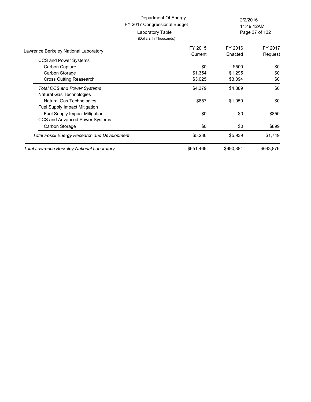Page 37 of 132 11:49:12AM

| Lawrence Berkeley National Laboratory               | FY 2015   | FY 2016   | FY 2017   |
|-----------------------------------------------------|-----------|-----------|-----------|
|                                                     | Current   | Enacted   | Request   |
| CCS and Power Systems                               |           |           |           |
| Carbon Capture                                      | \$0       | \$500     | \$0       |
| Carbon Storage                                      | \$1,354   | \$1,295   | \$0       |
| <b>Cross Cutting Reasearch</b>                      | \$3,025   | \$3,094   | \$0       |
| <b>Total CCS and Power Systems</b>                  | \$4,379   | \$4,889   | \$0       |
| Natural Gas Technologies                            |           |           |           |
| Natural Gas Technologies                            | \$857     | \$1,050   | \$0       |
| <b>Fuel Supply Impact Mitigation</b>                |           |           |           |
| <b>Fuel Supply Impact Mitigation</b>                | \$0       | \$0       | \$850     |
| CCS and Advanced Power Systems                      |           |           |           |
| Carbon Storage                                      | \$0       | \$0       | \$899     |
| <b>Total Fossil Energy Research and Development</b> | \$5,236   | \$5,939   | \$1,749   |
| Total Lawrence Berkeley National Laboratory         | \$651,466 | \$690,884 | \$643.876 |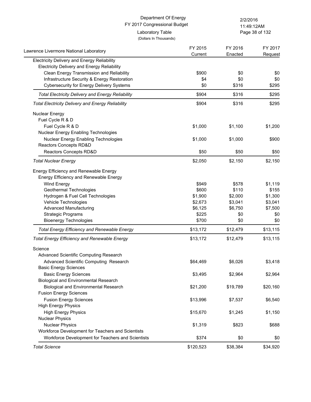| Department Of Energy<br>FY 2017 Congressional Budget                                              |                                            | 2/2/2016<br>11:49:12AM |                    |
|---------------------------------------------------------------------------------------------------|--------------------------------------------|------------------------|--------------------|
|                                                                                                   | Laboratory Table<br>(Dollars In Thousands) |                        | Page 38 of 132     |
| Lawrence Livermore National Laboratory                                                            | FY 2015<br>Current                         | FY 2016<br>Enacted     | FY 2017<br>Request |
| Electricity Delivery and Energy Reliability<br><b>Electricity Delivery and Energy Reliability</b> |                                            |                        |                    |
| Clean Energy Transmission and Reliability                                                         | \$900                                      | \$0                    | \$0                |
| Infrastructure Security & Energy Restoration                                                      | \$4                                        | \$0                    | \$0                |
| <b>Cybersecurity for Energy Delivery Systems</b>                                                  | \$0                                        | \$316                  | \$295              |
| <b>Total Electricity Delivery and Energy Reliability</b>                                          | \$904                                      | \$316                  | \$295              |
| <b>Total Electricity Delivery and Energy Reliability</b>                                          | \$904                                      | \$316                  | \$295              |
| <b>Nuclear Energy</b>                                                                             |                                            |                        |                    |
| Fuel Cycle R & D                                                                                  |                                            |                        |                    |
| Fuel Cycle R & D                                                                                  | \$1,000                                    | \$1,100                | \$1,200            |
| Nuclear Energy Enabling Technologies                                                              |                                            |                        |                    |
| Nuclear Energy Enabling Technologies                                                              | \$1,000                                    | \$1,000                | \$900              |
| Reactors Concepts RD&D                                                                            |                                            |                        |                    |
| Reactors Concepts RD&D                                                                            | \$50                                       | \$50                   | \$50               |
| <b>Total Nuclear Energy</b>                                                                       | \$2,050                                    | \$2,150                | \$2,150            |
| Energy Efficiency and Renewable Energy                                                            |                                            |                        |                    |
| Energy Efficiency and Renewable Energy                                                            |                                            |                        |                    |
| Wind Energy                                                                                       | \$949                                      | \$578                  | \$1,119            |
| Geothermal Technologies                                                                           | \$600                                      | \$110                  | \$155              |
| Hydrogen & Fuel Cell Technologies                                                                 | \$1,900                                    | \$2,000                | \$1,300            |
| Vehicle Technologies                                                                              | \$2,673                                    | \$3,041                | \$3,041            |
| <b>Advanced Manufacturing</b>                                                                     | \$6,125                                    | \$6,750                | \$7,500            |
| <b>Strategic Programs</b>                                                                         | \$225                                      | \$0                    | \$0                |
| <b>Bioenergy Technologies</b>                                                                     | \$700                                      | \$0                    | \$0                |
| <b>Total Energy Efficiency and Renewable Energy</b>                                               | \$13,172                                   | \$12,479               | \$13,115           |
| <b>Total Energy Efficiency and Renewable Energy</b>                                               | \$13,172                                   | \$12,479               | \$13,115           |
| Science                                                                                           |                                            |                        |                    |
| Advanced Scientific Computing Research                                                            |                                            |                        |                    |
| Advanced Scientific Computing Research                                                            | \$64,469                                   | \$6,026                | \$3,418            |
| <b>Basic Energy Sciences</b>                                                                      |                                            |                        |                    |
| <b>Basic Energy Sciences</b>                                                                      | \$3,495                                    | \$2,964                | \$2,964            |
| <b>Biological and Environmental Research</b>                                                      |                                            |                        |                    |
| Biological and Environmental Research                                                             | \$21,200                                   | \$19,789               | \$20,160           |
| <b>Fusion Energy Sciences</b>                                                                     |                                            |                        |                    |
| <b>Fusion Energy Sciences</b>                                                                     | \$13,996                                   | \$7,537                | \$6,540            |
| <b>High Energy Physics</b>                                                                        |                                            |                        |                    |
| <b>High Energy Physics</b>                                                                        | \$15,670                                   | \$1,245                | \$1,150            |
| <b>Nuclear Physics</b>                                                                            |                                            |                        |                    |
| <b>Nuclear Physics</b>                                                                            | \$1,319                                    | \$823                  | \$688              |
| Workforce Development for Teachers and Scientists                                                 |                                            |                        |                    |
| Workforce Development for Teachers and Scientists                                                 | \$374                                      | \$0                    | \$0                |
| <b>Total Science</b>                                                                              | \$120,523                                  | \$38,384               | \$34,920           |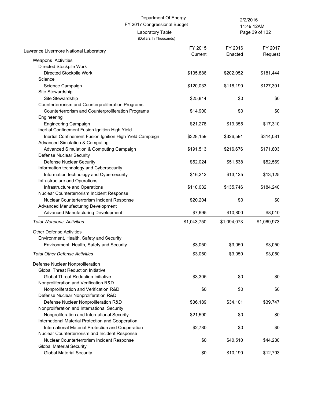(Dollars In Thousands)

Laboratory Table

Page 39 of 132 11:49:12AM

| Lawrence Livermore National Laboratory                   | FY 2015     | FY 2016     | FY 2017     |
|----------------------------------------------------------|-------------|-------------|-------------|
| Weapons Activities                                       | Current     | Enacted     | Request     |
| Directed Stockpile Work                                  |             |             |             |
| Directed Stockpile Work                                  | \$135,886   | \$202,052   | \$181,444   |
| Science                                                  |             |             |             |
| Science Campaign                                         | \$120,033   | \$118,190   | \$127,391   |
| Site Stewardship                                         |             |             |             |
| Site Stewardship                                         | \$25,814    | \$0         | \$0         |
| Counterterrorism and Counterproliferation Programs       |             |             |             |
| Counterterrorism and Counterproliferation Programs       | \$14,900    | \$0         | \$0         |
| Engineering                                              |             |             |             |
| <b>Engineering Campaign</b>                              | \$21,278    | \$19,355    | \$17,310    |
| Inertial Confinement Fusion Ignition High Yield          |             |             |             |
| Inertial Confinement Fusion Ignition High Yield Campaign | \$328,159   | \$326,591   | \$314,081   |
| <b>Advanced Simulation &amp; Computing</b>               |             |             |             |
| Advanced Simulation & Computing Campaign                 | \$191,513   | \$216,676   | \$171,803   |
| <b>Defense Nuclear Security</b>                          |             |             |             |
| Defense Nuclear Security                                 | \$52,024    | \$51,538    | \$52,569    |
| Information technology and Cybersecurity                 |             |             |             |
| Information technology and Cybersecurity                 | \$16,212    | \$13,125    | \$13,125    |
| Infrastructure and Operations                            |             |             |             |
| Infrastructure and Operations                            | \$110,032   | \$135,746   | \$184,240   |
| Nuclear Counterterrorism Incident Response               |             |             |             |
| Nuclear Counterterrorism Incident Response               | \$20,204    | \$0         | \$0         |
| Advanced Manufacturing Development                       |             |             |             |
| Advanced Manufacturing Development                       | \$7,695     | \$10,800    | \$8,010     |
| <b>Total Weapons Activities</b>                          | \$1,043,750 | \$1,094,073 | \$1,069,973 |
| <b>Other Defense Activities</b>                          |             |             |             |
| Environment, Health, Safety and Security                 |             |             |             |
| Environment, Health, Safety and Security                 | \$3,050     | \$3,050     | \$3,050     |
| <b>Total Other Defense Activities</b>                    | \$3,050     | \$3,050     | \$3,050     |
|                                                          |             |             |             |
| Defense Nuclear Nonproliferation                         |             |             |             |
| <b>Global Threat Reduction Initiative</b>                |             |             |             |
| <b>Global Threat Reduction Initiative</b>                | \$3,305     | \$0         | \$0         |
| Nonproliferation and Verification R&D                    |             |             |             |
| Nonproliferation and Verification R&D                    | \$0         | \$0         | \$0         |
| Defense Nuclear Nonproliferation R&D                     |             |             |             |
| Defense Nuclear Nonproliferation R&D                     | \$36,189    | \$34,101    | \$39,747    |
| Nonproliferation and International Security              |             |             |             |
| Nonproliferation and International Security              | \$21,590    | \$0         | \$0         |
| International Material Protection and Cooperation        |             |             |             |
| International Material Protection and Cooperation        | \$2,780     | \$0         | \$0         |
| Nuclear Counterterrorism and Incident Response           |             |             |             |
| Nuclear Counterterrorism Incident Response               | \$0         | \$40,510    | \$44,230    |
| <b>Global Material Security</b>                          |             |             |             |
| <b>Global Material Security</b>                          | \$0         | \$10,190    | \$12,793    |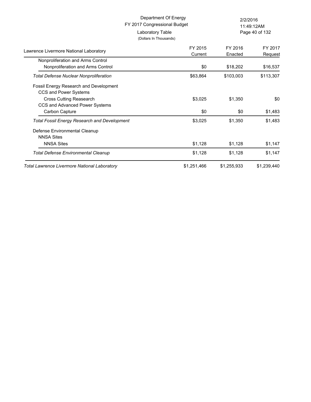| Department Of Energy<br>FY 2017 Congressional Budget<br>Laboratory Table<br>(Dollars In Thousands) |             | 2/2/2016<br>11:49:12AM<br>Page 40 of 132 |             |
|----------------------------------------------------------------------------------------------------|-------------|------------------------------------------|-------------|
|                                                                                                    | FY 2015     | FY 2016                                  | FY 2017     |
| Lawrence Livermore National Laboratory                                                             | Current     | Enacted                                  | Request     |
| Nonproliferation and Arms Control                                                                  |             |                                          |             |
| Nonproliferation and Arms Control                                                                  | \$0         | \$18,202                                 | \$16,537    |
| <b>Total Defense Nuclear Nonproliferation</b>                                                      | \$63,864    | \$103,003                                | \$113,307   |
| <b>Fossil Energy Research and Development</b>                                                      |             |                                          |             |
| CCS and Power Systems<br>Cross Cutting Reasearch                                                   | \$3,025     | \$1,350                                  | \$0         |
| CCS and Advanced Power Systems                                                                     |             |                                          |             |
| Carbon Capture                                                                                     | \$0         | \$0                                      | \$1,483     |
| <b>Total Fossil Energy Research and Development</b>                                                | \$3,025     | \$1,350                                  | \$1,483     |
| Defense Environmental Cleanup                                                                      |             |                                          |             |
| <b>NNSA Sites</b>                                                                                  |             |                                          |             |
| <b>NNSA Sites</b>                                                                                  | \$1,128     | \$1,128                                  | \$1,147     |
| <b>Total Defense Environmental Cleanup</b>                                                         | \$1,128     | \$1,128                                  | \$1,147     |
| <b>Total Lawrence Livermore National Laboratory</b>                                                | \$1,251,466 | \$1,255,933                              | \$1,239,440 |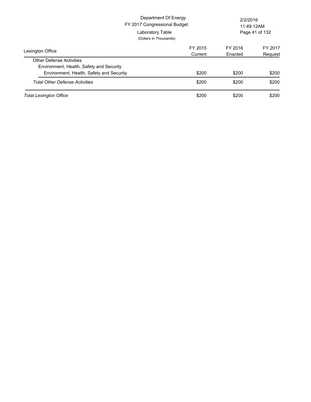|                                          | Department Of Energy<br>FY 2017 Congressional Budget<br>Laboratory Table<br>(Dollars In Thousands) | 2/2/2016 | 11:49:12AM<br>Page 41 of 132 |
|------------------------------------------|----------------------------------------------------------------------------------------------------|----------|------------------------------|
| Lexington Office                         | FY 2015                                                                                            | FY 2016  | FY 2017                      |
|                                          | Current                                                                                            | Enacted  | Request                      |
| <b>Other Defense Activities</b>          |                                                                                                    |          |                              |
| Environment, Health, Safety and Security |                                                                                                    |          |                              |
| Environment, Health, Safety and Security | \$200                                                                                              | \$200    | \$200                        |
| <b>Total Other Defense Activities</b>    | \$200                                                                                              | \$200    | \$200                        |
| <b>Total Lexington Office</b>            | \$200                                                                                              | \$200    | \$200                        |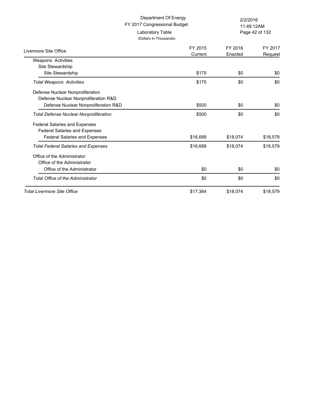| Department Of Energy<br>FY 2017 Congressional Budget |                                            | 2/2/2016<br>11:49:12AM |                    |
|------------------------------------------------------|--------------------------------------------|------------------------|--------------------|
|                                                      | Laboratory Table<br>(Dollars In Thousands) | Page 42 of 132         |                    |
| Livermore Site Office                                | FY 2015<br>Current                         | FY 2016<br>Enacted     | FY 2017<br>Request |
| <b>Weapons Activities</b>                            |                                            |                        |                    |
| Site Stewardship                                     |                                            |                        |                    |
| Site Stewardship                                     | \$175                                      | \$0                    | \$0                |
| <b>Total Weapons Activities</b>                      | \$175                                      | \$0                    | \$0                |
| Defense Nuclear Nonproliferation                     |                                            |                        |                    |
| Defense Nuclear Nonproliferation R&D                 |                                            |                        |                    |
| Defense Nuclear Nonproliferation R&D                 | \$500                                      | \$0                    | \$0                |
| <b>Total Defense Nuclear Nonproliferation</b>        | \$500                                      | \$0                    | \$0                |
| <b>Federal Salaries and Expenses</b>                 |                                            |                        |                    |
| <b>Federal Salaries and Expenses</b>                 |                                            |                        |                    |
| <b>Federal Salaries and Expenses</b>                 | \$16,689                                   | \$18,074               | \$18,579           |
| <b>Total Federal Salaries and Expenses</b>           | \$16,689                                   | \$18,074               | \$18,579           |
| Office of the Administrator                          |                                            |                        |                    |
| Office of the Administrator                          |                                            |                        |                    |
| Office of the Administrator                          | \$0                                        | \$0                    | \$0                |
| <b>Total Office of the Administrator</b>             | \$0                                        | \$0                    | \$0                |
| <b>Total Livermore Site Office</b>                   | \$17,364                                   | \$18,074               | \$18,579           |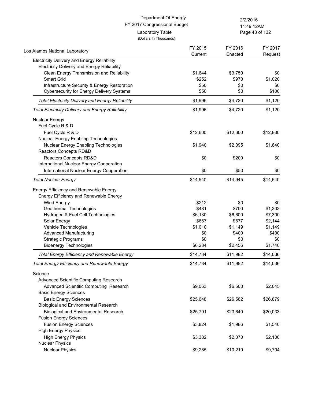Page 43 of 132 11:49:12AM

| Los Alamos National Laboratory                           | FY 2015  | FY 2016  | FY 2017  |
|----------------------------------------------------------|----------|----------|----------|
| <b>Electricity Delivery and Energy Reliability</b>       | Current  | Enacted  | Request  |
| <b>Electricity Delivery and Energy Reliability</b>       |          |          |          |
| Clean Energy Transmission and Reliability                | \$1,644  | \$3,750  | \$0      |
| <b>Smart Grid</b>                                        | \$252    | \$970    | \$1,020  |
| Infrastructure Security & Energy Restoration             | \$50     | \$0      | \$0      |
| <b>Cybersecurity for Energy Delivery Systems</b>         | \$50     | \$0      | \$100    |
| <b>Total Electricity Delivery and Energy Reliability</b> | \$1,996  | \$4,720  | \$1,120  |
| <b>Total Electricity Delivery and Energy Reliability</b> | \$1,996  | \$4,720  | \$1,120  |
| Nuclear Energy                                           |          |          |          |
| Fuel Cycle R & D                                         |          |          |          |
| Fuel Cycle R & D                                         | \$12,600 | \$12,600 | \$12,800 |
| Nuclear Energy Enabling Technologies                     |          |          |          |
| Nuclear Energy Enabling Technologies                     | \$1,940  | \$2,095  | \$1,840  |
| Reactors Concepts RD&D                                   |          |          |          |
| Reactors Concepts RD&D                                   | \$0      | \$200    | \$0      |
| International Nuclear Energy Cooperation                 |          |          |          |
| International Nuclear Energy Cooperation                 | \$0      | \$50     | \$0      |
| <b>Total Nuclear Energy</b>                              | \$14,540 | \$14,945 | \$14,640 |
| Energy Efficiency and Renewable Energy                   |          |          |          |
| Energy Efficiency and Renewable Energy                   |          |          |          |
| Wind Energy                                              | \$212    | \$0      | \$0      |
| Geothermal Technologies                                  | \$481    | \$700    | \$1,303  |
| Hydrogen & Fuel Cell Technologies                        | \$6,130  | \$6,600  | \$7,300  |
| Solar Energy                                             | \$667    | \$677    | \$2,144  |
| Vehicle Technologies                                     | \$1,010  | \$1,149  | \$1,149  |
| <b>Advanced Manufacturing</b>                            | \$0      | \$400    | \$400    |
| <b>Strategic Programs</b>                                | \$0      | \$0      | \$0      |
| <b>Bioenergy Technologies</b>                            | \$6,234  | \$2,456  | \$1,740  |
| <b>Total Energy Efficiency and Renewable Energy</b>      | \$14,734 | \$11,982 | \$14,036 |
| <b>Total Energy Efficiency and Renewable Energy</b>      | \$14,734 | \$11,982 | \$14,036 |
| Science                                                  |          |          |          |
| Advanced Scientific Computing Research                   |          |          |          |
| Advanced Scientific Computing Research                   | \$9,063  | \$6,503  | \$2,045  |
| <b>Basic Energy Sciences</b>                             |          |          |          |
| <b>Basic Energy Sciences</b>                             | \$25,648 | \$26,562 | \$26,879 |
| <b>Biological and Environmental Research</b>             |          |          |          |
| <b>Biological and Environmental Research</b>             | \$25,791 | \$23,640 | \$20,033 |
| <b>Fusion Energy Sciences</b>                            |          |          |          |
| <b>Fusion Energy Sciences</b>                            | \$3,824  | \$1,986  | \$1,540  |
| <b>High Energy Physics</b>                               |          |          |          |
| <b>High Energy Physics</b>                               | \$3,382  | \$2,070  | \$2,100  |
| <b>Nuclear Physics</b>                                   |          |          |          |
| <b>Nuclear Physics</b>                                   | \$9,285  | \$10,219 | \$9,704  |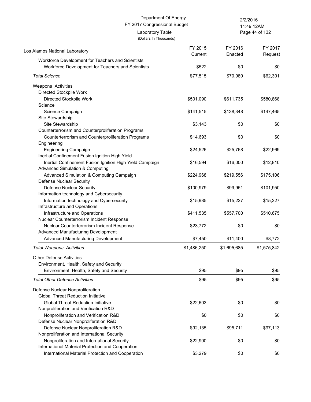(Dollars In Thousands)

Page 44 of 132 11:49:12AM

| Los Alamos National Laboratory                           | FY 2015<br>Current | FY 2016<br>Enacted | FY 2017<br>Request |
|----------------------------------------------------------|--------------------|--------------------|--------------------|
| Workforce Development for Teachers and Scientists        |                    |                    |                    |
| Workforce Development for Teachers and Scientists        | \$522              | \$0                | \$0                |
| <b>Total Science</b>                                     | \$77,515           | \$70,980           | \$62,301           |
| Weapons Activities                                       |                    |                    |                    |
| Directed Stockpile Work                                  |                    |                    |                    |
| Directed Stockpile Work                                  | \$501,090          | \$611,735          | \$580,868          |
| Science                                                  |                    |                    |                    |
| Science Campaign                                         | \$141,515          | \$138,348          | \$147,465          |
| Site Stewardship                                         |                    |                    |                    |
| Site Stewardship                                         | \$3,143            | \$0                | \$0                |
| Counterterrorism and Counterproliferation Programs       |                    |                    |                    |
| Counterterrorism and Counterproliferation Programs       | \$14,693           | \$0                | \$0                |
| Engineering                                              |                    |                    |                    |
| <b>Engineering Campaign</b>                              | \$24,526           | \$25,768           | \$22,969           |
| Inertial Confinement Fusion Ignition High Yield          |                    |                    |                    |
| Inertial Confinement Fusion Ignition High Yield Campaign | \$16,594           | \$16,000           | \$12,810           |
| <b>Advanced Simulation &amp; Computing</b>               |                    |                    |                    |
| Advanced Simulation & Computing Campaign                 | \$224,968          | \$219,556          | \$175,106          |
| <b>Defense Nuclear Security</b>                          |                    |                    |                    |
| Defense Nuclear Security                                 | \$100,979          | \$99,951           | \$101,950          |
| Information technology and Cybersecurity                 |                    |                    |                    |
| Information technology and Cybersecurity                 | \$15,985           | \$15,227           | \$15,227           |
| Infrastructure and Operations                            |                    |                    |                    |
| Infrastructure and Operations                            | \$411,535          | \$557,700          | \$510,675          |
| Nuclear Counterterrorism Incident Response               |                    |                    |                    |
| Nuclear Counterterrorism Incident Response               | \$23,772           | \$0                | \$0                |
| Advanced Manufacturing Development                       |                    |                    |                    |
| Advanced Manufacturing Development                       | \$7,450            | \$11,400           | \$8,772            |
| <b>Total Weapons Activities</b>                          | \$1,486,250        | \$1,695,685        | \$1,575,842        |
| <b>Other Defense Activities</b>                          |                    |                    |                    |
| Environment, Health, Safety and Security                 |                    |                    |                    |
| Environment, Health, Safety and Security                 | \$95               | \$95               | \$95               |
| <b>Total Other Defense Activities</b>                    | \$95               | \$95               | \$95               |
| Defense Nuclear Nonproliferation                         |                    |                    |                    |
| <b>Global Threat Reduction Initiative</b>                |                    |                    |                    |
| <b>Global Threat Reduction Initiative</b>                | \$22,603           | \$0                | \$0                |
| Nonproliferation and Verification R&D                    |                    |                    |                    |
| Nonproliferation and Verification R&D                    | \$0                | \$0                | \$0                |
| Defense Nuclear Nonproliferation R&D                     |                    |                    |                    |
| Defense Nuclear Nonproliferation R&D                     | \$92,135           | \$95,711           | \$97,113           |
| Nonproliferation and International Security              |                    |                    |                    |
| Nonproliferation and International Security              | \$22,900           | \$0                | \$0                |
| International Material Protection and Cooperation        |                    |                    |                    |
| International Material Protection and Cooperation        | \$3,279            | \$0                | \$0                |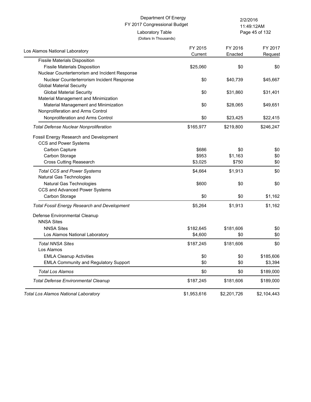Page 45 of 132 11:49:12AM

| Los Alamos National Laboratory                      | FY 2015<br>Current | FY 2016<br>Enacted | FY 2017<br>Request |
|-----------------------------------------------------|--------------------|--------------------|--------------------|
| <b>Fissile Materials Disposition</b>                |                    |                    |                    |
| <b>Fissile Materials Disposition</b>                | \$25,060           | \$0                | \$0                |
| Nuclear Counterterrorism and Incident Response      |                    |                    |                    |
| Nuclear Counterterrorism Incident Response          | \$0                | \$40,739           | \$45,667           |
| <b>Global Material Security</b>                     |                    |                    |                    |
| <b>Global Material Security</b>                     | \$0                | \$31,860           | \$31,401           |
| Material Management and Minimization                |                    |                    |                    |
| Material Management and Minimization                | \$0                | \$28,065           | \$49,651           |
| Nonproliferation and Arms Control                   |                    |                    |                    |
| Nonproliferation and Arms Control                   | \$0                | \$23,425           | \$22,415           |
| <b>Total Defense Nuclear Nonproliferation</b>       | \$165,977          | \$219,800          | \$246,247          |
| Fossil Energy Research and Development              |                    |                    |                    |
| CCS and Power Systems                               |                    |                    |                    |
| Carbon Capture                                      | \$686              | \$0                | \$0                |
| Carbon Storage                                      | \$953              | \$1,163            | \$0                |
| <b>Cross Cutting Reasearch</b>                      | \$3,025            | \$750              | \$0                |
| <b>Total CCS and Power Systems</b>                  | \$4,664            | \$1,913            | \$0                |
| Natural Gas Technologies                            |                    |                    |                    |
| Natural Gas Technologies                            | \$600              | \$0                | \$0                |
| CCS and Advanced Power Systems                      |                    |                    |                    |
| Carbon Storage                                      | \$0                | \$0                | \$1,162            |
| <b>Total Fossil Energy Research and Development</b> | \$5,264            | \$1,913            | \$1,162            |
| Defense Environmental Cleanup                       |                    |                    |                    |
| <b>NNSA Sites</b>                                   |                    |                    |                    |
| <b>NNSA Sites</b>                                   | \$182,645          | \$181,606          | \$0                |
| Los Alamos National Laboratory                      | \$4,600            | \$0                | \$0                |
| <b>Total NNSA Sites</b>                             | \$187,245          | \$181,606          | \$0                |
| Los Alamos                                          |                    |                    |                    |
| <b>EMLA Cleanup Activities</b>                      | \$0                | \$0                | \$185,606          |
| <b>EMLA Community and Regulatory Support</b>        | \$0                | \$0                | \$3,394            |
| <b>Total Los Alamos</b>                             | \$0                | \$0                | \$189,000          |
| <b>Total Defense Environmental Cleanup</b>          | \$187,245          | \$181,606          | \$189,000          |
| Total Los Alamos National Laboratory                | \$1,953,616        | \$2,201,726        | \$2,104,443        |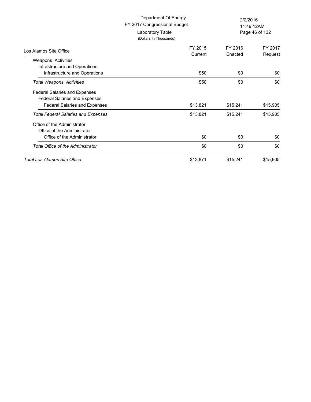|                                            | Department Of Energy<br>FY 2017 Congressional Budget | 2/2/2016           | 11:49:12AM         |
|--------------------------------------------|------------------------------------------------------|--------------------|--------------------|
|                                            | Laboratory Table<br>(Dollars In Thousands)           |                    | Page 46 of 132     |
| Los Alamos Site Office                     | FY 2015<br>Current                                   | FY 2016<br>Enacted | FY 2017<br>Request |
| <b>Weapons Activities</b>                  |                                                      |                    |                    |
| Infrastructure and Operations              |                                                      |                    |                    |
| Infrastructure and Operations              | \$50                                                 | \$0                | \$0                |
| <b>Total Weapons Activities</b>            | \$50                                                 | \$0                | \$0                |
| <b>Federal Salaries and Expenses</b>       |                                                      |                    |                    |
| <b>Federal Salaries and Expenses</b>       |                                                      |                    |                    |
| Federal Salaries and Expenses              | \$13,821                                             | \$15,241           | \$15,905           |
| <b>Total Federal Salaries and Expenses</b> | \$13,821                                             | \$15,241           | \$15,905           |
| Office of the Administrator                |                                                      |                    |                    |
| Office of the Administrator                |                                                      |                    |                    |
| Office of the Administrator                | \$0                                                  | \$0                | \$0                |
| <b>Total Office of the Administrator</b>   | \$0                                                  | \$0                | \$0                |
| Total Los Alamos Site Office               | \$13,871                                             | \$15,241           | \$15,905           |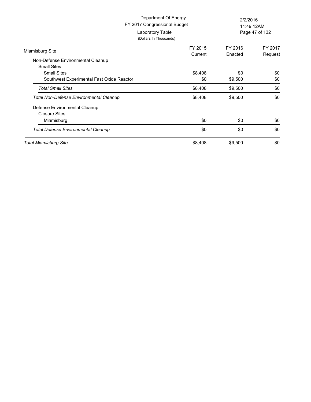|                                                | Department Of Energy<br>FY 2017 Congressional Budget | 2/2/2016<br>11:49:12AM |                |
|------------------------------------------------|------------------------------------------------------|------------------------|----------------|
| Laboratory Table                               | (Dollars In Thousands)                               |                        | Page 47 of 132 |
| Miamisburg Site                                | FY 2015                                              | FY 2016                | FY 2017        |
|                                                | Current                                              | Enacted                | Request        |
| Non-Defense Environmental Cleanup              |                                                      |                        |                |
| <b>Small Sites</b>                             |                                                      |                        |                |
| <b>Small Sites</b>                             | \$8,408                                              | \$0                    | \$0            |
| Southwest Experimental Fast Oxide Reactor      | \$0                                                  | \$9,500                | \$0            |
| <b>Total Small Sites</b>                       | \$8,408                                              | \$9,500                | \$0            |
| <b>Total Non-Defense Environmental Cleanup</b> | \$8,408                                              | \$9,500                | \$0            |
| Defense Environmental Cleanup                  |                                                      |                        |                |
| <b>Closure Sites</b>                           |                                                      |                        |                |
| Miamisburg                                     | \$0                                                  | \$0                    | \$0            |
| <b>Total Defense Environmental Cleanup</b>     | \$0                                                  | \$0                    | \$0            |
| <b>Total Miamisburg Site</b>                   | \$8,408                                              | \$9,500                | \$0            |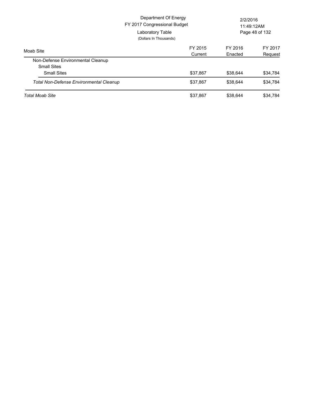|                                                | Department Of Energy<br>FY 2017 Congressional Budget<br>Laboratory Table<br>(Dollars In Thousands) | 2/2/2016<br>11:49:12AM<br>Page 48 of 132 |          |
|------------------------------------------------|----------------------------------------------------------------------------------------------------|------------------------------------------|----------|
| Moab Site                                      | FY 2015                                                                                            | FY 2016                                  | FY 2017  |
| Non-Defense Environmental Cleanup              | Current                                                                                            | Enacted                                  | Request  |
| <b>Small Sites</b>                             |                                                                                                    |                                          |          |
| <b>Small Sites</b>                             | \$37,867                                                                                           | \$38,644                                 | \$34,784 |
| <b>Total Non-Defense Environmental Cleanup</b> | \$37,867                                                                                           | \$38,644                                 | \$34,784 |
| <b>Total Moab Site</b>                         | \$37,867                                                                                           | \$38,644                                 | \$34,784 |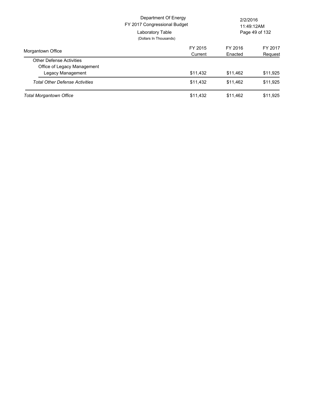|                                       | Department Of Energy<br>FY 2017 Congressional Budget<br>Laboratory Table<br>(Dollars In Thousands) | 2/2/2016<br>11:49:12AM<br>Page 49 of 132 |          |
|---------------------------------------|----------------------------------------------------------------------------------------------------|------------------------------------------|----------|
| Morgantown Office                     | FY 2015                                                                                            | FY 2016                                  | FY 2017  |
|                                       | Current                                                                                            | Enacted                                  | Request  |
| <b>Other Defense Activities</b>       |                                                                                                    |                                          |          |
| Office of Legacy Management           |                                                                                                    |                                          |          |
| Legacy Management                     | \$11,432                                                                                           | \$11.462                                 | \$11,925 |
| <b>Total Other Defense Activities</b> | \$11,432                                                                                           | \$11.462                                 | \$11,925 |
| <b>Total Morgantown Office</b>        | \$11,432                                                                                           | \$11,462                                 | \$11.925 |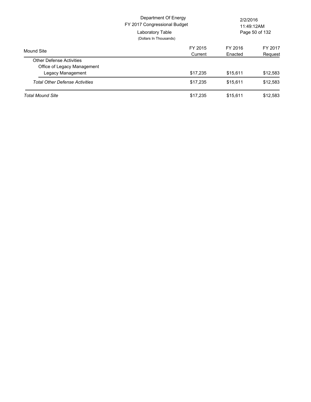|                                       | Department Of Energy<br>FY 2017 Congressional Budget<br>Laboratory Table<br>(Dollars In Thousands) | 2/2/2016<br>11:49:12AM<br>Page 50 of 132 |          |
|---------------------------------------|----------------------------------------------------------------------------------------------------|------------------------------------------|----------|
| Mound Site                            | FY 2015                                                                                            | FY 2016                                  | FY 2017  |
|                                       | Current                                                                                            | Enacted                                  | Request  |
| <b>Other Defense Activities</b>       |                                                                                                    |                                          |          |
| Office of Legacy Management           |                                                                                                    |                                          |          |
| Legacy Management                     | \$17.235                                                                                           | \$15.611                                 | \$12,583 |
| <b>Total Other Defense Activities</b> | \$17,235                                                                                           | \$15.611                                 | \$12,583 |
| <b>Total Mound Site</b>               | \$17,235                                                                                           | \$15.611                                 | \$12,583 |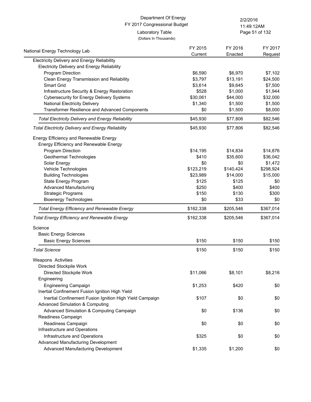Page 51 of 132 11:49:12AM

(Dollars In Thousands)

| National Energy Technology Lab                           | FY 2015   | FY 2016   | FY 2017   |
|----------------------------------------------------------|-----------|-----------|-----------|
| <b>Electricity Delivery and Energy Reliability</b>       | Current   | Enacted   | Request   |
| Electricity Delivery and Energy Reliability              |           |           |           |
| Program Direction                                        | \$6,590   | \$6,970   | \$7,102   |
| Clean Energy Transmission and Reliability                | \$3,797   | \$13,191  | \$24,500  |
| Smart Grid                                               | \$3,614   | \$9,645   | \$7,500   |
| Infrastructure Security & Energy Restoration             | \$528     | \$1,000   | \$1,944   |
| <b>Cybersecurity for Energy Delivery Systems</b>         | \$30,061  | \$44,000  | \$32,000  |
| National Electricity Delivery                            | \$1,340   | \$1,500   | \$1,500   |
| Transformer Resilience and Advanced Components           | \$0       | \$1,500   | \$8,000   |
| <b>Total Electricity Delivery and Energy Reliability</b> | \$45,930  | \$77,806  | \$82,546  |
| <b>Total Electricity Delivery and Energy Reliability</b> | \$45,930  | \$77,806  | \$82,546  |
| Energy Efficiency and Renewable Energy                   |           |           |           |
| Energy Efficiency and Renewable Energy                   |           |           |           |
| Program Direction                                        | \$14,195  | \$14,834  | \$14,876  |
| Geothermal Technologies                                  | \$410     | \$35,600  | \$36,042  |
| Solar Energy                                             | \$0       | \$0       | \$1,472   |
| Vehicle Technologies                                     | \$123,219 | \$140,424 | \$298,924 |
| <b>Building Technologies</b>                             | \$23,989  | \$14,000  | \$15,000  |
| State Energy Program                                     | \$125     | \$125     | \$0       |
| <b>Advanced Manufacturing</b>                            | \$250     | \$400     | \$400     |
| <b>Strategic Programs</b>                                | \$150     | \$130     | \$300     |
| <b>Bioenergy Technologies</b>                            | \$0       | \$33      | \$0       |
| <b>Total Energy Efficiency and Renewable Energy</b>      | \$162,338 | \$205,546 | \$367,014 |
| <b>Total Energy Efficiency and Renewable Energy</b>      | \$162,338 | \$205,546 | \$367,014 |
| Science                                                  |           |           |           |
| <b>Basic Energy Sciences</b>                             |           |           |           |
| <b>Basic Energy Sciences</b>                             | \$150     | \$150     | \$150     |
| <b>Total Science</b>                                     | \$150     | \$150     | \$150     |
| Weapons Activities                                       |           |           |           |
| Directed Stockpile Work                                  |           |           |           |
| Directed Stockpile Work                                  | \$11,066  | \$8,101   | \$8,216   |
| Engineering                                              |           |           |           |
| <b>Engineering Campaign</b>                              | \$1,253   | \$420     | \$0       |
| Inertial Confinement Fusion Ignition High Yield          |           |           |           |
| Inertial Confinement Fusion Ignition High Yield Campaign | \$107     | \$0       | \$0       |
| <b>Advanced Simulation &amp; Computing</b>               |           |           |           |
| Advanced Simulation & Computing Campaign                 | \$0       | \$136     | \$0       |
| Readiness Campaign                                       |           |           |           |
| Readiness Campaign                                       | \$0       | \$0       | \$0       |
| Infrastructure and Operations                            |           |           |           |
| Infrastructure and Operations                            | \$325     | \$0       | \$0       |
| Advanced Manufacturing Development                       |           |           |           |
| Advanced Manufacturing Development                       | \$1,335   | \$1,200   | \$0       |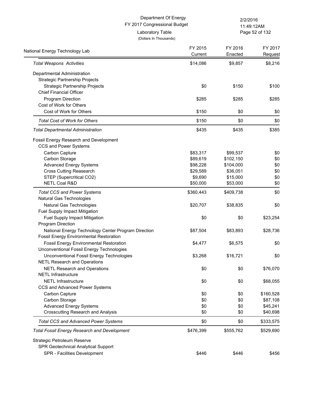|                                                     | Department Of Energy<br>FY 2017 Congressional Budget | 2/2/2016           | 11:49:12AM         |
|-----------------------------------------------------|------------------------------------------------------|--------------------|--------------------|
|                                                     | Laboratory Table<br>(Dollars In Thousands)           |                    | Page 52 of 132     |
| National Energy Technology Lab                      | FY 2015<br>Current                                   | FY 2016<br>Enacted | FY 2017<br>Request |
| <b>Total Weapons Activities</b>                     | \$14,086                                             | \$9,857            | \$8,216            |
| Departmental Administration                         |                                                      |                    |                    |
| Strategic Partnership Projects                      |                                                      |                    |                    |
| Strategic Partnership Projects                      | \$0                                                  | \$150              | \$100              |
| <b>Chief Financial Officer</b>                      |                                                      |                    |                    |
| Program Direction                                   | \$285                                                | \$285              | \$285              |
| Cost of Work for Others                             |                                                      |                    |                    |
| Cost of Work for Others                             | \$150                                                | \$0                | \$0                |
| <b>Total Cost of Work for Others</b>                | \$150                                                | \$0                | \$0                |
| <b>Total Departmental Administration</b>            | \$435                                                | \$435              | \$385              |
| Fossil Energy Research and Development              |                                                      |                    |                    |
| CCS and Power Systems                               |                                                      |                    |                    |
| Carbon Capture                                      | \$83,317                                             | \$99,537           | \$0                |
| Carbon Storage                                      | \$89,619                                             | \$102,150          | \$0                |
| <b>Advanced Energy Systems</b>                      | \$98,228                                             | \$104,000          | \$0                |
| <b>Cross Cutting Reasearch</b>                      | \$29,589                                             | \$36,051           | \$0                |
| STEP (Supercritical CO2)                            | \$9,690                                              | \$15,000           | \$0                |
| <b>NETL Coal R&amp;D</b>                            | \$50,000                                             | \$53,000           | \$0                |
| <b>Total CCS and Power Systems</b>                  | \$360,443                                            | \$409,738          | \$0                |
| Natural Gas Technologies                            |                                                      |                    |                    |
| Natural Gas Technologies                            | \$20,707                                             | \$38,835           | \$0                |
| Fuel Supply Impact Mitigation                       |                                                      |                    |                    |
| Fuel Supply Impact Mitigation                       | \$0                                                  | \$0                | \$23,254           |
| Program Direction                                   |                                                      |                    |                    |
| National Energy Technology Center Program Direction | \$87,504                                             | \$83,893           | \$28,736           |
| <b>Fossil Energy Environmental Restoration</b>      |                                                      |                    |                    |
| <b>Fossil Energy Environmental Restoration</b>      | \$4,477                                              | \$6,575            | \$0                |
| Unconventional Fossil Energy Technologies           |                                                      |                    |                    |
| Unconventional Fossil Energy Technologies           | \$3,268                                              | \$16,721           | \$0                |
| <b>NETL Research and Operations</b>                 |                                                      |                    |                    |
| <b>NETL Research and Operations</b>                 | \$0                                                  | \$0                | \$76,070           |
| <b>NETL Infrastructure</b>                          |                                                      |                    |                    |
| <b>NETL Infrastructure</b>                          | \$0                                                  | \$0                | \$68,055           |
| CCS and Advanced Power Systems                      |                                                      |                    |                    |
| Carbon Capture                                      | \$0                                                  | \$0                | \$160,528          |
| Carbon Storage                                      | \$0                                                  | \$0                | \$87,108           |
| <b>Advanced Energy Systems</b>                      | \$0                                                  | \$0                | \$45,241           |
| <b>Crosscutting Research and Analysis</b>           | \$0                                                  | \$0                | \$40,698           |
| <b>Total CCS and Advanced Power Systems</b>         | \$0                                                  | \$0                | \$333,575          |
| <b>Total Fossil Energy Research and Development</b> | \$476,399                                            | \$555,762          | \$529,690          |
| Strategic Petroleum Reserve                         |                                                      |                    |                    |
| SPR Geotechnical Analytical Support                 |                                                      |                    |                    |
| SPR - Facilities Development                        | \$446                                                | \$446              | \$456              |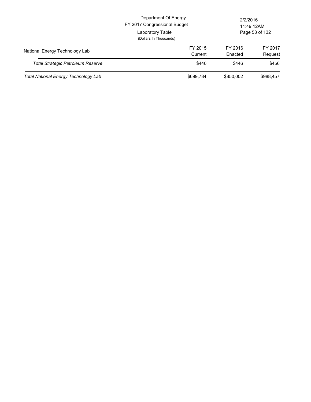|                                          | Department Of Energy<br>FY 2017 Congressional Budget<br>Laboratory Table<br>(Dollars In Thousands) |                    | 2/2/2016<br>11:49:12AM<br>Page 53 of 132 |
|------------------------------------------|----------------------------------------------------------------------------------------------------|--------------------|------------------------------------------|
| National Energy Technology Lab           | FY 2015<br>Current                                                                                 | FY 2016<br>Enacted | FY 2017<br>Request                       |
| <b>Total Strategic Petroleum Reserve</b> | \$446                                                                                              | \$446              | \$456                                    |
| Total National Energy Technology Lab     | \$699,784                                                                                          | \$850,002          | \$988,457                                |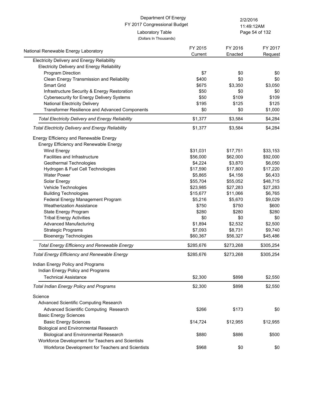Page 54 of 132 11:49:12AM

(Dollars In Thousands)

| National Renewable Energy Laboratory                     | FY 2015   | FY 2016   | FY 2017   |
|----------------------------------------------------------|-----------|-----------|-----------|
| Electricity Delivery and Energy Reliability              | Current   | Enacted   | Request   |
| <b>Electricity Delivery and Energy Reliability</b>       |           |           |           |
| Program Direction                                        | \$7       | \$0       | \$0       |
| Clean Energy Transmission and Reliability                | \$400     | \$0       | \$0       |
| <b>Smart Grid</b>                                        | \$675     | \$3,350   | \$3,050   |
| Infrastructure Security & Energy Restoration             | \$50      | \$0       | \$0       |
| <b>Cybersecurity for Energy Delivery Systems</b>         | \$50      | \$109     | \$109     |
| <b>National Electricity Delivery</b>                     | \$195     | \$125     | \$125     |
| Transformer Resilience and Advanced Components           | \$0       | \$0       | \$1,000   |
| <b>Total Electricity Delivery and Energy Reliability</b> | \$1,377   | \$3,584   | \$4,284   |
| <b>Total Electricity Delivery and Energy Reliability</b> | \$1,377   | \$3,584   | \$4,284   |
| Energy Efficiency and Renewable Energy                   |           |           |           |
| Energy Efficiency and Renewable Energy                   |           |           |           |
| Wind Energy                                              | \$31,031  | \$17,751  | \$33,153  |
| Facilities and Infrastructure                            | \$56,000  | \$62,000  | \$92,000  |
| Geothermal Technologies                                  | \$4,224   | \$3,870   | \$6,050   |
| Hydrogen & Fuel Cell Technologies                        | \$17,590  | \$17,800  | \$17,220  |
| <b>Water Power</b>                                       | \$5,865   | \$4,156   | \$6,433   |
| Solar Energy                                             | \$55,704  | \$55,052  | \$48,715  |
| Vehicle Technologies                                     | \$23,985  | \$27,283  | \$27,283  |
| <b>Building Technologies</b>                             | \$15,677  | \$11,066  | \$6,765   |
| Federal Energy Management Program                        | \$5,216   | \$5,670   | \$9,029   |
| <b>Weatherization Assistance</b>                         | \$750     | \$750     | \$600     |
| State Energy Program                                     | \$280     | \$280     | \$280     |
| <b>Tribal Energy Activities</b>                          | \$0       | \$0       | \$0       |
| <b>Advanced Manufacturing</b>                            | \$1,894   | \$2,532   | \$2,500   |
| <b>Strategic Programs</b>                                | \$7,093   | \$8,731   | \$9,740   |
| <b>Bioenergy Technologies</b>                            | \$60,367  | \$56,327  | \$45,486  |
| <b>Total Energy Efficiency and Renewable Energy</b>      | \$285,676 | \$273,268 | \$305,254 |
| <b>Total Energy Efficiency and Renewable Energy</b>      | \$285,676 | \$273,268 | \$305,254 |
| Indian Energy Policy and Programs                        |           |           |           |
| Indian Energy Policy and Programs                        |           |           |           |
| <b>Technical Assistance</b>                              | \$2,300   | \$898     | \$2,550   |
| <b>Total Indian Energy Policy and Programs</b>           | \$2,300   | \$898     | \$2,550   |
| Science                                                  |           |           |           |
| Advanced Scientific Computing Research                   |           |           |           |
| Advanced Scientific Computing Research                   | \$266     | \$173     | \$0       |
| <b>Basic Energy Sciences</b>                             |           |           |           |
| <b>Basic Energy Sciences</b>                             | \$14,724  | \$12,955  | \$12,955  |
| <b>Biological and Environmental Research</b>             |           |           |           |
| <b>Biological and Environmental Research</b>             | \$880     | \$886     | \$500     |
| Workforce Development for Teachers and Scientists        |           |           |           |
| Workforce Development for Teachers and Scientists        | \$968     | \$0       | \$0       |
|                                                          |           |           |           |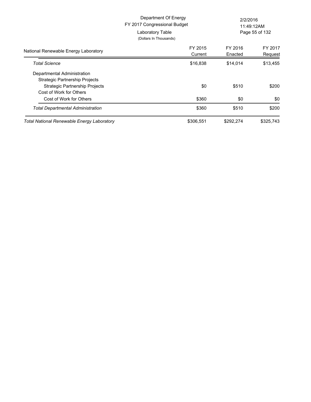|                                                                  | Department Of Energy<br>FY 2017 Congressional Budget<br>Laboratory Table<br>(Dollars In Thousands) |                    | 2/2/2016<br>11:49:12AM<br>Page 55 of 132 |  |
|------------------------------------------------------------------|----------------------------------------------------------------------------------------------------|--------------------|------------------------------------------|--|
| National Renewable Energy Laboratory                             | FY 2015<br>Current                                                                                 | FY 2016<br>Enacted | FY 2017<br>Request                       |  |
| <b>Total Science</b>                                             | \$16,838                                                                                           | \$14,014           | \$13,455                                 |  |
| Departmental Administration<br>Strategic Partnership Projects    |                                                                                                    |                    |                                          |  |
| <b>Strategic Partnership Projects</b><br>Cost of Work for Others | \$0                                                                                                | \$510              | \$200                                    |  |
| Cost of Work for Others                                          | \$360                                                                                              | \$0                | \$0                                      |  |
| <b>Total Departmental Administration</b>                         | \$360                                                                                              | \$510              | \$200                                    |  |
| Total National Renewable Energy Laboratory                       | \$306,551                                                                                          | \$292,274          | \$325,743                                |  |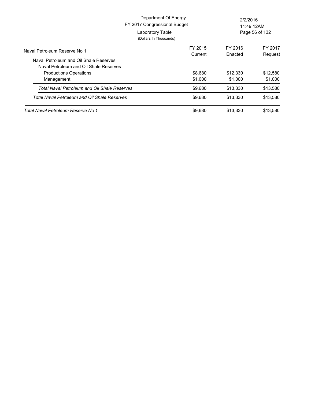|                                              | Department Of Energy<br>FY 2017 Congressional Budget<br>Laboratory Table<br>(Dollars In Thousands) | 2/2/2016<br>11:49:12AM<br>Page 56 of 132 |          |
|----------------------------------------------|----------------------------------------------------------------------------------------------------|------------------------------------------|----------|
|                                              | FY 2015                                                                                            | FY 2016                                  | FY 2017  |
| Naval Petroleum Reserve No 1                 | Current                                                                                            | Enacted                                  | Request  |
| Naval Petroleum and Oil Shale Reserves       |                                                                                                    |                                          |          |
| Naval Petroleum and Oil Shale Reserves       |                                                                                                    |                                          |          |
| <b>Productions Operations</b>                | \$8,680                                                                                            | \$12,330                                 | \$12,580 |
| Management                                   | \$1,000                                                                                            | \$1.000                                  | \$1,000  |
| Total Naval Petroleum and Oil Shale Reserves | \$9,680                                                                                            | \$13,330                                 | \$13,580 |
| Total Naval Petroleum and Oil Shale Reserves | \$9,680                                                                                            | \$13,330                                 | \$13,580 |
| Total Naval Petroleum Reserve No 1           | \$9,680                                                                                            | \$13,330                                 | \$13,580 |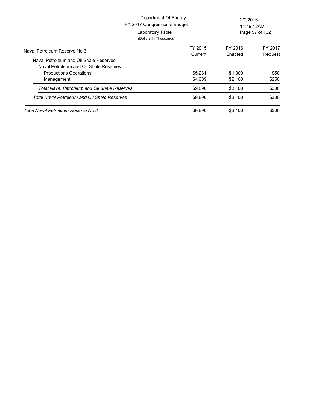|                                              | Department Of Energy<br>FY 2017 Congressional Budget<br>Laboratory Table<br>(Dollars In Thousands) | 2/2/2016<br>11:49:12AM<br>Page 57 of 132 |         |
|----------------------------------------------|----------------------------------------------------------------------------------------------------|------------------------------------------|---------|
| Naval Petroleum Reserve No 3                 | FY 2015                                                                                            | FY 2016                                  | FY 2017 |
| Naval Petroleum and Oil Shale Reserves       | Current                                                                                            | Enacted                                  | Request |
| Naval Petroleum and Oil Shale Reserves       |                                                                                                    |                                          |         |
| <b>Productions Operations</b>                | \$5,281                                                                                            | \$1,000                                  | \$50    |
| Management                                   | \$4,609                                                                                            | \$2,100                                  | \$250   |
| Total Naval Petroleum and Oil Shale Reserves | \$9,890                                                                                            | \$3,100                                  | \$300   |
| Total Naval Petroleum and Oil Shale Reserves | \$9.890                                                                                            | \$3.100                                  | \$300   |
| Total Naval Petroleum Reserve No 3           | \$9,890                                                                                            | \$3,100                                  | \$300   |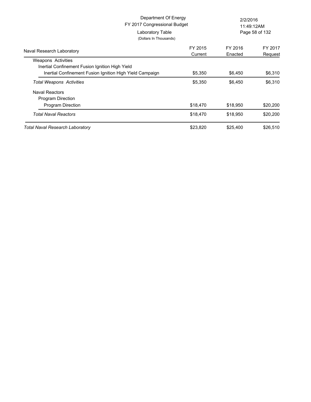| FY 2017 Congressional Budget<br>Laboratory Table<br>(Dollars In Thousands) | Department Of Energy |                    | 2/2/2016<br>11:49:12AM<br>Page 58 of 132 |  |
|----------------------------------------------------------------------------|----------------------|--------------------|------------------------------------------|--|
| Naval Research Laboratory                                                  | FY 2015<br>Current   | FY 2016<br>Enacted | FY 2017<br>Request                       |  |
| Weapons Activities                                                         |                      |                    |                                          |  |
| Inertial Confinement Fusion Ignition High Yield                            |                      |                    |                                          |  |
| Inertial Confinement Fusion Ignition High Yield Campaign                   | \$5,350              | \$6,450            | \$6,310                                  |  |
| <b>Total Weapons Activities</b>                                            | \$5,350              | \$6,450            | \$6,310                                  |  |
| <b>Naval Reactors</b>                                                      |                      |                    |                                          |  |
| Program Direction                                                          |                      |                    |                                          |  |
| <b>Program Direction</b>                                                   | \$18,470             | \$18,950           | \$20,200                                 |  |
| <b>Total Naval Reactors</b>                                                | \$18,470             | \$18,950           | \$20,200                                 |  |
| <b>Total Naval Research Laboratory</b>                                     | \$23,820             | \$25,400           | \$26,510                                 |  |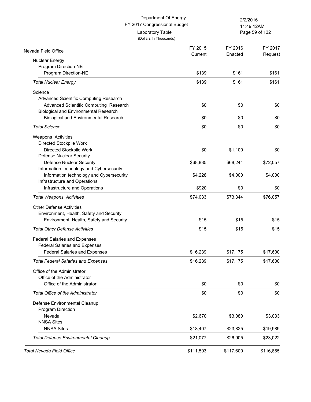(Dollars In Thousands)

Laboratory Table

Page 59 of 132 11:49:12AM

FY 2016

FY 2015

FY 2017

| Nuclear Energy<br>Program Direction-NE<br>Program Direction-NE<br><b>Total Nuclear Energy</b><br>Science<br>Advanced Scientific Computing Research | Current<br>\$139<br>\$139 | Enacted<br>\$161 | Request   |
|----------------------------------------------------------------------------------------------------------------------------------------------------|---------------------------|------------------|-----------|
|                                                                                                                                                    |                           |                  |           |
|                                                                                                                                                    |                           |                  |           |
|                                                                                                                                                    |                           |                  | \$161     |
|                                                                                                                                                    |                           | \$161            | \$161     |
|                                                                                                                                                    |                           |                  |           |
|                                                                                                                                                    |                           |                  |           |
| Advanced Scientific Computing Research                                                                                                             | \$0                       | \$0              | \$0       |
| <b>Biological and Environmental Research</b>                                                                                                       |                           |                  |           |
| <b>Biological and Environmental Research</b>                                                                                                       | \$0                       | \$0              | \$0       |
| <b>Total Science</b>                                                                                                                               | \$0                       | \$0              | \$0       |
| Weapons Activities                                                                                                                                 |                           |                  |           |
| Directed Stockpile Work                                                                                                                            |                           |                  |           |
| Directed Stockpile Work                                                                                                                            | \$0                       | \$1,100          | \$0       |
| <b>Defense Nuclear Security</b>                                                                                                                    |                           |                  |           |
| Defense Nuclear Security                                                                                                                           | \$68,885                  | \$68,244         | \$72,057  |
| Information technology and Cybersecurity                                                                                                           |                           |                  |           |
| Information technology and Cybersecurity                                                                                                           | \$4,228                   | \$4,000          | \$4,000   |
| Infrastructure and Operations                                                                                                                      |                           |                  |           |
| Infrastructure and Operations                                                                                                                      | \$920                     | \$0              | \$0       |
| <b>Total Weapons Activities</b>                                                                                                                    | \$74,033                  | \$73,344         | \$76,057  |
| <b>Other Defense Activities</b>                                                                                                                    |                           |                  |           |
| Environment, Health, Safety and Security                                                                                                           |                           |                  |           |
| Environment, Health, Safety and Security                                                                                                           | \$15                      | \$15             | \$15      |
| <b>Total Other Defense Activities</b>                                                                                                              | \$15                      | \$15             | \$15      |
| <b>Federal Salaries and Expenses</b>                                                                                                               |                           |                  |           |
| <b>Federal Salaries and Expenses</b>                                                                                                               |                           |                  |           |
| <b>Federal Salaries and Expenses</b>                                                                                                               | \$16,239                  | \$17,175         | \$17,600  |
| <b>Total Federal Salaries and Expenses</b>                                                                                                         | \$16,239                  | \$17,175         | \$17,600  |
|                                                                                                                                                    |                           |                  |           |
| Office of the Administrator                                                                                                                        |                           |                  |           |
| Office of the Administrator                                                                                                                        |                           |                  |           |
| Office of the Administrator                                                                                                                        | \$0                       | \$0              | \$0       |
| <b>Total Office of the Administrator</b>                                                                                                           | \$0                       | \$0              | \$0       |
| Defense Environmental Cleanup                                                                                                                      |                           |                  |           |
| Program Direction                                                                                                                                  |                           |                  |           |
| Nevada                                                                                                                                             | \$2,670                   | \$3,080          | \$3,033   |
| <b>NNSA Sites</b>                                                                                                                                  |                           |                  |           |
| <b>NNSA Sites</b>                                                                                                                                  | \$18,407                  | \$23,825         | \$19,989  |
| <b>Total Defense Environmental Cleanup</b>                                                                                                         | \$21,077                  | \$26,905         | \$23,022  |
| <b>Total Nevada Field Office</b>                                                                                                                   | \$111,503                 | \$117,600        | \$116,855 |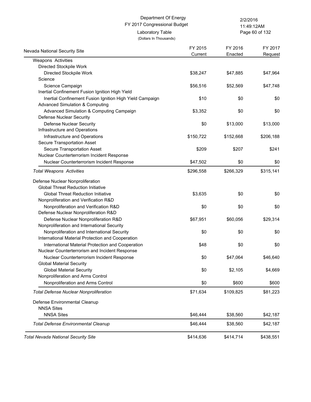(Dollars In Thousands)

Page 60 of 132 11:49:12AM

| Nevada National Security Site                                                 | FY 2015   | FY 2016   | FY 2017   |
|-------------------------------------------------------------------------------|-----------|-----------|-----------|
|                                                                               | Current   | Enacted   | Request   |
| Weapons Activities                                                            |           |           |           |
| Directed Stockpile Work                                                       |           |           |           |
| Directed Stockpile Work                                                       | \$38,247  | \$47,885  | \$47,964  |
| Science                                                                       |           |           |           |
| Science Campaign                                                              | \$56,516  | \$52,569  | \$47,748  |
| Inertial Confinement Fusion Ignition High Yield                               |           |           |           |
| Inertial Confinement Fusion Ignition High Yield Campaign                      | \$10      | \$0       | \$0       |
| <b>Advanced Simulation &amp; Computing</b>                                    |           |           |           |
| Advanced Simulation & Computing Campaign                                      | \$3,352   | \$0       | \$0       |
| Defense Nuclear Security                                                      |           |           |           |
| <b>Defense Nuclear Security</b>                                               | \$0       | \$13,000  | \$13,000  |
| Infrastructure and Operations                                                 |           |           |           |
| Infrastructure and Operations                                                 | \$150,722 | \$152,668 | \$206,188 |
| Secure Transportation Asset                                                   |           |           |           |
| <b>Secure Transportation Asset</b>                                            | \$209     | \$207     | \$241     |
| Nuclear Counterterrorism Incident Response                                    |           |           |           |
| Nuclear Counterterrorism Incident Response                                    | \$47,502  | \$0       | \$0       |
| <b>Total Weapons Activities</b>                                               | \$296,558 | \$266,329 | \$315,141 |
| Defense Nuclear Nonproliferation                                              |           |           |           |
| <b>Global Threat Reduction Initiative</b>                                     |           |           |           |
| <b>Global Threat Reduction Initiative</b>                                     | \$3,635   | \$0       | \$0       |
| Nonproliferation and Verification R&D                                         |           |           |           |
| Nonproliferation and Verification R&D                                         | \$0       | \$0       | \$0       |
| Defense Nuclear Nonproliferation R&D                                          |           |           |           |
| Defense Nuclear Nonproliferation R&D                                          | \$67,951  | \$60,056  | \$29,314  |
| Nonproliferation and International Security                                   |           |           |           |
| Nonproliferation and International Security                                   | \$0       | \$0       | \$0       |
| International Material Protection and Cooperation                             |           |           |           |
| International Material Protection and Cooperation                             | \$48      | \$0       | \$0       |
| Nuclear Counterterrorism and Incident Response                                |           |           |           |
|                                                                               | \$0       |           | \$46,640  |
| Nuclear Counterterrorism Incident Response<br><b>Global Material Security</b> |           | \$47,064  |           |
|                                                                               |           |           |           |
| <b>Global Material Security</b><br>Nonproliferation and Arms Control          | \$0       | \$2,105   | \$4,669   |
|                                                                               |           |           |           |
| Nonproliferation and Arms Control                                             | \$0       | \$600     | \$600     |
| <b>Total Defense Nuclear Nonproliferation</b>                                 | \$71,634  | \$109,825 | \$81,223  |
| Defense Environmental Cleanup                                                 |           |           |           |
| <b>NNSA Sites</b>                                                             |           |           |           |
| <b>NNSA Sites</b>                                                             | \$46,444  | \$38,560  | \$42,187  |
| <b>Total Defense Environmental Cleanup</b>                                    | \$46,444  | \$38,560  | \$42,187  |
| <b>Total Nevada National Security Site</b>                                    | \$414,636 | \$414,714 | \$438,551 |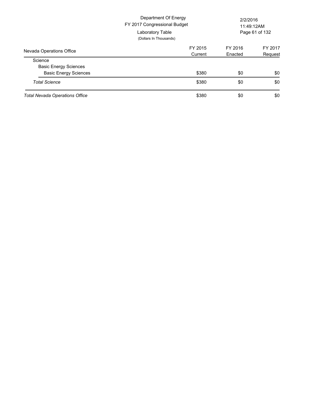|                                         | Department Of Energy<br>FY 2017 Congressional Budget<br>Laboratory Table<br>(Dollars In Thousands) | 2/2/2016<br>11:49:12AM<br>Page 61 of 132 |                    |
|-----------------------------------------|----------------------------------------------------------------------------------------------------|------------------------------------------|--------------------|
| Nevada Operations Office                | FY 2015<br>Current                                                                                 | FY 2016<br>Enacted                       | FY 2017<br>Request |
| Science<br><b>Basic Energy Sciences</b> |                                                                                                    |                                          |                    |
| <b>Basic Energy Sciences</b>            | \$380                                                                                              | \$0                                      | \$0                |
| <b>Total Science</b>                    | \$380                                                                                              | \$0                                      | \$0                |
| <b>Total Nevada Operations Office</b>   | \$380                                                                                              | \$0                                      | \$0                |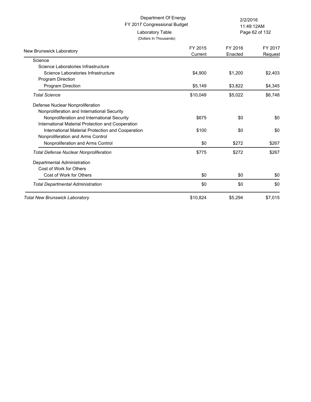| Department Of Energy<br>FY 2017 Congressional Budget                                   |                    | 2/2/2016<br>11:49:12AM |                    |  |
|----------------------------------------------------------------------------------------|--------------------|------------------------|--------------------|--|
| Laboratory Table<br>(Dollars In Thousands)                                             |                    |                        | Page 62 of 132     |  |
| New Brunswick Laboratory                                                               | FY 2015<br>Current | FY 2016<br>Enacted     | FY 2017<br>Request |  |
| Science                                                                                |                    |                        |                    |  |
| Science Laboratories Infrastructure                                                    |                    |                        |                    |  |
| Science Laboratories Infrastructure<br>Program Direction                               | \$4,900            | \$1,200                | \$2,403            |  |
| Program Direction                                                                      | \$5,149            | \$3,822                | \$4,345            |  |
| <b>Total Science</b>                                                                   | \$10,049           | \$5,022                | \$6,748            |  |
| Defense Nuclear Nonproliferation                                                       |                    |                        |                    |  |
| Nonproliferation and International Security                                            |                    |                        |                    |  |
| Nonproliferation and International Security                                            | \$675              | \$0                    | \$0                |  |
| International Material Protection and Cooperation                                      |                    |                        |                    |  |
| International Material Protection and Cooperation<br>Nonproliferation and Arms Control | \$100              | \$0                    | \$0                |  |
| Nonproliferation and Arms Control                                                      | \$0                | \$272                  | \$267              |  |
| <b>Total Defense Nuclear Nonproliferation</b>                                          | \$775              | \$272                  | \$267              |  |
| Departmental Administration                                                            |                    |                        |                    |  |
| Cost of Work for Others                                                                |                    |                        |                    |  |
| Cost of Work for Others                                                                | \$0                | \$0                    | \$0                |  |
| <b>Total Departmental Administration</b>                                               | \$0                | \$0                    | \$0                |  |
| <b>Total New Brunswick Laboratory</b>                                                  | \$10,824           | \$5,294                | \$7,015            |  |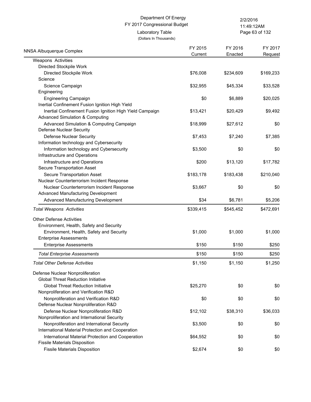Page 63 of 132 11:49:12AM

(Dollars In Thousands) Laboratory Table

| <b>NNSA Albuquerque Complex</b>                          | FY 2015<br>Current | FY 2016<br>Enacted | FY 2017<br>Request |
|----------------------------------------------------------|--------------------|--------------------|--------------------|
| Weapons Activities                                       |                    |                    |                    |
| Directed Stockpile Work                                  |                    |                    |                    |
| Directed Stockpile Work                                  | \$76,008           | \$234,609          | \$169,233          |
| Science                                                  |                    |                    |                    |
| Science Campaign                                         | \$32,955           | \$45,334           | \$33,528           |
| Engineering                                              |                    |                    |                    |
| <b>Engineering Campaign</b>                              | \$0                | \$6,889            | \$20,025           |
| Inertial Confinement Fusion Ignition High Yield          |                    |                    |                    |
| Inertial Confinement Fusion Ignition High Yield Campaign | \$13,421           | \$20,429           | \$9,492            |
| <b>Advanced Simulation &amp; Computing</b>               |                    |                    |                    |
| Advanced Simulation & Computing Campaign                 | \$18,999           | \$27,612           | \$0                |
| Defense Nuclear Security                                 |                    |                    |                    |
| Defense Nuclear Security                                 | \$7,453            | \$7,240            | \$7,385            |
| Information technology and Cybersecurity                 |                    |                    |                    |
| Information technology and Cybersecurity                 | \$3,500            | \$0                | \$0                |
| Infrastructure and Operations                            |                    |                    |                    |
| Infrastructure and Operations                            | \$200              | \$13,120           | \$17,782           |
| Secure Transportation Asset                              |                    |                    |                    |
| Secure Transportation Asset                              | \$183,178          | \$183,438          | \$210,040          |
| Nuclear Counterterrorism Incident Response               |                    |                    |                    |
| Nuclear Counterterrorism Incident Response               | \$3,667            | \$0                | \$0                |
| Advanced Manufacturing Development                       |                    |                    |                    |
| Advanced Manufacturing Development                       | \$34               | \$6,781            | \$5,206            |
| <b>Total Weapons Activities</b>                          | \$339,415          | \$545,452          | \$472,691          |
| <b>Other Defense Activities</b>                          |                    |                    |                    |
| Environment, Health, Safety and Security                 |                    |                    |                    |
| Environment, Health, Safety and Security                 | \$1,000            | \$1,000            | \$1,000            |
| <b>Enterprise Assessments</b>                            |                    |                    |                    |
| <b>Enterprise Assessments</b>                            | \$150              | \$150              | \$250              |
| <b>Total Enterprise Assessments</b>                      | \$150              | \$150              | \$250              |
| <b>Total Other Defense Activities</b>                    | \$1,150            | \$1,150            | \$1,250            |
| Defense Nuclear Nonproliferation                         |                    |                    |                    |
| <b>Global Threat Reduction Initiative</b>                |                    |                    |                    |
| <b>Global Threat Reduction Initiative</b>                | \$25,270           | \$0                | \$0                |
| Nonproliferation and Verification R&D                    |                    |                    |                    |
| Nonproliferation and Verification R&D                    | \$0                | \$0                | \$0                |
| Defense Nuclear Nonproliferation R&D                     |                    |                    |                    |
| Defense Nuclear Nonproliferation R&D                     | \$12,102           | \$38,310           | \$36,033           |
| Nonproliferation and International Security              |                    |                    |                    |
| Nonproliferation and International Security              | \$3,500            | \$0                | \$0                |
| International Material Protection and Cooperation        |                    |                    |                    |
| International Material Protection and Cooperation        | \$64,552           | \$0                | \$0                |
| <b>Fissile Materials Disposition</b>                     |                    |                    |                    |
| <b>Fissile Materials Disposition</b>                     | \$2,674            | \$0                | \$0                |
|                                                          |                    |                    |                    |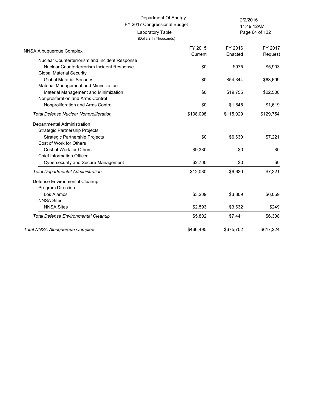Page 64 of 132 11:49:12AM

| <b>NNSA Albuquerque Complex</b>                | FY 2015<br>Current | FY 2016<br>Enacted | FY 2017<br>Request |
|------------------------------------------------|--------------------|--------------------|--------------------|
| Nuclear Counterterrorism and Incident Response |                    |                    |                    |
| Nuclear Counterterrorism Incident Response     | \$0                | \$975              | \$5,903            |
| <b>Global Material Security</b>                |                    |                    |                    |
| <b>Global Material Security</b>                | \$0                | \$54,344           | \$63,699           |
| Material Management and Minimization           |                    |                    |                    |
| Material Management and Minimization           | \$0                | \$19,755           | \$22,500           |
| Nonproliferation and Arms Control              |                    |                    |                    |
| Nonproliferation and Arms Control              | \$0                | \$1,645            | \$1,619            |
| <b>Total Defense Nuclear Nonproliferation</b>  | \$108,098          | \$115,029          | \$129,754          |
| Departmental Administration                    |                    |                    |                    |
| <b>Strategic Partnership Projects</b>          |                    |                    |                    |
| <b>Strategic Partnership Projects</b>          | \$0                | \$6,630            | \$7,221            |
| Cost of Work for Others                        |                    |                    |                    |
| Cost of Work for Others                        | \$9,330            | \$0                | \$0                |
| <b>Chief Information Officer</b>               |                    |                    |                    |
| <b>Cybersecurity and Secure Management</b>     | \$2,700            | \$0                | \$0                |
| <b>Total Departmental Administration</b>       | \$12,030           | \$6,630            | \$7,221            |
| Defense Environmental Cleanup                  |                    |                    |                    |
| Program Direction                              |                    |                    |                    |
| Los Alamos                                     | \$3,209            | \$3,809            | \$6,059            |
| <b>NNSA Sites</b>                              |                    |                    |                    |
| <b>NNSA Sites</b>                              | \$2,593            | \$3,632            | \$249              |
| <b>Total Defense Environmental Cleanup</b>     | \$5,802            | \$7,441            | \$6,308            |
| Total NNSA Albuquerque Complex                 | \$466,495          | \$675,702          | \$617,224          |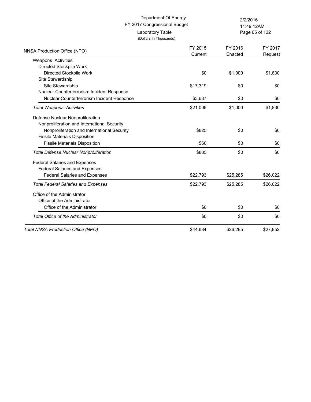(Dollars In Thousands)

Page 65 of 132 11:49:12AM

| NNSA Production Office (NPO)                  | FY 2015  | FY 2016  | FY 2017  |
|-----------------------------------------------|----------|----------|----------|
|                                               | Current  | Enacted  | Request  |
| Weapons Activities                            |          |          |          |
| Directed Stockpile Work                       |          |          |          |
| Directed Stockpile Work                       | \$0      | \$1,000  | \$1,830  |
| Site Stewardship                              |          |          |          |
| Site Stewardship                              | \$17,319 | \$0      | \$0      |
| Nuclear Counterterrorism Incident Response    |          |          |          |
| Nuclear Counterterrorism Incident Response    | \$3,687  | \$0      | \$0      |
| <b>Total Weapons Activities</b>               | \$21,006 | \$1,000  | \$1,830  |
| Defense Nuclear Nonproliferation              |          |          |          |
| Nonproliferation and International Security   |          |          |          |
| Nonproliferation and International Security   | \$825    | \$0      | \$0      |
| <b>Fissile Materials Disposition</b>          |          |          |          |
| <b>Fissile Materials Disposition</b>          | \$60     | \$0      | \$0      |
| <b>Total Defense Nuclear Nonproliferation</b> | \$885    | \$0      | \$0      |
| <b>Federal Salaries and Expenses</b>          |          |          |          |
| <b>Federal Salaries and Expenses</b>          |          |          |          |
| <b>Federal Salaries and Expenses</b>          | \$22,793 | \$25,285 | \$26,022 |
| <b>Total Federal Salaries and Expenses</b>    | \$22,793 | \$25,285 | \$26,022 |
| Office of the Administrator                   |          |          |          |
| Office of the Administrator                   |          |          |          |
| Office of the Administrator                   | \$0      | \$0      | \$0      |
| <b>Total Office of the Administrator</b>      | \$0      | \$0      | \$0      |
| Total NNSA Production Office (NPO)            | \$44,684 | \$26,285 | \$27,852 |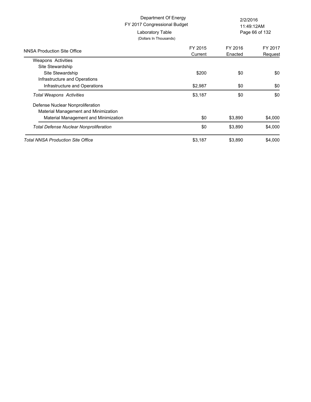|                                                   | Department Of Energy<br>FY 2017 Congressional Budget<br>Laboratory Table<br>(Dollars In Thousands) | 2/2/2016<br>11:49:12AM<br>Page 66 of 132 |         |
|---------------------------------------------------|----------------------------------------------------------------------------------------------------|------------------------------------------|---------|
| NNSA Production Site Office                       | FY 2015                                                                                            | FY 2016                                  | FY 2017 |
|                                                   | Current                                                                                            | Enacted                                  | Request |
| Weapons Activities<br>Site Stewardship            |                                                                                                    |                                          |         |
| Site Stewardship<br>Infrastructure and Operations | \$200                                                                                              | \$0                                      | \$0     |
| Infrastructure and Operations                     | \$2,987                                                                                            | \$0                                      | \$0     |
| <b>Total Weapons Activities</b>                   | \$3,187                                                                                            | \$0                                      | \$0     |
| Defense Nuclear Nonproliferation                  |                                                                                                    |                                          |         |
| Material Management and Minimization              |                                                                                                    |                                          |         |
| Material Management and Minimization              | \$0                                                                                                | \$3,890                                  | \$4,000 |
| <b>Total Defense Nuclear Nonproliferation</b>     | \$0                                                                                                | \$3,890                                  | \$4,000 |
| Total NNSA Production Site Office                 | \$3,187                                                                                            | \$3,890                                  | \$4,000 |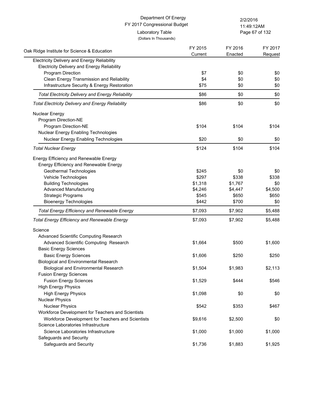| Department Of Energy<br>FY 2017 Congressional Budget     |                    | 2/2/2016           |                    |
|----------------------------------------------------------|--------------------|--------------------|--------------------|
| Laboratory Table                                         |                    | 11:49:12AM         | Page 67 of 132     |
| (Dollars In Thousands)                                   |                    |                    |                    |
| Oak Ridge Institute for Science & Education              | FY 2015<br>Current | FY 2016<br>Enacted | FY 2017<br>Request |
| Electricity Delivery and Energy Reliability              |                    |                    |                    |
| <b>Electricity Delivery and Energy Reliability</b>       |                    |                    |                    |
| <b>Program Direction</b>                                 | \$7                | \$0                | \$0                |
| Clean Energy Transmission and Reliability                | \$4                | \$0                | \$0                |
| Infrastructure Security & Energy Restoration             | \$75               | \$0                | \$0                |
| <b>Total Electricity Delivery and Energy Reliability</b> | \$86               | \$0                | \$0                |
| <b>Total Electricity Delivery and Energy Reliability</b> | \$86               | \$0                | \$0                |
| Nuclear Energy                                           |                    |                    |                    |
| Program Direction-NE                                     |                    |                    |                    |
| Program Direction-NE                                     | \$104              | \$104              | \$104              |
| <b>Nuclear Energy Enabling Technologies</b>              |                    |                    |                    |
| <b>Nuclear Energy Enabling Technologies</b>              | \$20               | \$0                | \$0                |
| <b>Total Nuclear Energy</b>                              | \$124              | \$104              | \$104              |
|                                                          |                    |                    |                    |
| Energy Efficiency and Renewable Energy                   |                    |                    |                    |
| Energy Efficiency and Renewable Energy                   |                    |                    |                    |
| Geothermal Technologies                                  | \$245              | \$0                | \$0                |
| Vehicle Technologies                                     | \$297              | \$338              | \$338              |
| <b>Building Technologies</b>                             | \$1,318            | \$1,767            | \$0                |
| <b>Advanced Manufacturing</b>                            | \$4,246            | \$4,447            | \$4,500            |
| <b>Strategic Programs</b>                                | \$545              | \$650              | \$650              |
| <b>Bioenergy Technologies</b>                            | \$442              | \$700              | \$0                |
| <b>Total Energy Efficiency and Renewable Energy</b>      | \$7,093            | \$7,902            | \$5,488            |
| <b>Total Energy Efficiency and Renewable Energy</b>      | \$7,093            | \$7,902            | \$5,488            |
| Science                                                  |                    |                    |                    |
| Advanced Scientific Computing Research                   |                    |                    |                    |
| Advanced Scientific Computing Research                   | \$1,664            | \$500              | \$1,600            |
| <b>Basic Energy Sciences</b>                             |                    |                    |                    |
| <b>Basic Energy Sciences</b>                             | \$1,606            | \$250              | \$250              |
| <b>Biological and Environmental Research</b>             |                    |                    |                    |
| <b>Biological and Environmental Research</b>             | \$1,504            | \$1,983            | \$2,113            |
| <b>Fusion Energy Sciences</b>                            |                    |                    |                    |
| <b>Fusion Energy Sciences</b>                            | \$1,529            | \$444              | \$546              |
| <b>High Energy Physics</b>                               |                    |                    |                    |
|                                                          |                    |                    |                    |
| <b>High Energy Physics</b>                               | \$1,098            | \$0                | \$0                |
| <b>Nuclear Physics</b>                                   |                    |                    |                    |
| <b>Nuclear Physics</b>                                   | \$542              | \$353              | \$467              |
| Workforce Development for Teachers and Scientists        |                    |                    |                    |
| Workforce Development for Teachers and Scientists        | \$9,616            | \$2,500            | \$0                |
| Science Laboratories Infrastructure                      |                    |                    |                    |
| Science Laboratories Infrastructure                      | \$1,000            | \$1,000            | \$1,000            |
| Safeguards and Security                                  |                    |                    |                    |
| Safeguards and Security                                  | \$1,736            | \$1,883            | \$1,925            |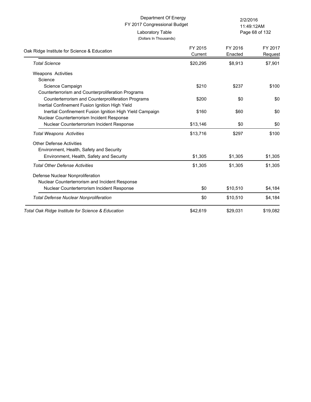Page 68 of 132 11:49:12AM

| Oak Ridge Institute for Science & Education              | FY 2015<br>Current | FY 2016<br>Enacted | FY 2017<br>Request |
|----------------------------------------------------------|--------------------|--------------------|--------------------|
| <b>Total Science</b>                                     | \$20,295           | \$8,913            | \$7,901            |
| <b>Weapons Activities</b>                                |                    |                    |                    |
| Science                                                  |                    |                    |                    |
| Science Campaign                                         | \$210              | \$237              | \$100              |
| Counterterrorism and Counterproliferation Programs       |                    |                    |                    |
| Counterterrorism and Counterproliferation Programs       | \$200              | \$0                | \$0                |
| Inertial Confinement Fusion Ignition High Yield          |                    |                    |                    |
| Inertial Confinement Fusion Ignition High Yield Campaign | \$160              | \$60               | \$0                |
| Nuclear Counterterrorism Incident Response               |                    |                    |                    |
| Nuclear Counterterrorism Incident Response               | \$13,146           | \$0                | \$0                |
| <b>Total Weapons Activities</b>                          | \$13,716           | \$297              | \$100              |
| <b>Other Defense Activities</b>                          |                    |                    |                    |
| Environment, Health, Safety and Security                 |                    |                    |                    |
| Environment, Health, Safety and Security                 | \$1,305            | \$1,305            | \$1,305            |
| <b>Total Other Defense Activities</b>                    | \$1,305            | \$1,305            | \$1,305            |
| Defense Nuclear Nonproliferation                         |                    |                    |                    |
| Nuclear Counterterrorism and Incident Response           |                    |                    |                    |
| Nuclear Counterterrorism Incident Response               | \$0                | \$10,510           | \$4,184            |
| <b>Total Defense Nuclear Nonproliferation</b>            | \$0                | \$10,510           | \$4,184            |
| Total Oak Ridge Institute for Science & Education        | \$42,619           | \$29,031           | \$19,082           |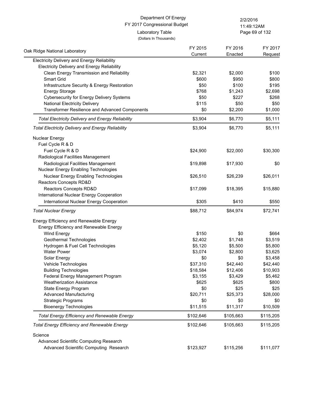Page 69 of 132 11:49:12AM

| Oak Ridge National Laboratory                                                    | FY 2015   | FY 2016   | FY 2017   |
|----------------------------------------------------------------------------------|-----------|-----------|-----------|
| <b>Electricity Delivery and Energy Reliability</b>                               | Current   | Enacted   | Request   |
| <b>Electricity Delivery and Energy Reliability</b>                               |           |           |           |
| Clean Energy Transmission and Reliability                                        | \$2,321   | \$2,000   | \$100     |
| Smart Grid                                                                       | \$600     | \$950     | \$800     |
| Infrastructure Security & Energy Restoration                                     | \$50      | \$100     | \$195     |
| <b>Energy Storage</b>                                                            | \$768     | \$1,243   | \$2,698   |
| <b>Cybersecurity for Energy Delivery Systems</b>                                 | \$50      | \$227     | \$268     |
| <b>National Electricity Delivery</b>                                             | \$115     | \$50      | \$50      |
| Transformer Resilience and Advanced Components                                   | \$0       | \$2,200   | \$1,000   |
| <b>Total Electricity Delivery and Energy Reliability</b>                         | \$3,904   | \$6,770   | \$5,111   |
| <b>Total Electricity Delivery and Energy Reliability</b>                         | \$3,904   | \$6,770   | \$5,111   |
| Nuclear Energy                                                                   |           |           |           |
| Fuel Cycle R & D                                                                 |           |           |           |
| Fuel Cycle R & D                                                                 | \$24,900  | \$22,000  | \$30,300  |
| Radiological Facilities Management                                               |           |           |           |
| Radiological Facilities Management                                               | \$19,898  | \$17,930  | \$0       |
| Nuclear Energy Enabling Technologies                                             |           |           |           |
| Nuclear Energy Enabling Technologies                                             | \$26,510  | \$26,239  | \$26,011  |
| Reactors Concepts RD&D                                                           |           |           |           |
| Reactors Concepts RD&D                                                           | \$17,099  | \$18,395  | \$15,880  |
| International Nuclear Energy Cooperation                                         |           |           |           |
| International Nuclear Energy Cooperation                                         | \$305     | \$410     | \$550     |
| <b>Total Nuclear Energy</b>                                                      | \$88,712  | \$84,974  | \$72,741  |
| Energy Efficiency and Renewable Energy                                           |           |           |           |
| Energy Efficiency and Renewable Energy                                           |           |           |           |
| Wind Energy                                                                      | \$150     | \$0       | \$664     |
| Geothermal Technologies                                                          | \$2,402   | \$1,748   | \$3,519   |
| Hydrogen & Fuel Cell Technologies                                                | \$5,120   | \$5,500   | \$5,800   |
| <b>Water Power</b>                                                               | \$3,074   | \$2,800   | \$3,625   |
| Solar Energy                                                                     | \$0       | \$0       | \$3,458   |
| Vehicle Technologies                                                             | \$37,310  | \$42,440  | \$42,440  |
| <b>Building Technologies</b>                                                     | \$18,584  | \$12,406  | \$10,903  |
| Federal Energy Management Program                                                | \$3,155   | \$3,429   | \$5,462   |
| <b>Weatherization Assistance</b>                                                 | \$625     | \$625     | \$800     |
| State Energy Program                                                             | \$0       | \$25      | \$25      |
| <b>Advanced Manufacturing</b>                                                    | \$20,711  | \$25,373  | \$28,000  |
| <b>Strategic Programs</b>                                                        | \$0       | \$0       | \$0       |
| <b>Bioenergy Technologies</b>                                                    | \$11,515  | \$11,317  | \$10,509  |
| <b>Total Energy Efficiency and Renewable Energy</b>                              | \$102,646 | \$105,663 | \$115,205 |
| <b>Total Energy Efficiency and Renewable Energy</b>                              | \$102,646 | \$105,663 | \$115,205 |
| Science                                                                          |           |           |           |
| Advanced Scientific Computing Research<br>Advanced Scientific Computing Research | \$123,927 | \$115,256 | \$111,077 |
|                                                                                  |           |           |           |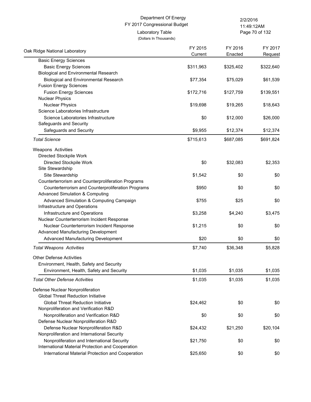Page 70 of 132 11:49:12AM

| Oak Ridge National Laboratory                                                | FY 2015   | FY 2016   | FY 2017   |
|------------------------------------------------------------------------------|-----------|-----------|-----------|
|                                                                              | Current   | Enacted   | Request   |
| <b>Basic Energy Sciences</b>                                                 |           |           |           |
| <b>Basic Energy Sciences</b><br><b>Biological and Environmental Research</b> | \$311,963 | \$325,402 | \$322,640 |
|                                                                              |           |           |           |
| <b>Biological and Environmental Research</b>                                 | \$77,354  | \$75,029  | \$61,539  |
| <b>Fusion Energy Sciences</b>                                                |           |           |           |
| <b>Fusion Energy Sciences</b>                                                | \$172,716 | \$127,759 | \$139,551 |
| <b>Nuclear Physics</b>                                                       |           |           |           |
| <b>Nuclear Physics</b><br>Science Laboratories Infrastructure                | \$19,698  | \$19,265  | \$18,643  |
| Science Laboratories Infrastructure                                          |           |           |           |
|                                                                              | \$0       | \$12,000  | \$26,000  |
| Safeguards and Security                                                      |           |           |           |
| Safeguards and Security                                                      | \$9,955   | \$12,374  | \$12,374  |
| <b>Total Science</b>                                                         | \$715,613 | \$687,085 | \$691,824 |
| Weapons Activities                                                           |           |           |           |
| Directed Stockpile Work                                                      |           |           |           |
| Directed Stockpile Work                                                      | \$0       | \$32,083  | \$2,353   |
| Site Stewardship                                                             |           |           |           |
| Site Stewardship                                                             | \$1,542   | \$0       | \$0       |
| Counterterrorism and Counterproliferation Programs                           |           |           |           |
| Counterterrorism and Counterproliferation Programs                           | \$950     | \$0       | \$0       |
| <b>Advanced Simulation &amp; Computing</b>                                   |           |           |           |
| Advanced Simulation & Computing Campaign                                     | \$755     | \$25      | \$0       |
| Infrastructure and Operations                                                |           |           |           |
| Infrastructure and Operations                                                | \$3,258   | \$4,240   | \$3,475   |
| Nuclear Counterterrorism Incident Response                                   |           |           |           |
| Nuclear Counterterrorism Incident Response                                   | \$1,215   | \$0       | \$0       |
| Advanced Manufacturing Development                                           |           |           |           |
| Advanced Manufacturing Development                                           | \$20      | \$0       | \$0       |
| <b>Total Weapons Activities</b>                                              | \$7,740   | \$36,348  | \$5,828   |
| <b>Other Defense Activities</b>                                              |           |           |           |
| Environment, Health, Safety and Security                                     |           |           |           |
| Environment, Health, Safety and Security                                     | \$1,035   | \$1,035   | \$1,035   |
| <b>Total Other Defense Activities</b>                                        | \$1,035   | \$1,035   | \$1,035   |
| Defense Nuclear Nonproliferation                                             |           |           |           |
| <b>Global Threat Reduction Initiative</b>                                    |           |           |           |
| <b>Global Threat Reduction Initiative</b>                                    | \$24,462  | \$0       | \$0       |
| Nonproliferation and Verification R&D                                        |           |           |           |
| Nonproliferation and Verification R&D                                        | \$0       | \$0       | \$0       |
| Defense Nuclear Nonproliferation R&D                                         |           |           |           |
| Defense Nuclear Nonproliferation R&D                                         | \$24,432  | \$21,250  | \$20,104  |
| Nonproliferation and International Security                                  |           |           |           |
| Nonproliferation and International Security                                  | \$21,750  | \$0       | \$0       |
| International Material Protection and Cooperation                            |           |           |           |
| International Material Protection and Cooperation                            | \$25,650  | \$0       | \$0       |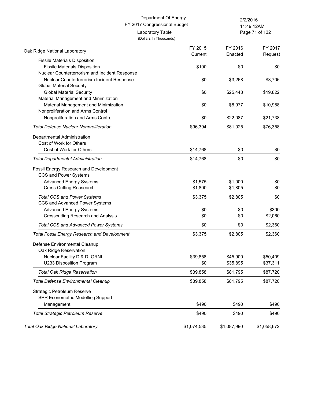Page 71 of 132 11:49:12AM

| Oak Ridge National Laboratory                       | FY 2015     | FY 2016     | FY 2017     |
|-----------------------------------------------------|-------------|-------------|-------------|
|                                                     | Current     | Enacted     | Request     |
| <b>Fissile Materials Disposition</b>                |             |             |             |
| <b>Fissile Materials Disposition</b>                | \$100       | \$0         | \$0         |
| Nuclear Counterterrorism and Incident Response      |             |             |             |
| Nuclear Counterterrorism Incident Response          | \$0         | \$3,268     | \$3,706     |
| <b>Global Material Security</b>                     |             |             |             |
| <b>Global Material Security</b>                     | \$0         | \$25,443    | \$19,822    |
| Material Management and Minimization                |             |             |             |
| Material Management and Minimization                | \$0         | \$8,977     | \$10,988    |
| Nonproliferation and Arms Control                   |             |             |             |
| Nonproliferation and Arms Control                   | \$0         | \$22,087    | \$21,738    |
| <b>Total Defense Nuclear Nonproliferation</b>       | \$96,394    | \$81,025    | \$76,358    |
| Departmental Administration                         |             |             |             |
| Cost of Work for Others                             |             |             |             |
| Cost of Work for Others                             | \$14,768    | \$0         | \$0         |
| <b>Total Departmental Administration</b>            | \$14,768    | \$0         | \$0         |
| Fossil Energy Research and Development              |             |             |             |
| CCS and Power Systems                               |             |             |             |
| <b>Advanced Energy Systems</b>                      | \$1,575     | \$1,000     | \$0         |
| <b>Cross Cutting Reasearch</b>                      | \$1,800     | \$1,805     | \$0         |
| <b>Total CCS and Power Systems</b>                  | \$3,375     | \$2,805     | \$0         |
| CCS and Advanced Power Systems                      |             |             |             |
| <b>Advanced Energy Systems</b>                      | \$0         | \$0         | \$300       |
| <b>Crosscutting Research and Analysis</b>           | \$0         | \$0         | \$2,060     |
| <b>Total CCS and Advanced Power Systems</b>         | \$0         | \$0         | \$2,360     |
| <b>Total Fossil Energy Research and Development</b> | \$3,375     | \$2,805     | \$2,360     |
| Defense Environmental Cleanup                       |             |             |             |
| Oak Ridge Reservation                               |             |             |             |
| Nuclear Facility D & D, ORNL                        | \$39,858    | \$45,900    | \$50,409    |
| U233 Disposition Program                            | \$0         | \$35,895    | \$37,311    |
| <b>Total Oak Ridge Reservation</b>                  | \$39,858    | \$81,795    | \$87,720    |
| <b>Total Defense Environmental Cleanup</b>          | \$39,858    | \$81,795    | \$87,720    |
| Strategic Petroleum Reserve                         |             |             |             |
| SPR Econometric Modelling Support                   |             |             |             |
| Management                                          | \$490       | \$490       | \$490       |
| Total Strategic Petroleum Reserve                   | \$490       | \$490       | \$490       |
| <b>Total Oak Ridge National Laboratory</b>          | \$1,074,535 | \$1,087,990 | \$1,058,672 |
|                                                     |             |             |             |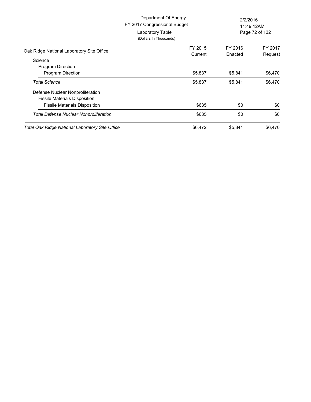|                                                                                                                  | Department Of Energy<br>FY 2017 Congressional Budget<br>Laboratory Table<br>(Dollars In Thousands) | 2/2/2016<br>11:49:12AM<br>Page 72 of 132 |                    |
|------------------------------------------------------------------------------------------------------------------|----------------------------------------------------------------------------------------------------|------------------------------------------|--------------------|
| Oak Ridge National Laboratory Site Office                                                                        | FY 2015<br>Current                                                                                 | FY 2016<br>Enacted                       | FY 2017<br>Request |
| Science<br>Program Direction<br>Program Direction                                                                | \$5,837                                                                                            | \$5,841                                  | \$6,470            |
| <b>Total Science</b>                                                                                             | \$5,837                                                                                            | \$5,841                                  | \$6,470            |
| Defense Nuclear Nonproliferation<br><b>Fissile Materials Disposition</b><br><b>Fissile Materials Disposition</b> | \$635                                                                                              | \$0                                      | \$0                |
| Total Defense Nuclear Nonproliferation                                                                           | \$635                                                                                              | \$0                                      | \$0                |
| <b>Total Oak Ridge National Laboratory Site Office</b>                                                           | \$6,472                                                                                            | \$5,841                                  | \$6,470            |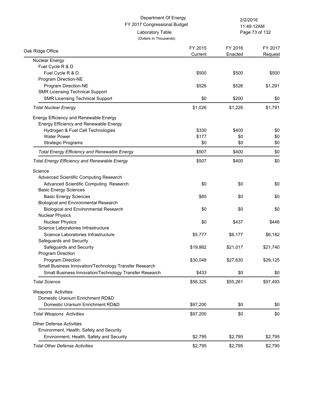(Dollars In Thousands)

Laboratory Table

Page 73 of 132 11:49:12AM

| Oak Ridge Office                                       | FY 2015<br>Current | FY 2016<br>Enacted | FY 2017<br>Request |
|--------------------------------------------------------|--------------------|--------------------|--------------------|
| Nuclear Energy                                         |                    |                    |                    |
| Fuel Cycle R & D                                       |                    |                    |                    |
| Fuel Cycle R & D                                       | \$500              | \$500              | \$500              |
| Program Direction-NE                                   |                    |                    |                    |
| Program Direction-NE                                   | \$526              | \$526              | \$1,291            |
| <b>SMR Licensing Technical Support</b>                 |                    |                    |                    |
| <b>SMR Licensing Technical Support</b>                 | \$0                | \$200              | \$0                |
| <b>Total Nuclear Energy</b>                            | \$1,026            | \$1,226            | \$1,791            |
| Energy Efficiency and Renewable Energy                 |                    |                    |                    |
| Energy Efficiency and Renewable Energy                 |                    |                    |                    |
| Hydrogen & Fuel Cell Technologies                      | \$330              | \$400              | \$0                |
| <b>Water Power</b>                                     | \$177              | \$0                | \$0                |
| <b>Strategic Programs</b>                              | \$0                | \$0                | \$0                |
| <b>Total Energy Efficiency and Renewable Energy</b>    | \$507              | \$400              | \$0                |
| <b>Total Energy Efficiency and Renewable Energy</b>    | \$507              | \$400              | \$0                |
| Science                                                |                    |                    |                    |
| Advanced Scientific Computing Research                 |                    |                    |                    |
| Advanced Scientific Computing Research                 | \$0                | \$0                | \$0                |
| <b>Basic Energy Sciences</b>                           |                    |                    |                    |
| <b>Basic Energy Sciences</b>                           | \$85               | \$0                | \$0                |
| <b>Biological and Environmental Research</b>           |                    |                    |                    |
| <b>Biological and Environmental Research</b>           | \$0                | \$0                | \$0                |
| <b>Nuclear Physics</b>                                 |                    |                    |                    |
| <b>Nuclear Physics</b>                                 | \$0                | \$437              | \$446              |
| Science Laboratories Infrastructure                    |                    |                    |                    |
| Science Laboratories Infrastructure                    | \$5,777            | \$6,177            | \$6,182            |
| Safeguards and Security                                |                    |                    |                    |
| Safeguards and Security                                | \$19,982           | \$21,017           | \$21,740           |
| Program Direction                                      |                    |                    |                    |
| Program Direction                                      | \$30,048           | \$27,630           | \$29,125           |
| Small Business Innovation/Technology Transfer Research |                    |                    |                    |
| Small Business Innovation/Technology Transfer Research | \$433              | \$0                | \$0                |
| <b>Total Science</b>                                   | \$56,325           | \$55,261           | \$57,493           |
| Weapons Activities                                     |                    |                    |                    |
| Domestic Uranium Enrichment RD&D                       |                    |                    |                    |
| Domestic Uranium Enrichment RD&D                       | \$97,200           | \$0                | \$0                |
| <b>Total Weapons Activities</b>                        | \$97,200           | \$0                | \$0                |
| <b>Other Defense Activities</b>                        |                    |                    |                    |
| Environment, Health, Safety and Security               |                    |                    |                    |
| Environment, Health, Safety and Security               | \$2,795            | \$2,795            | \$2,795            |
| <b>Total Other Defense Activities</b>                  | \$2,795            | \$2,795            | \$2,795            |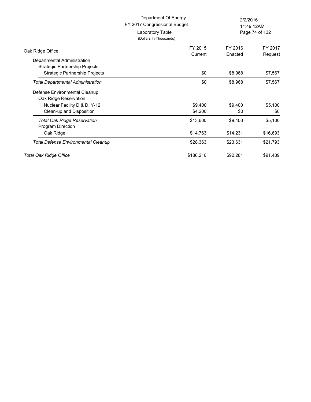|                                                               | Department Of Energy<br>FY 2017 Congressional Budget |          | 2/2/2016<br>11:49:12AM |  |
|---------------------------------------------------------------|------------------------------------------------------|----------|------------------------|--|
|                                                               | Laboratory Table<br>(Dollars In Thousands)           |          | Page 74 of 132         |  |
| Oak Ridge Office                                              | FY 2015                                              | FY 2016  | FY 2017                |  |
|                                                               | Current                                              | Enacted  | Request                |  |
| Departmental Administration<br>Strategic Partnership Projects |                                                      |          |                        |  |
| Strategic Partnership Projects                                | \$0                                                  | \$8,968  | \$7,567                |  |
| <b>Total Departmental Administration</b>                      | \$0                                                  | \$8,968  | \$7,567                |  |
| Defense Environmental Cleanup                                 |                                                      |          |                        |  |
| Oak Ridge Reservation                                         |                                                      |          |                        |  |
| Nuclear Facility D & D, Y-12                                  | \$9,400                                              | \$9,400  | \$5,100                |  |
| Clean-up and Disposition                                      | \$4,200                                              | \$0      | \$0                    |  |
| <b>Total Oak Ridge Reservation</b>                            | \$13,600                                             | \$9,400  | \$5,100                |  |
| Program Direction                                             |                                                      |          |                        |  |
| Oak Ridge                                                     | \$14,763                                             | \$14,231 | \$16,693               |  |
| <b>Total Defense Environmental Cleanup</b>                    | \$28,363                                             | \$23,631 | \$21,793               |  |
| Total Oak Ridge Office                                        | \$186,216                                            | \$92,281 | \$91,439               |  |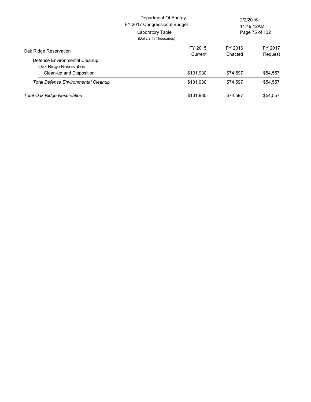|                                            | Department Of Energy<br>FY 2017 Congressional Budget<br>Laboratory Table<br>(Dollars In Thousands) | 2/2/2016<br>11:49:12AM<br>Page 75 of 132 |          |
|--------------------------------------------|----------------------------------------------------------------------------------------------------|------------------------------------------|----------|
| Oak Ridge Reservation                      | FY 2015                                                                                            | FY 2016                                  | FY 2017  |
|                                            | Current                                                                                            | Enacted                                  | Request  |
| Defense Environmental Cleanup              |                                                                                                    |                                          |          |
| Oak Ridge Reservation                      |                                                                                                    |                                          |          |
| Clean-up and Disposition                   | \$131,930                                                                                          | \$74.597                                 | \$54,557 |
| <b>Total Defense Environmental Cleanup</b> | \$131,930                                                                                          | \$74.597                                 | \$54,557 |
| <b>Total Oak Ridge Reservation</b>         | \$131,930                                                                                          | \$74.597                                 | \$54,557 |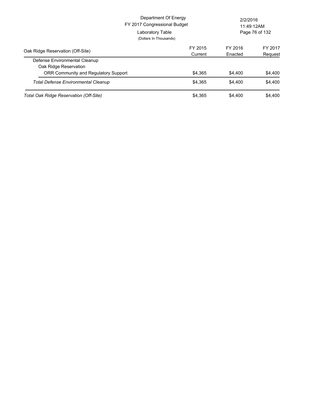|                                                        | Department Of Energy<br>FY 2017 Congressional Budget<br>Laboratory Table<br>(Dollars In Thousands) |                    | 2/2/2016<br>11:49:12AM<br>Page 76 of 132 |  |
|--------------------------------------------------------|----------------------------------------------------------------------------------------------------|--------------------|------------------------------------------|--|
| Oak Ridge Reservation (Off-Site)                       | FY 2015<br>Current                                                                                 | FY 2016<br>Enacted | FY 2017<br>Request                       |  |
| Defense Environmental Cleanup<br>Oak Ridge Reservation |                                                                                                    |                    |                                          |  |
| <b>ORR Community and Regulatory Support</b>            | \$4,365                                                                                            | \$4,400            | \$4,400                                  |  |
| <b>Total Defense Environmental Cleanup</b>             | \$4.365                                                                                            | \$4,400            | \$4,400                                  |  |
| Total Oak Ridge Reservation (Off-Site)                 | \$4.365                                                                                            | \$4,400            | \$4,400                                  |  |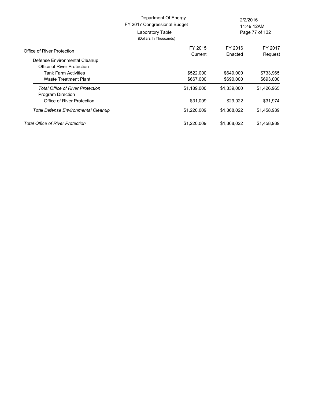|                                                             | Department Of Energy<br>FY 2017 Congressional Budget | 2/2/2016    | 11:49:12AM     |
|-------------------------------------------------------------|------------------------------------------------------|-------------|----------------|
|                                                             | Laboratory Table<br>(Dollars In Thousands)           |             | Page 77 of 132 |
| Office of River Protection                                  | FY 2015                                              | FY 2016     | FY 2017        |
|                                                             | Current                                              | Enacted     | Request        |
| Defense Environmental Cleanup<br>Office of River Protection |                                                      |             |                |
| <b>Tank Farm Activities</b>                                 | \$522,000                                            | \$649,000   | \$733,965      |
| Waste Treatment Plant                                       | \$667,000                                            | \$690,000   | \$693,000      |
| Total Office of River Protection<br>Program Direction       | \$1,189,000                                          | \$1,339,000 | \$1,426,965    |
| Office of River Protection                                  | \$31,009                                             | \$29,022    | \$31,974       |
| Total Defense Environmental Cleanup                         | \$1,220,009                                          | \$1,368,022 | \$1,458,939    |
| <b>Total Office of River Protection</b>                     | \$1,220,009                                          | \$1,368,022 | \$1,458,939    |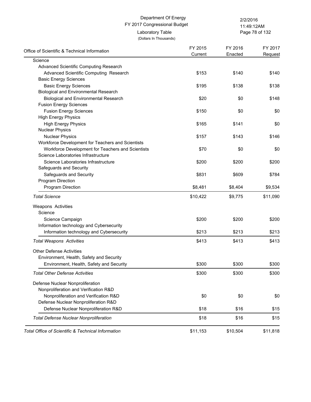# FY 2017 Congressional Budget Department Of Energy 2/2/2016 Laboratory Table

Page 78 of 132 11:49:12AM

(Dollars In Thousands)

| Office of Scientific & Technical Information       | FY 2015<br>Current | FY 2016<br>Enacted | FY 2017<br>Request |
|----------------------------------------------------|--------------------|--------------------|--------------------|
| Science                                            |                    |                    |                    |
| Advanced Scientific Computing Research             |                    |                    |                    |
| Advanced Scientific Computing Research             | \$153              | \$140              | \$140              |
| <b>Basic Energy Sciences</b>                       |                    |                    |                    |
| <b>Basic Energy Sciences</b>                       | \$195              | \$138              | \$138              |
| <b>Biological and Environmental Research</b>       |                    |                    |                    |
| <b>Biological and Environmental Research</b>       | \$20               | \$0                | \$148              |
| <b>Fusion Energy Sciences</b>                      |                    |                    |                    |
| <b>Fusion Energy Sciences</b>                      | \$150              | \$0                | \$0                |
| <b>High Energy Physics</b>                         |                    |                    |                    |
| <b>High Energy Physics</b>                         | \$165              | \$141              | \$0                |
| <b>Nuclear Physics</b>                             |                    |                    |                    |
| <b>Nuclear Physics</b>                             | \$157              | \$143              | \$146              |
| Workforce Development for Teachers and Scientists  |                    |                    |                    |
| Workforce Development for Teachers and Scientists  | \$70               | \$0                | \$0                |
| Science Laboratories Infrastructure                |                    |                    |                    |
| Science Laboratories Infrastructure                | \$200              | \$200              | \$200              |
| Safeguards and Security                            |                    |                    |                    |
| Safeguards and Security                            | \$831              | \$609              | \$784              |
| Program Direction                                  |                    |                    |                    |
| Program Direction                                  | \$8,481            | \$8,404            | \$9,534            |
| <b>Total Science</b>                               | \$10,422           | \$9,775            | \$11,090           |
| <b>Weapons Activities</b>                          |                    |                    |                    |
| Science                                            |                    |                    |                    |
| Science Campaign                                   | \$200              | \$200              | \$200              |
| Information technology and Cybersecurity           |                    |                    |                    |
| Information technology and Cybersecurity           | \$213              | \$213              | \$213              |
| <b>Total Weapons Activities</b>                    | \$413              | \$413              | \$413              |
| <b>Other Defense Activities</b>                    |                    |                    |                    |
| Environment, Health, Safety and Security           |                    |                    |                    |
| Environment, Health, Safety and Security           | \$300              | \$300              | \$300              |
| <b>Total Other Defense Activities</b>              | \$300              | \$300              | \$300              |
| Defense Nuclear Nonproliferation                   |                    |                    |                    |
| Nonproliferation and Verification R&D              |                    |                    |                    |
| Nonproliferation and Verification R&D              | \$0                | \$0                | \$0                |
| Defense Nuclear Nonproliferation R&D               |                    |                    |                    |
| Defense Nuclear Nonproliferation R&D               | \$18               | \$16               | \$15               |
| <b>Total Defense Nuclear Nonproliferation</b>      | \$18               | \$16               | \$15               |
| Total Office of Scientific & Technical Information | \$11,153           | \$10,504           | \$11,818           |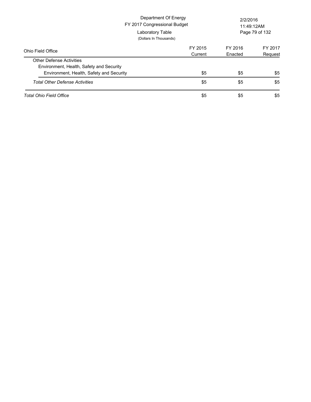|                                                                             | Department Of Energy<br>FY 2017 Congressional Budget<br>Laboratory Table<br>(Dollars In Thousands) | 2/2/2016<br>11:49:12AM<br>Page 79 of 132 |                    |
|-----------------------------------------------------------------------------|----------------------------------------------------------------------------------------------------|------------------------------------------|--------------------|
| Ohio Field Office                                                           | FY 2015<br>Current                                                                                 | FY 2016<br>Enacted                       | FY 2017<br>Request |
| <b>Other Defense Activities</b><br>Environment, Health, Safety and Security |                                                                                                    |                                          |                    |
| Environment, Health, Safety and Security                                    | \$5                                                                                                | \$5                                      | \$5                |
| <b>Total Other Defense Activities</b>                                       | \$5                                                                                                | \$5                                      | \$5                |
| Total Ohio Field Office                                                     | \$5                                                                                                | \$5                                      | \$5                |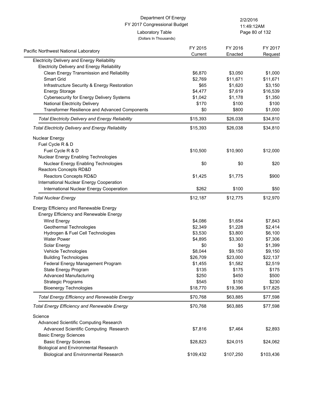Page 80 of 132 11:49:12AM

| Pacific Northwest National Laboratory                    | FY 2015   | FY 2016   | FY 2017   |
|----------------------------------------------------------|-----------|-----------|-----------|
|                                                          | Current   | Enacted   | Request   |
| <b>Electricity Delivery and Energy Reliability</b>       |           |           |           |
| Electricity Delivery and Energy Reliability              |           |           |           |
| Clean Energy Transmission and Reliability                | \$6,870   | \$3,050   | \$1,000   |
| Smart Grid                                               | \$2,769   | \$11,671  | \$11,671  |
| Infrastructure Security & Energy Restoration             | \$65      | \$1,620   | \$3,150   |
| <b>Energy Storage</b>                                    | \$4,477   | \$7,619   | \$16,539  |
| <b>Cybersecurity for Energy Delivery Systems</b>         | \$1,042   | \$1,178   | \$1,350   |
| <b>National Electricity Delivery</b>                     | \$170     | \$100     | \$100     |
| Transformer Resilience and Advanced Components           | \$0       | \$800     | \$1,000   |
| <b>Total Electricity Delivery and Energy Reliability</b> | \$15,393  | \$26,038  | \$34,810  |
| <b>Total Electricity Delivery and Energy Reliability</b> | \$15,393  | \$26,038  | \$34,810  |
| <b>Nuclear Energy</b>                                    |           |           |           |
| Fuel Cycle R & D                                         |           |           |           |
| Fuel Cycle R & D                                         | \$10,500  | \$10,900  | \$12,000  |
| <b>Nuclear Energy Enabling Technologies</b>              |           |           |           |
| Nuclear Energy Enabling Technologies                     | \$0       | \$0       | \$20      |
| Reactors Concepts RD&D                                   |           |           |           |
| Reactors Concepts RD&D                                   | \$1,425   | \$1,775   | \$900     |
| International Nuclear Energy Cooperation                 |           |           |           |
| International Nuclear Energy Cooperation                 | \$262     | \$100     | \$50      |
| <b>Total Nuclear Energy</b>                              | \$12,187  | \$12,775  | \$12,970  |
| Energy Efficiency and Renewable Energy                   |           |           |           |
| Energy Efficiency and Renewable Energy                   |           |           |           |
| Wind Energy                                              | \$4,086   | \$1,654   | \$7,843   |
| Geothermal Technologies                                  | \$2,349   | \$1,228   | \$2,414   |
| Hydrogen & Fuel Cell Technologies                        | \$3,530   | \$3,800   | \$6,100   |
| <b>Water Power</b>                                       | \$4,895   | \$3,300   | \$7,306   |
| Solar Energy                                             | \$0       | \$0       | \$1,399   |
| Vehicle Technologies                                     | \$8,044   | \$9,150   | \$9,150   |
| <b>Building Technologies</b>                             | \$26,709  | \$23,000  | \$22,137  |
| Federal Energy Management Program                        | \$1,455   | \$1,582   | \$2,519   |
| State Energy Program                                     | \$135     | \$175     | \$175     |
| <b>Advanced Manufacturing</b>                            | \$250     | \$450     | \$500     |
| <b>Strategic Programs</b>                                | \$545     | \$150     | \$230     |
| <b>Bioenergy Technologies</b>                            | \$18,770  | \$19,396  | \$17,825  |
| Total Energy Efficiency and Renewable Energy             | \$70,768  | \$63,885  | \$77,598  |
| <b>Total Energy Efficiency and Renewable Energy</b>      | \$70,768  | \$63,885  | \$77,598  |
| Science                                                  |           |           |           |
| Advanced Scientific Computing Research                   |           |           |           |
| Advanced Scientific Computing Research                   | \$7,816   | \$7,464   | \$2,893   |
| <b>Basic Energy Sciences</b>                             |           |           |           |
| <b>Basic Energy Sciences</b>                             | \$28,823  | \$24,015  | \$24,062  |
| <b>Biological and Environmental Research</b>             |           |           |           |
| <b>Biological and Environmental Research</b>             | \$109,432 | \$107,250 | \$103,436 |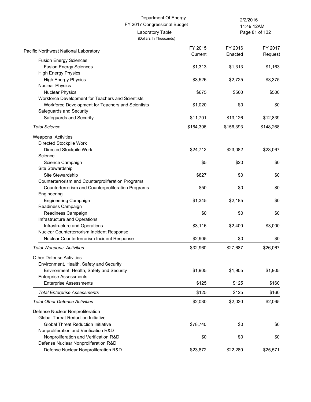Page 81 of 132 11:49:12AM

| Pacific Northwest National Laboratory                             | FY 2015<br>Current | FY 2016<br>Enacted | FY 2017<br>Request |
|-------------------------------------------------------------------|--------------------|--------------------|--------------------|
| <b>Fusion Energy Sciences</b>                                     |                    |                    |                    |
| <b>Fusion Energy Sciences</b>                                     | \$1,313            | \$1,313            | \$1,163            |
| <b>High Energy Physics</b>                                        |                    |                    |                    |
| <b>High Energy Physics</b>                                        | \$3,526            | \$2,725            | \$3,375            |
| <b>Nuclear Physics</b>                                            |                    |                    |                    |
| <b>Nuclear Physics</b>                                            | \$675              | \$500              | \$500              |
| Workforce Development for Teachers and Scientists                 |                    |                    |                    |
| Workforce Development for Teachers and Scientists                 | \$1,020            | \$0                | \$0                |
| Safeguards and Security                                           |                    |                    |                    |
| Safeguards and Security                                           | \$11,701           | \$13,126           | \$12,839           |
| <b>Total Science</b>                                              | \$164,306          | \$156,393          | \$148,268          |
| Weapons Activities                                                |                    |                    |                    |
| Directed Stockpile Work                                           |                    |                    |                    |
| Directed Stockpile Work                                           | \$24,712           | \$23,082           | \$23,067           |
| Science                                                           |                    |                    |                    |
| Science Campaign                                                  | \$5                | \$20               | \$0                |
| Site Stewardship                                                  |                    |                    |                    |
| Site Stewardship                                                  | \$827              | \$0                | \$0                |
| Counterterrorism and Counterproliferation Programs                |                    | \$0                | \$0                |
| Counterterrorism and Counterproliferation Programs<br>Engineering | \$50               |                    |                    |
| <b>Engineering Campaign</b>                                       | \$1,345            | \$2,185            | \$0                |
| Readiness Campaign                                                |                    |                    |                    |
| Readiness Campaign                                                | \$0                | \$0                | \$0                |
| Infrastructure and Operations                                     |                    |                    |                    |
| Infrastructure and Operations                                     | \$3,116            | \$2,400            | \$3,000            |
| Nuclear Counterterrorism Incident Response                        |                    |                    |                    |
| Nuclear Counterterrorism Incident Response                        | \$2,905            | \$0                | \$0                |
| <b>Total Weapons Activities</b>                                   | \$32,960           | \$27,687           | \$26,067           |
| <b>Other Defense Activities</b>                                   |                    |                    |                    |
| Environment, Health, Safety and Security                          |                    |                    |                    |
| Environment, Health, Safety and Security                          | \$1,905            | \$1,905            | \$1,905            |
| <b>Enterprise Assessments</b>                                     |                    |                    |                    |
| <b>Enterprise Assessments</b>                                     | \$125              | \$125              | \$160              |
| <b>Total Enterprise Assessments</b>                               | \$125              | \$125              | \$160              |
| <b>Total Other Defense Activities</b>                             | \$2,030            | \$2,030            | \$2,065            |
| Defense Nuclear Nonproliferation                                  |                    |                    |                    |
| <b>Global Threat Reduction Initiative</b>                         |                    |                    |                    |
| <b>Global Threat Reduction Initiative</b>                         | \$78,740           | \$0                | \$0                |
| Nonproliferation and Verification R&D                             |                    |                    |                    |
| Nonproliferation and Verification R&D                             | \$0                | \$0                | \$0                |
| Defense Nuclear Nonproliferation R&D                              |                    |                    |                    |
| Defense Nuclear Nonproliferation R&D                              | \$23,872           | \$22,280           | \$25,571           |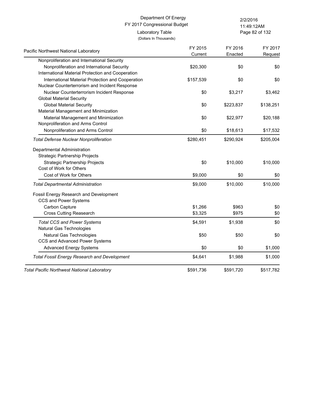Page 82 of 132 11:49:12AM

| Pacific Northwest National Laboratory               | FY 2015   | FY 2016   | FY 2017   |
|-----------------------------------------------------|-----------|-----------|-----------|
|                                                     | Current   | Enacted   | Request   |
| Nonproliferation and International Security         |           |           |           |
| Nonproliferation and International Security         | \$20,300  | \$0       | \$0       |
| International Material Protection and Cooperation   |           |           |           |
| International Material Protection and Cooperation   | \$157,539 | \$0       | \$0       |
| Nuclear Counterterrorism and Incident Response      |           |           |           |
| Nuclear Counterterrorism Incident Response          | \$0       | \$3,217   | \$3,462   |
| <b>Global Material Security</b>                     |           |           |           |
| <b>Global Material Security</b>                     | \$0       | \$223,837 | \$138,251 |
| Material Management and Minimization                |           |           |           |
| Material Management and Minimization                | \$0       | \$22,977  | \$20,188  |
| Nonproliferation and Arms Control                   |           |           |           |
| Nonproliferation and Arms Control                   | \$0       | \$18,613  | \$17,532  |
| <b>Total Defense Nuclear Nonproliferation</b>       | \$280,451 | \$290,924 | \$205,004 |
| Departmental Administration                         |           |           |           |
| Strategic Partnership Projects                      |           |           |           |
| <b>Strategic Partnership Projects</b>               | \$0       | \$10,000  | \$10,000  |
| Cost of Work for Others                             |           |           |           |
| Cost of Work for Others                             | \$9,000   | \$0       | \$0       |
| <b>Total Departmental Administration</b>            | \$9,000   | \$10,000  | \$10,000  |
| Fossil Energy Research and Development              |           |           |           |
| CCS and Power Systems                               |           |           |           |
| Carbon Capture                                      | \$1,266   | \$963     | \$0       |
| <b>Cross Cutting Reasearch</b>                      | \$3,325   | \$975     | \$0       |
| <b>Total CCS and Power Systems</b>                  | \$4,591   | \$1,938   | \$0       |
| Natural Gas Technologies                            |           |           |           |
| Natural Gas Technologies                            | \$50      | \$50      | \$0       |
| CCS and Advanced Power Systems                      |           |           |           |
| <b>Advanced Energy Systems</b>                      | \$0       | \$0       | \$1,000   |
| <b>Total Fossil Energy Research and Development</b> | \$4,641   | \$1,988   | \$1,000   |
| <b>Total Pacific Northwest National Laboratory</b>  | \$591,736 | \$591,720 | \$517,782 |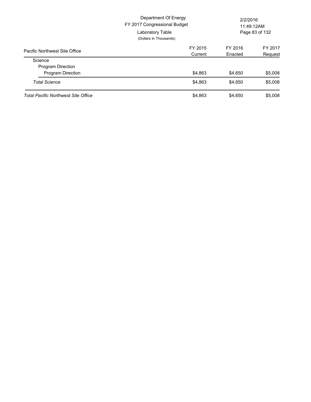|                                            | Department Of Energy<br>FY 2017 Congressional Budget<br>Laboratory Table<br>(Dollars In Thousands) | 2/2/2016<br>11:49:12AM<br>Page 83 of 132 |         |
|--------------------------------------------|----------------------------------------------------------------------------------------------------|------------------------------------------|---------|
| Pacific Northwest Site Office              | FY 2015                                                                                            | FY 2016                                  | FY 2017 |
|                                            | Current                                                                                            | Enacted                                  | Request |
| Science                                    |                                                                                                    |                                          |         |
| <b>Program Direction</b>                   |                                                                                                    |                                          |         |
| Program Direction                          | \$4,863                                                                                            | \$4,650                                  | \$5,008 |
| <b>Total Science</b>                       | \$4.863                                                                                            | \$4,650                                  | \$5,008 |
| <b>Total Pacific Northwest Site Office</b> | \$4,863                                                                                            | \$4,650                                  | \$5,008 |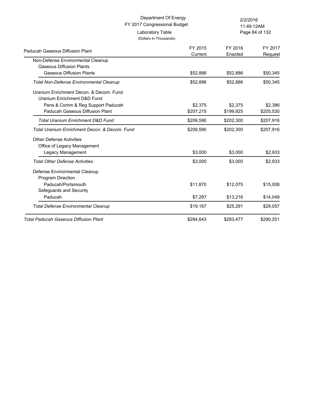| Department Of Energy<br>FY 2017 Congressional Budget |                                            | 2/2/2016<br>11:49:12AM |                    |  |
|------------------------------------------------------|--------------------------------------------|------------------------|--------------------|--|
|                                                      | Laboratory Table<br>(Dollars In Thousands) |                        | Page 84 of 132     |  |
| Paducah Gaseous Diffusion Plant                      | FY 2015<br>Current                         | FY 2016<br>Enacted     | FY 2017<br>Request |  |
| Non-Defense Environmental Cleanup                    |                                            |                        |                    |  |
| <b>Gaseous Diffusion Plants</b>                      |                                            |                        |                    |  |
| <b>Gaseous Diffusion Plants</b>                      | \$52,886                                   | \$52,886               | \$50,345           |  |
| <b>Total Non-Defense Environmental Cleanup</b>       | \$52,886                                   | \$52,886               | \$50,345           |  |
| Uranium Enrichment Decon, & Decom, Fund              |                                            |                        |                    |  |
| Uranium Enrichment D&D Fund                          |                                            |                        |                    |  |
| Pens & Comm & Reg Support Paducah                    | \$2,375                                    | \$2,375                | \$2,386            |  |
| Paducah Gaseous Diffusion Plant                      | \$207,215                                  | \$199,925              | \$205,530          |  |
| <b>Total Uranium Enrichment D&amp;D Fund</b>         | \$209,590                                  | \$202,300              | \$207,916          |  |
| Total Uranium Enrichment Decon, & Decom, Fund        | \$209,590                                  | \$202,300              | \$207,916          |  |
| <b>Other Defense Activities</b>                      |                                            |                        |                    |  |
| Office of Legacy Management                          |                                            |                        |                    |  |
| Legacy Management                                    | \$3,000                                    | \$3,000                | \$2,933            |  |
| <b>Total Other Defense Activities</b>                | \$3,000                                    | \$3,000                | \$2,933            |  |
| Defense Environmental Cleanup                        |                                            |                        |                    |  |
| Program Direction                                    |                                            |                        |                    |  |
| Paducah/Portsmouth                                   | \$11,870                                   | \$12,075               | \$15,008           |  |
| Safeguards and Security                              |                                            |                        |                    |  |
| Paducah                                              | \$7,297                                    | \$13,216               | \$14,049           |  |
| <b>Total Defense Environmental Cleanup</b>           | \$19,167                                   | \$25,291               | \$29,057           |  |
| <b>Total Paducah Gaseous Diffusion Plant</b>         | \$284,643                                  | \$283,477              | \$290,251          |  |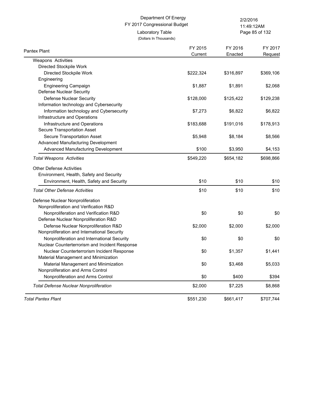(Dollars In Thousands)

Laboratory Table

Page 85 of 132 11:49:12AM

| Pantex Plant                                   | FY 2015   | FY 2016   | FY 2017   |
|------------------------------------------------|-----------|-----------|-----------|
|                                                | Current   | Enacted   | Request   |
| Weapons Activities                             |           |           |           |
| Directed Stockpile Work                        |           |           |           |
| Directed Stockpile Work                        | \$222,324 | \$316,897 | \$369,106 |
| Engineering                                    |           |           |           |
| <b>Engineering Campaign</b>                    | \$1,887   | \$1,891   | \$2,068   |
| Defense Nuclear Security                       |           |           |           |
| <b>Defense Nuclear Security</b>                | \$128,000 | \$125,422 | \$129,238 |
| Information technology and Cybersecurity       |           |           |           |
| Information technology and Cybersecurity       | \$7,273   | \$6,822   | \$6,822   |
| Infrastructure and Operations                  |           |           |           |
| Infrastructure and Operations                  | \$183,688 | \$191,016 | \$178,913 |
| Secure Transportation Asset                    |           |           |           |
| Secure Transportation Asset                    | \$5,948   | \$8,184   | \$8,566   |
| Advanced Manufacturing Development             |           |           |           |
| Advanced Manufacturing Development             | \$100     | \$3,950   | \$4,153   |
| <b>Total Weapons Activities</b>                | \$549,220 | \$654,182 | \$698,866 |
| <b>Other Defense Activities</b>                |           |           |           |
| Environment, Health, Safety and Security       |           |           |           |
|                                                |           |           |           |
| Environment, Health, Safety and Security       | \$10      | \$10      | \$10      |
| <b>Total Other Defense Activities</b>          | \$10      | \$10      | \$10      |
| Defense Nuclear Nonproliferation               |           |           |           |
| Nonproliferation and Verification R&D          |           |           |           |
| Nonproliferation and Verification R&D          | \$0       | \$0       | \$0       |
| Defense Nuclear Nonproliferation R&D           |           |           |           |
| Defense Nuclear Nonproliferation R&D           | \$2,000   | \$2,000   | \$2,000   |
| Nonproliferation and International Security    |           |           |           |
| Nonproliferation and International Security    | \$0       | \$0       | \$0       |
| Nuclear Counterterrorism and Incident Response |           |           |           |
| Nuclear Counterterrorism Incident Response     | \$0       | \$1,357   | \$1,441   |
| Material Management and Minimization           |           |           |           |
| Material Management and Minimization           | \$0       | \$3,468   | \$5,033   |
| Nonproliferation and Arms Control              |           |           |           |
| Nonproliferation and Arms Control              | \$0       | \$400     | \$394     |
| <b>Total Defense Nuclear Nonproliferation</b>  | \$2,000   | \$7,225   | \$8,868   |
| <b>Total Pantex Plant</b>                      | \$551,230 | \$661,417 | \$707,744 |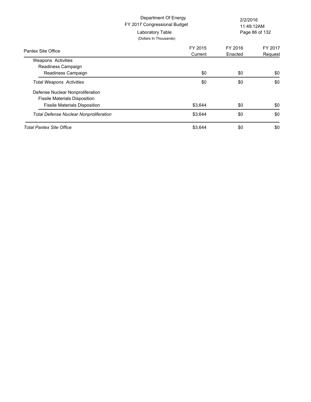|                                                                                                                  | Department Of Energy<br>FY 2017 Congressional Budget<br>Laboratory Table<br>(Dollars In Thousands) | 2/2/2016<br>11:49:12AM<br>Page 86 of 132 |                    |
|------------------------------------------------------------------------------------------------------------------|----------------------------------------------------------------------------------------------------|------------------------------------------|--------------------|
| Pantex Site Office                                                                                               | FY 2015<br>Current                                                                                 | FY 2016<br>Enacted                       | FY 2017<br>Request |
| <b>Weapons Activities</b>                                                                                        |                                                                                                    |                                          |                    |
| Readiness Campaign<br>Readiness Campaign                                                                         | \$0                                                                                                | \$0                                      | \$0                |
| <b>Total Weapons Activities</b>                                                                                  | \$0                                                                                                | \$0                                      | \$0                |
| Defense Nuclear Nonproliferation<br><b>Fissile Materials Disposition</b><br><b>Fissile Materials Disposition</b> | \$3,644                                                                                            | \$0                                      | \$0                |
| <b>Total Defense Nuclear Nonproliferation</b>                                                                    | \$3,644                                                                                            | \$0                                      | \$0                |
| Total Pantex Site Office                                                                                         | \$3,644                                                                                            | \$0                                      | \$0                |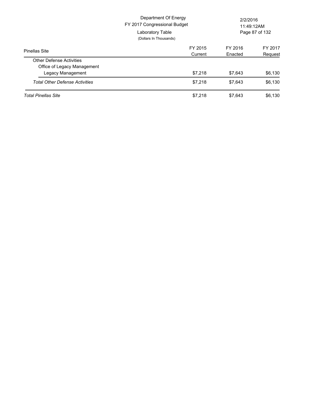|                                       | Department Of Energy<br>FY 2017 Congressional Budget<br>Laboratory Table<br>(Dollars In Thousands) | 2/2/2016<br>11:49:12AM<br>Page 87 of 132 |         |
|---------------------------------------|----------------------------------------------------------------------------------------------------|------------------------------------------|---------|
| <b>Pinellas Site</b>                  | FY 2015                                                                                            | FY 2016                                  | FY 2017 |
|                                       | Current                                                                                            | Enacted                                  | Request |
| <b>Other Defense Activities</b>       |                                                                                                    |                                          |         |
| Office of Legacy Management           |                                                                                                    |                                          |         |
| Legacy Management                     | \$7.218                                                                                            | \$7.643                                  | \$6,130 |
| <b>Total Other Defense Activities</b> | \$7.218                                                                                            | \$7.643                                  | \$6,130 |
| <b>Total Pinellas Site</b>            | \$7.218                                                                                            | \$7,643                                  | \$6,130 |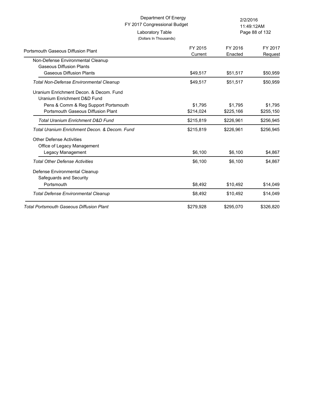|                                                                                                                 | Department Of Energy<br>FY 2017 Congressional Budget |                      | 2/2/2016<br>11:49:12AM |
|-----------------------------------------------------------------------------------------------------------------|------------------------------------------------------|----------------------|------------------------|
|                                                                                                                 | Laboratory Table<br>(Dollars In Thousands)           |                      | Page 88 of 132         |
| Portsmouth Gaseous Diffusion Plant                                                                              | FY 2015<br>Current                                   | FY 2016<br>Enacted   | FY 2017<br>Request     |
| Non-Defense Environmental Cleanup<br><b>Gaseous Diffusion Plants</b>                                            |                                                      |                      |                        |
| <b>Gaseous Diffusion Plants</b><br><b>Total Non-Defense Environmental Cleanup</b>                               | \$49,517<br>\$49,517                                 | \$51,517<br>\$51,517 | \$50,959<br>\$50,959   |
| Uranium Enrichment Decon, & Decom, Fund<br>Uranium Enrichment D&D Fund<br>Pens & Comm & Reg Support Portsmouth  | \$1,795                                              | \$1,795              | \$1,795                |
| Portsmouth Gaseous Diffusion Plant                                                                              | \$214,024                                            | \$225,166            | \$255,150              |
| <b>Total Uranium Enrichment D&amp;D Fund</b>                                                                    | \$215,819                                            | \$226,961            | \$256,945              |
| Total Uranium Enrichment Decon, & Decom, Fund<br><b>Other Defense Activities</b><br>Office of Legacy Management | \$215,819                                            | \$226,961            | \$256,945              |
| Legacy Management                                                                                               | \$6,100                                              | \$6,100              | \$4,867                |
| <b>Total Other Defense Activities</b>                                                                           | \$6,100                                              | \$6,100              | \$4,867                |
| Defense Environmental Cleanup<br>Safeguards and Security                                                        |                                                      |                      |                        |
| Portsmouth                                                                                                      | \$8,492                                              | \$10,492             | \$14,049               |
| <b>Total Defense Environmental Cleanup</b>                                                                      | \$8,492                                              | \$10,492             | \$14,049               |
| <b>Total Portsmouth Gaseous Diffusion Plant</b>                                                                 | \$279,928                                            | \$295,070            | \$326,820              |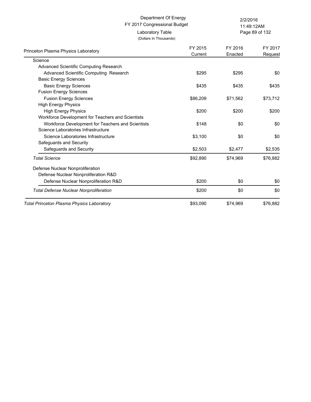# FY 2017 Congressional Budget Department Of Energy 2/2/2016 Laboratory Table

(Dollars In Thousands)

Page 89 of 132 11:49:12AM

| Princeton Plasma Physics Laboratory               | FY 2015<br>Current | FY 2016<br>Enacted | FY 2017<br>Request |
|---------------------------------------------------|--------------------|--------------------|--------------------|
| Science                                           |                    |                    |                    |
| Advanced Scientific Computing Research            |                    |                    |                    |
| Advanced Scientific Computing Research            | \$295              | \$295              | \$0                |
| <b>Basic Energy Sciences</b>                      |                    |                    |                    |
| <b>Basic Energy Sciences</b>                      | \$435              | \$435              | \$435              |
| <b>Fusion Energy Sciences</b>                     |                    |                    |                    |
| <b>Fusion Energy Sciences</b>                     | \$86,209           | \$71,562           | \$73,712           |
| <b>High Energy Physics</b>                        |                    |                    |                    |
| <b>High Energy Physics</b>                        | \$200              | \$200              | \$200              |
| Workforce Development for Teachers and Scientists |                    |                    |                    |
| Workforce Development for Teachers and Scientists | \$148              | \$0                | \$0                |
| Science Laboratories Infrastructure               |                    |                    |                    |
| Science Laboratories Infrastructure               | \$3,100            | \$0                | \$0                |
| Safeguards and Security                           |                    |                    |                    |
| Safeguards and Security                           | \$2,503            | \$2,477            | \$2,535            |
| <b>Total Science</b>                              | \$92,890           | \$74,969           | \$76,882           |
| Defense Nuclear Nonproliferation                  |                    |                    |                    |
| Defense Nuclear Nonproliferation R&D              |                    |                    |                    |
| Defense Nuclear Nonproliferation R&D              | \$200              | \$0                | \$0                |
| <b>Total Defense Nuclear Nonproliferation</b>     | \$200              | \$0                | \$0                |
| <b>Total Princeton Plasma Physics Laboratory</b>  | \$93,090           | \$74,969           | \$76,882           |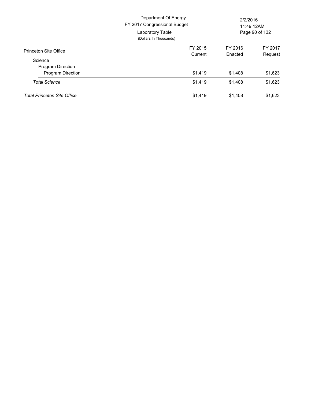|                                    | Department Of Energy<br>FY 2017 Congressional Budget<br>Laboratory Table<br>(Dollars In Thousands) | 2/2/2016<br>11:49:12AM<br>Page 90 of 132 |         |
|------------------------------------|----------------------------------------------------------------------------------------------------|------------------------------------------|---------|
| Princeton Site Office              | FY 2015                                                                                            | FY 2016                                  | FY 2017 |
|                                    | Current                                                                                            | Enacted                                  | Request |
| Science                            |                                                                                                    |                                          |         |
| <b>Program Direction</b>           |                                                                                                    |                                          |         |
| <b>Program Direction</b>           | \$1,419                                                                                            | \$1,408                                  | \$1,623 |
| <b>Total Science</b>               | \$1,419                                                                                            | \$1,408                                  | \$1,623 |
| <b>Total Princeton Site Office</b> | \$1,419                                                                                            | \$1,408                                  | \$1,623 |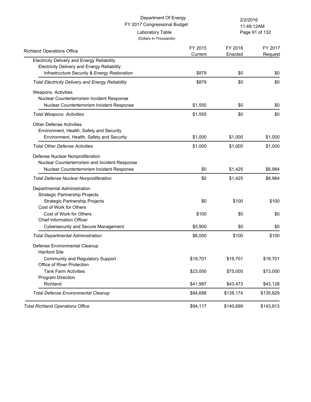# FY 2017 Congressional Budget Department Of Energy 2/2/2016 Laboratory Table

(Dollars In Thousands)

Page 91 of 132 11:49:12AM

| <b>Richland Operations Office</b>                        | FY 2015  | FY 2016   | FY 2017   |
|----------------------------------------------------------|----------|-----------|-----------|
|                                                          | Current  | Enacted   | Request   |
| <b>Electricity Delivery and Energy Reliability</b>       |          |           |           |
| <b>Electricity Delivery and Energy Reliability</b>       |          |           |           |
| Infrastructure Security & Energy Restoration             | \$879    | \$0       | \$0       |
| <b>Total Electricity Delivery and Energy Reliability</b> | \$879    | \$0       | \$0       |
| Weapons Activities                                       |          |           |           |
| Nuclear Counterterrorism Incident Response               |          |           |           |
| Nuclear Counterterrorism Incident Response               | \$1,550  | \$0       | \$0       |
| <b>Total Weapons Activities</b>                          | \$1,550  | \$0       | \$0       |
| <b>Other Defense Activities</b>                          |          |           |           |
| Environment, Health, Safety and Security                 |          |           |           |
| Environment, Health, Safety and Security                 | \$1,000  | \$1,000   | \$1,000   |
| Total Other Defense Activities                           | \$1,000  | \$1,000   | \$1,000   |
| Defense Nuclear Nonproliferation                         |          |           |           |
| Nuclear Counterterrorism and Incident Response           |          |           |           |
| Nuclear Counterterrorism Incident Response               | \$0      | \$1,425   | \$6,984   |
| <b>Total Defense Nuclear Nonproliferation</b>            | \$0      | \$1,425   | \$6,984   |
| Departmental Administration                              |          |           |           |
| Strategic Partnership Projects                           |          |           |           |
| Strategic Partnership Projects                           | \$0      | \$100     | \$100     |
| Cost of Work for Others                                  |          |           |           |
| Cost of Work for Others                                  | \$100    | \$0       | \$0       |
| <b>Chief Information Officer</b>                         |          |           |           |
| <b>Cybersecurity and Secure Management</b>               | \$5,900  | \$0       | \$0       |
| Total Departmental Administration                        | \$6,000  | \$100     | \$100     |
| Defense Environmental Cleanup                            |          |           |           |
| <b>Hanford Site</b>                                      |          |           |           |
| Community and Regulatory Support                         | \$19,701 | \$19,701  | \$19,701  |
| Office of River Protection                               |          |           |           |
| <b>Tank Farm Activities</b>                              | \$23,000 | \$75,000  | \$73,000  |
| Program Direction                                        |          |           |           |
| Richland                                                 | \$41,987 | \$43,473  | \$43,128  |
| <b>Total Defense Environmental Cleanup</b>               | \$84,688 | \$138,174 | \$135,829 |
| <b>Total Richland Operations Office</b>                  | \$94,117 | \$140,699 | \$143,913 |
|                                                          |          |           |           |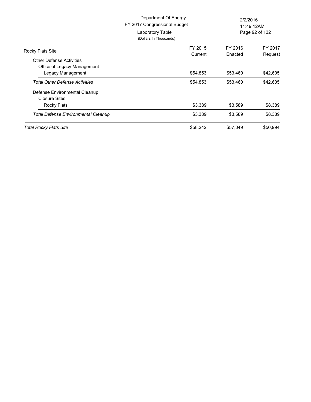|                                                                                     | Department Of Energy<br>FY 2017 Congressional Budget<br>Laboratory Table<br>(Dollars In Thousands) | 2/2/2016<br>11:49:12AM<br>Page 92 of 132 |                    |
|-------------------------------------------------------------------------------------|----------------------------------------------------------------------------------------------------|------------------------------------------|--------------------|
| Rocky Flats Site                                                                    | FY 2015<br>Current                                                                                 | FY 2016<br>Enacted                       | FY 2017<br>Request |
| <b>Other Defense Activities</b><br>Office of Legacy Management<br>Legacy Management | \$54,853                                                                                           | \$53,460                                 | \$42,605           |
| <b>Total Other Defense Activities</b>                                               | \$54,853                                                                                           | \$53,460                                 | \$42,605           |
| Defense Environmental Cleanup<br><b>Closure Sites</b><br>Rocky Flats                | \$3,389                                                                                            | \$3,589                                  | \$8,389            |
| <b>Total Defense Environmental Cleanup</b>                                          | \$3,389                                                                                            | \$3,589                                  | \$8,389            |
| <b>Total Rocky Flats Site</b>                                                       | \$58,242                                                                                           | \$57,049                                 | \$50,994           |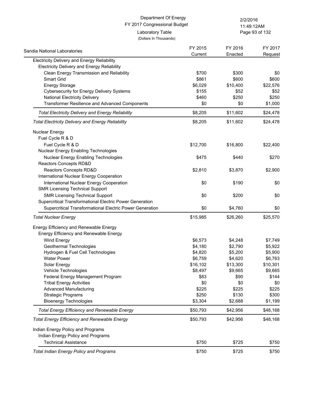Page 93 of 132 11:49:12AM

| Sandia National Laboratories                             | FY 2015<br>Current | FY 2016<br>Enacted | FY 2017<br>Request |
|----------------------------------------------------------|--------------------|--------------------|--------------------|
| <b>Electricity Delivery and Energy Reliability</b>       |                    |                    |                    |
| Electricity Delivery and Energy Reliability              |                    |                    |                    |
| Clean Energy Transmission and Reliability                | \$700              | \$300              | \$0                |
| Smart Grid                                               | \$861              | \$600              | \$600              |
| <b>Energy Storage</b>                                    | \$6,029            | \$10,400           | \$22,576           |
| <b>Cybersecurity for Energy Delivery Systems</b>         | \$155              | \$52               | \$52               |
| National Electricity Delivery                            | \$460              | \$250              | \$250              |
| Transformer Resilience and Advanced Components           | \$0                | \$0                | \$1,000            |
| <b>Total Electricity Delivery and Energy Reliability</b> | \$8,205            | \$11,602           | \$24,478           |
| <b>Total Electricity Delivery and Energy Reliability</b> | \$8,205            | \$11,602           | \$24,478           |
| <b>Nuclear Energy</b>                                    |                    |                    |                    |
| Fuel Cycle R & D                                         |                    |                    |                    |
| Fuel Cycle R & D                                         | \$12,700           | \$16,800           | \$22,400           |
| Nuclear Energy Enabling Technologies                     |                    |                    |                    |
| Nuclear Energy Enabling Technologies                     | \$475              | \$440              | \$270              |
| Reactors Concepts RD&D                                   |                    |                    |                    |
| Reactors Concepts RD&D                                   | \$2,810            | \$3,870            | \$2,900            |
| International Nuclear Energy Cooperation                 |                    |                    |                    |
| International Nuclear Energy Cooperation                 | \$0                | \$190              | \$0                |
| <b>SMR Licensing Technical Support</b>                   |                    |                    |                    |
| <b>SMR Licensing Technical Support</b>                   | \$0                | \$200              | \$0                |
| Supercritical Transformational Electric Power Generation |                    |                    |                    |
| Supercritical Transformational Electric Power Generation | \$0                | \$4,760            | \$0                |
| <b>Total Nuclear Energy</b>                              | \$15,985           | \$26,260           | \$25,570           |
| Energy Efficiency and Renewable Energy                   |                    |                    |                    |
| Energy Efficiency and Renewable Energy                   |                    |                    |                    |
| Wind Energy                                              | \$6,573            | \$4,248            | \$7,749            |
| Geothermal Technologies                                  | \$4,180            | \$2,790            | \$5,922            |
| Hydrogen & Fuel Cell Technologies                        | \$4,820            | \$5,200            | \$5,900            |
| <b>Water Power</b>                                       | \$6,759            | \$4,620            | \$6,763            |
| Solar Energy                                             | \$16,102           | \$13,300           | \$10,301           |
| Vehicle Technologies                                     | \$8,497            | \$9,665            | \$9,665            |
| Federal Energy Management Program                        | \$83               | \$90               | \$144              |
| <b>Tribal Energy Activities</b>                          | \$0                | \$0                | \$0                |
| <b>Advanced Manufacturing</b>                            | \$225              | \$225              | \$225              |
| <b>Strategic Programs</b>                                | \$250              | \$130              | \$300              |
| <b>Bioenergy Technologies</b>                            | \$3,304            | \$2,688            | \$1,199            |
| <b>Total Energy Efficiency and Renewable Energy</b>      | \$50,793           | \$42,956           | \$48,168           |
| <b>Total Energy Efficiency and Renewable Energy</b>      | \$50,793           | \$42,956           | \$48,168           |
| Indian Energy Policy and Programs                        |                    |                    |                    |
| Indian Energy Policy and Programs                        |                    |                    |                    |
| <b>Technical Assistance</b>                              | \$750              | \$725              | \$750              |
| <b>Total Indian Energy Policy and Programs</b>           | \$750              | \$725              | \$750              |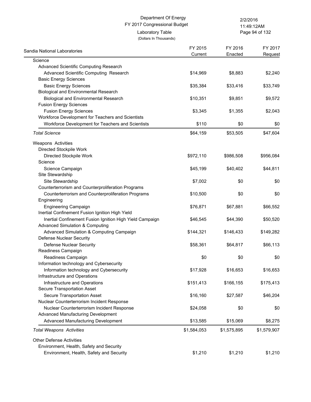(Dollars In Thousands)

Laboratory Table

Page 94 of 132 11:49:12AM

| Sandia National Laboratories                             | FY 2015<br>Current | FY 2016<br>Enacted | FY 2017<br>Request |
|----------------------------------------------------------|--------------------|--------------------|--------------------|
| Science                                                  |                    |                    |                    |
| Advanced Scientific Computing Research                   |                    |                    |                    |
| Advanced Scientific Computing Research                   | \$14,969           | \$8,883            | \$2,240            |
| <b>Basic Energy Sciences</b>                             |                    |                    |                    |
| <b>Basic Energy Sciences</b>                             | \$35,384           | \$33,416           | \$33,749           |
| <b>Biological and Environmental Research</b>             |                    |                    |                    |
| <b>Biological and Environmental Research</b>             | \$10,351           | \$9,851            | \$9,572            |
| <b>Fusion Energy Sciences</b>                            |                    |                    |                    |
| <b>Fusion Energy Sciences</b>                            | \$3,345            | \$1,355            | \$2,043            |
| Workforce Development for Teachers and Scientists        |                    |                    |                    |
| Workforce Development for Teachers and Scientists        | \$110              | \$0                | \$0                |
| <b>Total Science</b>                                     | \$64,159           | \$53,505           | \$47,604           |
| Weapons Activities                                       |                    |                    |                    |
| Directed Stockpile Work                                  |                    |                    |                    |
| Directed Stockpile Work                                  | \$972,110          | \$986,508          | \$956,084          |
| Science                                                  |                    |                    |                    |
| Science Campaign                                         | \$45,199           | \$40,402           | \$44,811           |
| Site Stewardship                                         |                    |                    |                    |
| Site Stewardship                                         | \$7,002            | \$0                | \$0                |
| Counterterrorism and Counterproliferation Programs       |                    |                    |                    |
| Counterterrorism and Counterproliferation Programs       | \$10,500           | \$0                | \$0                |
| Engineering                                              |                    |                    |                    |
| <b>Engineering Campaign</b>                              | \$76,871           | \$67,881           | \$66,552           |
| Inertial Confinement Fusion Ignition High Yield          |                    |                    |                    |
| Inertial Confinement Fusion Ignition High Yield Campaign | \$46,545           | \$44,390           | \$50,520           |
| <b>Advanced Simulation &amp; Computing</b>               |                    |                    |                    |
| Advanced Simulation & Computing Campaign                 | \$144,321          | \$146,433          | \$149,282          |
| Defense Nuclear Security                                 |                    |                    |                    |
| Defense Nuclear Security                                 | \$58,361           | \$64,817           | \$66,113           |
| Readiness Campaign                                       |                    |                    |                    |
| Readiness Campaign                                       | \$0                | \$0                | \$0                |
| Information technology and Cybersecurity                 |                    |                    |                    |
| Information technology and Cybersecurity                 | \$17,928           | \$16,653           | \$16,653           |
| Infrastructure and Operations                            |                    |                    |                    |
| Infrastructure and Operations                            | \$151,413          | \$166,155          | \$175,413          |
| Secure Transportation Asset                              |                    |                    |                    |
| Secure Transportation Asset                              | \$16,160           | \$27,587           | \$46,204           |
| Nuclear Counterterrorism Incident Response               |                    |                    |                    |
| Nuclear Counterterrorism Incident Response               | \$24,058           | \$0                | \$0                |
| Advanced Manufacturing Development                       |                    |                    |                    |
| Advanced Manufacturing Development                       | \$13,585           | \$15,069           | \$8,275            |
| <b>Total Weapons Activities</b>                          | \$1,584,053        | \$1,575,895        | \$1,579,907        |
| <b>Other Defense Activities</b>                          |                    |                    |                    |
| Environment, Health, Safety and Security                 |                    |                    |                    |
| Environment, Health, Safety and Security                 | \$1,210            | \$1,210            | \$1,210            |
|                                                          |                    |                    |                    |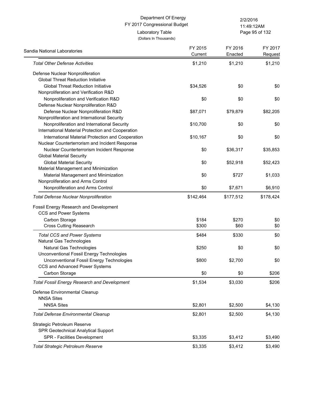Page 95 of 132 11:49:12AM

| Sandia National Laboratories                        | FY 2015<br>Current | FY 2016<br>Enacted | FY 2017<br>Request |
|-----------------------------------------------------|--------------------|--------------------|--------------------|
| <b>Total Other Defense Activities</b>               | \$1,210            | \$1,210            | \$1,210            |
| Defense Nuclear Nonproliferation                    |                    |                    |                    |
| <b>Global Threat Reduction Initiative</b>           |                    |                    |                    |
| <b>Global Threat Reduction Initiative</b>           | \$34,526           | \$0                | \$0                |
| Nonproliferation and Verification R&D               |                    |                    |                    |
| Nonproliferation and Verification R&D               | \$0                | \$0                | \$0                |
| Defense Nuclear Nonproliferation R&D                |                    |                    |                    |
| Defense Nuclear Nonproliferation R&D                | \$87,071           | \$79,879           | \$82,205           |
| Nonproliferation and International Security         |                    |                    |                    |
| Nonproliferation and International Security         | \$10,700           | \$0                | \$0                |
| International Material Protection and Cooperation   |                    |                    |                    |
| International Material Protection and Cooperation   | \$10,167           | \$0                | \$0                |
| Nuclear Counterterrorism and Incident Response      |                    |                    |                    |
| Nuclear Counterterrorism Incident Response          | \$0                | \$36,317           | \$35,853           |
| <b>Global Material Security</b>                     |                    |                    |                    |
| <b>Global Material Security</b>                     | \$0                | \$52,918           | \$52,423           |
| Material Management and Minimization                |                    |                    |                    |
| Material Management and Minimization                | \$0                | \$727              | \$1,033            |
| Nonproliferation and Arms Control                   |                    |                    |                    |
| Nonproliferation and Arms Control                   | \$0                | \$7,671            | \$6,910            |
| <b>Total Defense Nuclear Nonproliferation</b>       | \$142,464          | \$177,512          | \$178,424          |
| Fossil Energy Research and Development              |                    |                    |                    |
| CCS and Power Systems                               |                    |                    |                    |
| Carbon Storage                                      | \$184              | \$270              | \$0                |
| <b>Cross Cutting Reasearch</b>                      | \$300              | \$60               | \$0                |
| <b>Total CCS and Power Systems</b>                  | \$484              | \$330              | \$0                |
| Natural Gas Technologies                            |                    |                    |                    |
| Natural Gas Technologies                            | \$250              | \$0                | \$0                |
| Unconventional Fossil Energy Technologies           |                    |                    |                    |
| Unconventional Fossil Energy Technologies           | \$800              | \$2,700            | \$0                |
| CCS and Advanced Power Systems                      |                    |                    |                    |
| Carbon Storage                                      | \$0                | \$0                | \$206              |
| <b>Total Fossil Energy Research and Development</b> | \$1,534            | \$3,030            | \$206              |
| Defense Environmental Cleanup                       |                    |                    |                    |
| <b>NNSA Sites</b>                                   |                    |                    |                    |
| <b>NNSA Sites</b>                                   | \$2,801            | \$2,500            | \$4,130            |
| <b>Total Defense Environmental Cleanup</b>          | \$2,801            | \$2,500            | \$4,130            |
| Strategic Petroleum Reserve                         |                    |                    |                    |
| SPR Geotechnical Analytical Support                 |                    |                    |                    |
| SPR - Facilities Development                        | \$3,335            | \$3,412            | \$3,490            |
| Total Strategic Petroleum Reserve                   | \$3,335            | \$3,412            | \$3,490            |
|                                                     |                    |                    |                    |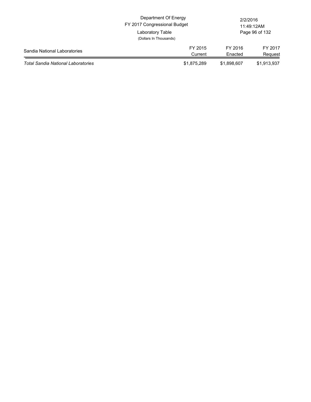|                                           | Department Of Energy<br>FY 2017 Congressional Budget |                    | 2/2/2016<br>11:49:12AM |
|-------------------------------------------|------------------------------------------------------|--------------------|------------------------|
|                                           | Laboratory Table<br>(Dollars In Thousands)           |                    | Page 96 of 132         |
| Sandia National Laboratories              | FY 2015<br>Current                                   | FY 2016<br>Enacted | FY 2017<br>Request     |
| <b>Total Sandia National Laboratories</b> | \$1,875,289                                          | \$1,898,607        | \$1,913,937            |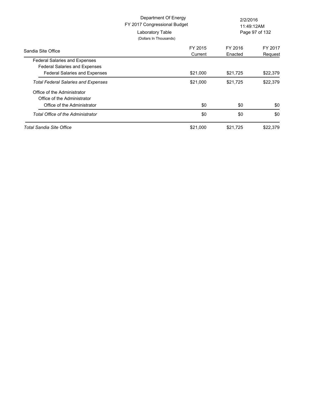|                                                                                           | Department Of Energy<br>FY 2017 Congressional Budget<br>Laboratory Table<br>(Dollars In Thousands) | 2/2/2016<br>11:49:12AM<br>Page 97 of 132 |                    |
|-------------------------------------------------------------------------------------------|----------------------------------------------------------------------------------------------------|------------------------------------------|--------------------|
| Sandia Site Office                                                                        | FY 2015<br>Current                                                                                 | FY 2016<br>Enacted                       | FY 2017<br>Request |
| <b>Federal Salaries and Expenses</b>                                                      |                                                                                                    |                                          |                    |
| <b>Federal Salaries and Expenses</b><br>Federal Salaries and Expenses                     | \$21,000                                                                                           | \$21,725                                 | \$22,379           |
| <b>Total Federal Salaries and Expenses</b>                                                | \$21,000                                                                                           | \$21,725                                 | \$22,379           |
| Office of the Administrator<br>Office of the Administrator<br>Office of the Administrator | \$0                                                                                                | \$0                                      | \$0                |
| Total Office of the Administrator                                                         | \$0                                                                                                | \$0                                      | \$0                |
| Total Sandia Site Office                                                                  | \$21,000                                                                                           | \$21,725                                 | \$22,379           |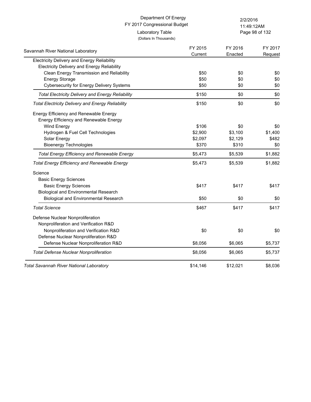| Department Of Energy<br>FY 2017 Congressional Budget                                              |                                            | 2/2/2016<br>11:49:12AM |                    |
|---------------------------------------------------------------------------------------------------|--------------------------------------------|------------------------|--------------------|
|                                                                                                   | Laboratory Table<br>(Dollars In Thousands) |                        | Page 98 of 132     |
| Savannah River National Laboratory                                                                | FY 2015<br>Current                         | FY 2016<br>Enacted     | FY 2017<br>Request |
| Electricity Delivery and Energy Reliability<br><b>Electricity Delivery and Energy Reliability</b> |                                            |                        |                    |
| Clean Energy Transmission and Reliability                                                         | \$50                                       | \$0                    | \$0                |
| <b>Energy Storage</b>                                                                             | \$50                                       | \$0                    | \$0                |
| <b>Cybersecurity for Energy Delivery Systems</b>                                                  | \$50                                       | \$0                    | \$0                |
| <b>Total Electricity Delivery and Energy Reliability</b>                                          | \$150                                      | \$0                    | \$0                |
| <b>Total Electricity Delivery and Energy Reliability</b>                                          | \$150                                      | \$0                    | \$0                |
| Energy Efficiency and Renewable Energy<br>Energy Efficiency and Renewable Energy                  |                                            |                        |                    |
| Wind Energy                                                                                       | \$106                                      | \$0                    | \$0                |
| Hydrogen & Fuel Cell Technologies                                                                 | \$2,900                                    | \$3,100                | \$1,400            |
| Solar Energy                                                                                      | \$2,097                                    | \$2,129                | \$482              |
| <b>Bioenergy Technologies</b>                                                                     | \$370                                      | \$310                  | \$0                |
| <b>Total Energy Efficiency and Renewable Energy</b>                                               | \$5,473                                    | \$5,539                | \$1,882            |
| <b>Total Energy Efficiency and Renewable Energy</b>                                               | \$5,473                                    | \$5,539                | \$1,882            |
| Science                                                                                           |                                            |                        |                    |
| <b>Basic Energy Sciences</b>                                                                      |                                            |                        |                    |
| <b>Basic Energy Sciences</b>                                                                      | \$417                                      | \$417                  | \$417              |
| <b>Biological and Environmental Research</b>                                                      |                                            |                        |                    |
| <b>Biological and Environmental Research</b>                                                      | \$50                                       | \$0                    | \$0                |
| <b>Total Science</b>                                                                              | \$467                                      | \$417                  | \$417              |
| Defense Nuclear Nonproliferation                                                                  |                                            |                        |                    |
| Nonproliferation and Verification R&D                                                             |                                            |                        |                    |
| Nonproliferation and Verification R&D                                                             | \$0                                        | \$0                    | \$0                |
| Defense Nuclear Nonproliferation R&D                                                              |                                            |                        |                    |
| Defense Nuclear Nonproliferation R&D                                                              | \$8,056                                    | \$6,065                | \$5,737            |
| <b>Total Defense Nuclear Nonproliferation</b>                                                     | \$8,056                                    | \$6,065                | \$5,737            |
| <b>Total Savannah River National Laboratory</b>                                                   | \$14.146                                   | \$12,021               | \$8,036            |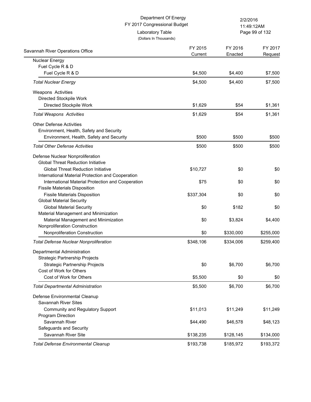| Department Of Energy<br>FY 2017 Congressional Budget                  |                    | 2/2/2016<br>11:49:12AM |                    |  |
|-----------------------------------------------------------------------|--------------------|------------------------|--------------------|--|
| Laboratory Table<br>(Dollars In Thousands)                            |                    |                        | Page 99 of 132     |  |
| Savannah River Operations Office                                      | FY 2015<br>Current | FY 2016<br>Enacted     | FY 2017<br>Request |  |
| <b>Nuclear Energy</b>                                                 |                    |                        |                    |  |
| Fuel Cycle R & D                                                      |                    |                        |                    |  |
| Fuel Cycle R & D                                                      | \$4,500            | \$4,400                | \$7,500            |  |
| <b>Total Nuclear Energy</b>                                           | \$4,500            | \$4,400                | \$7,500            |  |
| Weapons Activities                                                    |                    |                        |                    |  |
| Directed Stockpile Work                                               |                    |                        |                    |  |
| Directed Stockpile Work                                               | \$1,629            | \$54                   | \$1,361            |  |
| <b>Total Weapons Activities</b>                                       | \$1,629            | \$54                   | \$1,361            |  |
| <b>Other Defense Activities</b>                                       |                    |                        |                    |  |
| Environment, Health, Safety and Security                              |                    |                        |                    |  |
| Environment, Health, Safety and Security                              | \$500              | \$500                  | \$500              |  |
| <b>Total Other Defense Activities</b>                                 | \$500              | \$500                  | \$500              |  |
| Defense Nuclear Nonproliferation                                      |                    |                        |                    |  |
| <b>Global Threat Reduction Initiative</b>                             |                    |                        |                    |  |
| <b>Global Threat Reduction Initiative</b>                             | \$10,727           | \$0                    | \$0                |  |
| International Material Protection and Cooperation                     |                    |                        |                    |  |
| International Material Protection and Cooperation                     | \$75               | \$0                    | \$0                |  |
| <b>Fissile Materials Disposition</b>                                  |                    |                        |                    |  |
| <b>Fissile Materials Disposition</b>                                  | \$337,304          | \$0                    | \$0                |  |
| <b>Global Material Security</b>                                       |                    |                        |                    |  |
| <b>Global Material Security</b>                                       | \$0                | \$182                  | \$0                |  |
| Material Management and Minimization                                  |                    |                        |                    |  |
| Material Management and Minimization<br>Nonproliferation Construction | \$0                | \$3,824                | \$4,400            |  |
| Nonproliferation Construction                                         | \$0                | \$330,000              |                    |  |
|                                                                       |                    |                        | \$255,000          |  |
| <b>Total Defense Nuclear Nonproliferation</b>                         | \$348,106          | \$334,006              | \$259,400          |  |
| Departmental Administration                                           |                    |                        |                    |  |
| <b>Strategic Partnership Projects</b>                                 |                    |                        |                    |  |
| <b>Strategic Partnership Projects</b>                                 | \$0                | \$6,700                | \$6,700            |  |
| Cost of Work for Others                                               |                    |                        |                    |  |
| Cost of Work for Others                                               | \$5,500            | \$0                    | \$0                |  |
| <b>Total Departmental Administration</b>                              | \$5,500            | \$6,700                | \$6,700            |  |
| Defense Environmental Cleanup                                         |                    |                        |                    |  |
| Savannah River Sites                                                  |                    |                        |                    |  |
| Community and Regulatory Support                                      | \$11,013           | \$11,249               | \$11,249           |  |
| Program Direction                                                     |                    |                        |                    |  |
| Savannah River                                                        | \$44,490           | \$46,578               | \$48,123           |  |
| Safeguards and Security                                               |                    |                        |                    |  |
| Savannah River Site                                                   | \$138,235          | \$128,145              | \$134,000          |  |
| <b>Total Defense Environmental Cleanup</b>                            | \$193,738          | \$185,972              | \$193,372          |  |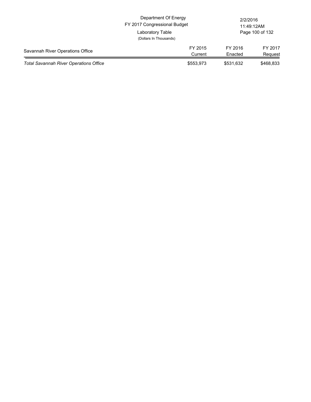|                                               | Department Of Energy<br>FY 2017 Congressional Budget |                    | 2/2/2016<br>11:49:12AM |  |
|-----------------------------------------------|------------------------------------------------------|--------------------|------------------------|--|
|                                               | Laboratory Table<br>(Dollars In Thousands)           |                    | Page 100 of 132        |  |
| Savannah River Operations Office              | FY 2015<br>Current                                   | FY 2016<br>Enacted | FY 2017<br>Request     |  |
| <b>Total Savannah River Operations Office</b> | \$553,973                                            | \$531,632          | \$468,833              |  |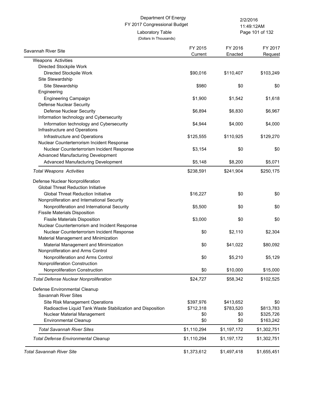(Dollars In Thousands)

Laboratory Table

Page 101 of 132 11:49:12AM

| Savannah River Site                                         | FY 2015<br>Current | FY 2016     | FY 2017     |
|-------------------------------------------------------------|--------------------|-------------|-------------|
| Weapons Activities                                          |                    | Enacted     | Request     |
| Directed Stockpile Work                                     |                    |             |             |
| Directed Stockpile Work                                     | \$90,016           | \$110,407   | \$103,249   |
| Site Stewardship                                            |                    |             |             |
| Site Stewardship                                            | \$980              | \$0         | \$0         |
| Engineering                                                 |                    |             |             |
| <b>Engineering Campaign</b>                                 | \$1,900            | \$1,542     | \$1,618     |
| Defense Nuclear Security                                    |                    |             |             |
| <b>Defense Nuclear Security</b>                             | \$6,894            | \$6,830     | \$6,967     |
| Information technology and Cybersecurity                    |                    |             |             |
| Information technology and Cybersecurity                    | \$4,944            | \$4,000     | \$4,000     |
| Infrastructure and Operations                               |                    |             |             |
| Infrastructure and Operations                               | \$125,555          | \$110,925   | \$129,270   |
| Nuclear Counterterrorism Incident Response                  |                    |             |             |
| Nuclear Counterterrorism Incident Response                  | \$3,154            | \$0         | \$0         |
| Advanced Manufacturing Development                          |                    |             |             |
| Advanced Manufacturing Development                          | \$5,148            | \$8,200     | \$5,071     |
| <b>Total Weapons Activities</b>                             | \$238,591          | \$241,904   | \$250,175   |
| Defense Nuclear Nonproliferation                            |                    |             |             |
| <b>Global Threat Reduction Initiative</b>                   |                    |             |             |
| <b>Global Threat Reduction Initiative</b>                   | \$16,227           | \$0         | \$0         |
| Nonproliferation and International Security                 |                    |             |             |
| Nonproliferation and International Security                 | \$5,500            | \$0         | \$0         |
| <b>Fissile Materials Disposition</b>                        |                    |             |             |
| <b>Fissile Materials Disposition</b>                        | \$3,000            | \$0         | \$0         |
| Nuclear Counterterrorism and Incident Response              |                    |             |             |
| Nuclear Counterterrorism Incident Response                  | \$0                | \$2,110     | \$2,304     |
| Material Management and Minimization                        |                    |             |             |
| Material Management and Minimization                        | \$0                | \$41,022    | \$80,092    |
| Nonproliferation and Arms Control                           |                    |             |             |
| Nonproliferation and Arms Control                           | \$0                | \$5,210     | \$5,129     |
| Nonproliferation Construction                               |                    |             |             |
| Nonproliferation Construction                               | \$0                | \$10,000    | \$15,000    |
| <b>Total Defense Nuclear Nonproliferation</b>               | \$24,727           | \$58,342    | \$102,525   |
| Defense Environmental Cleanup                               |                    |             |             |
| Savannah River Sites                                        |                    |             |             |
| Site Risk Management Operations                             | \$397,976          | \$413,652   | \$0         |
| Radioactive Liquid Tank Waste Stabilization and Disposition | \$712,318          | \$783,520   | \$813,783   |
| Nuclear Material Management                                 | \$0                | \$0         | \$325,726   |
| <b>Environmental Cleanup</b>                                | \$0                | \$0         | \$163,242   |
| <b>Total Savannah River Sites</b>                           | \$1,110,294        | \$1,197,172 | \$1,302,751 |
| <b>Total Defense Environmental Cleanup</b>                  | \$1,110,294        | \$1,197,172 | \$1,302,751 |
| <b>Total Savannah River Site</b>                            | \$1,373,612        | \$1,497,418 | \$1,655,451 |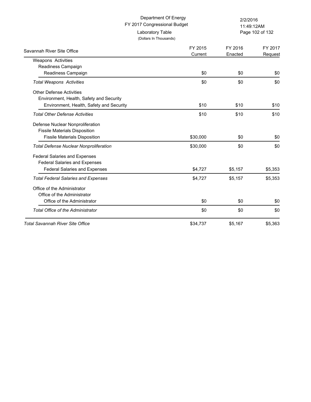(Dollars In Thousands)

Laboratory Table

Page 102 of 132 11:49:12AM

| Savannah River Site Office                    | FY 2015<br>Current | FY 2016<br>Enacted | FY 2017<br>Request |
|-----------------------------------------------|--------------------|--------------------|--------------------|
| Weapons Activities                            |                    |                    |                    |
| Readiness Campaign                            |                    |                    |                    |
| Readiness Campaign                            | \$0                | \$0                | \$0                |
| <b>Total Weapons Activities</b>               | \$0                | \$0                | \$0                |
| <b>Other Defense Activities</b>               |                    |                    |                    |
| Environment, Health, Safety and Security      |                    |                    |                    |
| Environment, Health, Safety and Security      | \$10               | \$10               | \$10               |
| <b>Total Other Defense Activities</b>         | \$10               | \$10               | \$10               |
| Defense Nuclear Nonproliferation              |                    |                    |                    |
| <b>Fissile Materials Disposition</b>          |                    |                    |                    |
| <b>Fissile Materials Disposition</b>          | \$30,000           | \$0                | \$0                |
| <b>Total Defense Nuclear Nonproliferation</b> | \$30,000           | \$0                | \$0                |
| Federal Salaries and Expenses                 |                    |                    |                    |
| <b>Federal Salaries and Expenses</b>          |                    |                    |                    |
| <b>Federal Salaries and Expenses</b>          | \$4,727            | \$5,157            | \$5,353            |
| <b>Total Federal Salaries and Expenses</b>    | \$4,727            | \$5,157            | \$5,353            |
| Office of the Administrator                   |                    |                    |                    |
| Office of the Administrator                   |                    |                    |                    |
| Office of the Administrator                   | \$0                | \$0                | \$0                |
| <b>Total Office of the Administrator</b>      | \$0                | \$0                | \$0                |
| <b>Total Savannah River Site Office</b>       | \$34,737           | \$5,167            | \$5,363            |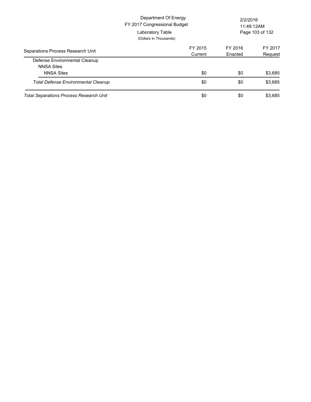|                                                                         | Department Of Energy<br>FY 2017 Congressional Budget<br>Laboratory Table<br>(Dollars In Thousands) |                    | 2/2/2016<br>11:49:12AM<br>Page 103 of 132 |  |
|-------------------------------------------------------------------------|----------------------------------------------------------------------------------------------------|--------------------|-------------------------------------------|--|
| Separations Process Research Unit                                       | FY 2015<br>Current                                                                                 | FY 2016<br>Enacted | FY 2017<br>Request                        |  |
| Defense Environmental Cleanup<br><b>NNSA Sites</b><br><b>NNSA Sites</b> | \$0                                                                                                | \$0                | \$3,685                                   |  |
| <b>Total Defense Environmental Cleanup</b>                              | \$0                                                                                                | \$0                | \$3,685                                   |  |
| Total Separations Process Research Unit                                 | \$0                                                                                                | \$0                | \$3,685                                   |  |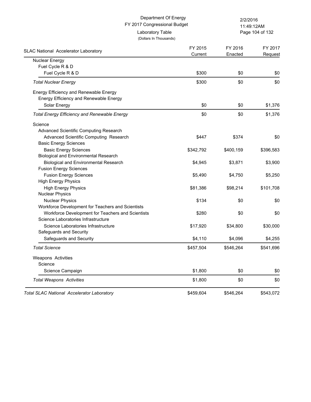(Dollars In Thousands)

Laboratory Table

Page 104 of 132 11:49:12AM

| <b>SLAC National Accelerator Laboratory</b>         | FY 2015<br>Current | FY 2016<br>Enacted | FY 2017<br>Request |
|-----------------------------------------------------|--------------------|--------------------|--------------------|
| Nuclear Energy                                      |                    |                    |                    |
| Fuel Cycle R & D                                    |                    |                    |                    |
| Fuel Cycle R & D                                    | \$300              | \$0                | \$0                |
| <b>Total Nuclear Energy</b>                         | \$300              | \$0                | \$0                |
| Energy Efficiency and Renewable Energy              |                    |                    |                    |
| Energy Efficiency and Renewable Energy              |                    |                    |                    |
| Solar Energy                                        | \$0                | \$0                | \$1,376            |
| <b>Total Energy Efficiency and Renewable Energy</b> | \$0                | \$0                | \$1,376            |
| Science                                             |                    |                    |                    |
| Advanced Scientific Computing Research              |                    |                    |                    |
| Advanced Scientific Computing Research              | \$447              | \$374              | \$0                |
| <b>Basic Energy Sciences</b>                        |                    |                    |                    |
| <b>Basic Energy Sciences</b>                        | \$342,792          | \$400,159          | \$396,583          |
| <b>Biological and Environmental Research</b>        |                    |                    |                    |
| <b>Biological and Environmental Research</b>        | \$4,945            | \$3,871            | \$3,900            |
| <b>Fusion Energy Sciences</b>                       |                    |                    |                    |
| <b>Fusion Energy Sciences</b>                       | \$5,490            | \$4,750            | \$5,250            |
| <b>High Energy Physics</b>                          |                    |                    |                    |
| <b>High Energy Physics</b>                          | \$81,386           | \$98,214           | \$101,708          |
| <b>Nuclear Physics</b>                              |                    |                    |                    |
| <b>Nuclear Physics</b>                              | \$134              | \$0                | \$0                |
| Workforce Development for Teachers and Scientists   |                    |                    |                    |
| Workforce Development for Teachers and Scientists   | \$280              | \$0                | \$0                |
| Science Laboratories Infrastructure                 |                    |                    |                    |
| Science Laboratories Infrastructure                 | \$17,920           | \$34,800           | \$30,000           |
| Safeguards and Security                             |                    |                    |                    |
| Safeguards and Security                             | \$4,110            | \$4,096            | \$4,255            |
| <b>Total Science</b>                                | \$457,504          | \$546,264          | \$541,696          |
| Weapons Activities                                  |                    |                    |                    |
| Science                                             |                    |                    |                    |
| Science Campaign                                    | \$1,800            | \$0                | \$0                |
| <b>Total Weapons Activities</b>                     | \$1,800            | \$0                | \$0                |
| <b>Total SLAC National Accelerator Laboratory</b>   | \$459,604          | \$546.264          | \$543,072          |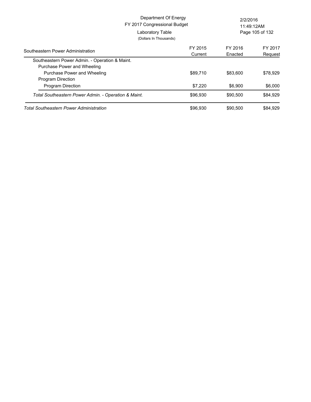|                                                                               | Department Of Energy<br>FY 2017 Congressional Budget<br>Laboratory Table<br>(Dollars In Thousands) |                    | 2/2/2016<br>11:49:12AM<br>Page 105 of 132 |  |
|-------------------------------------------------------------------------------|----------------------------------------------------------------------------------------------------|--------------------|-------------------------------------------|--|
| Southeastern Power Administration                                             | FY 2015<br>Current                                                                                 | FY 2016<br>Enacted | FY 2017<br>Request                        |  |
| Southeastern Power Admin. - Operation & Maint.<br>Purchase Power and Wheeling |                                                                                                    |                    |                                           |  |
| Purchase Power and Wheeling<br><b>Program Direction</b>                       | \$89,710                                                                                           | \$83,600           | \$78,929                                  |  |
| <b>Program Direction</b>                                                      | \$7,220                                                                                            | \$6,900            | \$6,000                                   |  |
| Total Southeastern Power Admin. - Operation & Maint.                          | \$96,930                                                                                           | \$90,500           | \$84,929                                  |  |
| Total Southeastern Power Administration                                       | \$96,930                                                                                           | \$90,500           | \$84,929                                  |  |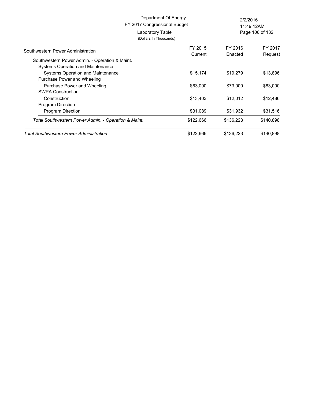| Department Of Energy<br>FY 2017 Congressional Budget |                    | 2/2/2016<br>11:49:12AM |                    |
|------------------------------------------------------|--------------------|------------------------|--------------------|
| Laboratory Table                                     |                    |                        | Page 106 of 132    |
| (Dollars In Thousands)                               |                    |                        |                    |
| Southwestern Power Administration                    | FY 2015<br>Current | FY 2016<br>Enacted     | FY 2017<br>Request |
| Southwestern Power Admin. - Operation & Maint.       |                    |                        |                    |
| Systems Operation and Maintenance                    |                    |                        |                    |
| Systems Operation and Maintenance                    | \$15,174           | \$19,279               | \$13,896           |
| Purchase Power and Wheeling                          |                    |                        |                    |
| Purchase Power and Wheeling                          | \$63,000           | \$73,000               | \$83,000           |
| <b>SWPA Construction</b>                             |                    |                        |                    |
| Construction                                         | \$13,403           | \$12,012               | \$12,486           |
| Program Direction                                    |                    |                        |                    |
| <b>Program Direction</b>                             | \$31,089           | \$31,932               | \$31,516           |
| Total Southwestern Power Admin. - Operation & Maint. | \$122,666          | \$136,223              | \$140,898          |
| Total Southwestern Power Administration              | \$122,666          | \$136,223              | \$140,898          |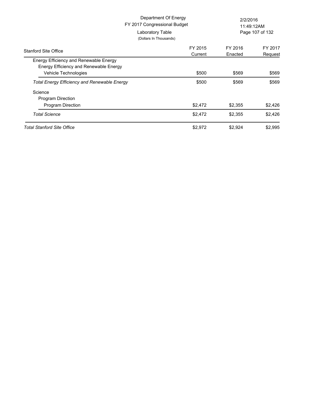|                                                                                  | Department Of Energy<br>FY 2017 Congressional Budget<br>Laboratory Table<br>(Dollars In Thousands) | 2/2/2016<br>11:49:12AM<br>Page 107 of 132 |                    |
|----------------------------------------------------------------------------------|----------------------------------------------------------------------------------------------------|-------------------------------------------|--------------------|
| <b>Stanford Site Office</b>                                                      | FY 2015<br>Current                                                                                 | FY 2016<br>Enacted                        | FY 2017<br>Request |
| Energy Efficiency and Renewable Energy<br>Energy Efficiency and Renewable Energy |                                                                                                    |                                           |                    |
| Vehicle Technologies                                                             | \$500                                                                                              | \$569                                     | \$569              |
| <b>Total Energy Efficiency and Renewable Energy</b>                              | \$500                                                                                              | \$569                                     | \$569              |
| Science                                                                          |                                                                                                    |                                           |                    |
| <b>Program Direction</b>                                                         |                                                                                                    |                                           |                    |
| Program Direction                                                                | \$2,472                                                                                            | \$2,355                                   | \$2,426            |
| <b>Total Science</b>                                                             | \$2,472                                                                                            | \$2,355                                   | \$2,426            |
| Total Stanford Site Office                                                       | \$2,972                                                                                            | \$2,924                                   | \$2,995            |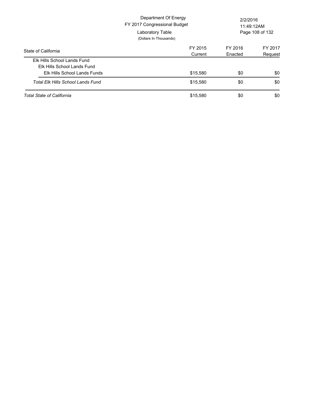|                                                                                            | Department Of Energy<br>FY 2017 Congressional Budget<br>Laboratory Table<br>(Dollars In Thousands) | 2/2/2016<br>11:49:12AM<br>Page 108 of 132 |                    |
|--------------------------------------------------------------------------------------------|----------------------------------------------------------------------------------------------------|-------------------------------------------|--------------------|
| State of California                                                                        | FY 2015<br>Current                                                                                 | FY 2016<br>Enacted                        | FY 2017<br>Request |
| Elk Hills School Lands Fund<br>Elk Hills School Lands Fund<br>Elk Hills School Lands Funds | \$15,580                                                                                           | \$0                                       | \$0                |
| Total Elk Hills School Lands Fund                                                          | \$15,580                                                                                           | \$0                                       | \$0                |
| <b>Total State of California</b>                                                           | \$15,580                                                                                           | \$0                                       | \$0                |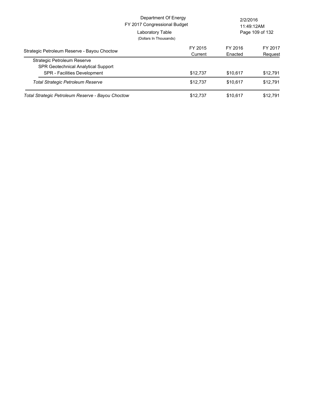|                                                                           | Department Of Energy<br>FY 2017 Congressional Budget<br>Laboratory Table<br>(Dollars In Thousands) | 2/2/2016<br>11:49:12AM<br>Page 109 of 132 |                      |
|---------------------------------------------------------------------------|----------------------------------------------------------------------------------------------------|-------------------------------------------|----------------------|
| Strategic Petroleum Reserve - Bayou Choctow                               | FY 2015<br>Current                                                                                 | FY 2016<br>Enacted                        | FY 2017<br>Request   |
| Strategic Petroleum Reserve<br><b>SPR Geotechnical Analytical Support</b> |                                                                                                    |                                           |                      |
| SPR - Facilities Development<br>Total Strategic Petroleum Reserve         | \$12,737<br>\$12.737                                                                               | \$10,617<br>\$10.617                      | \$12,791<br>\$12,791 |
| Total Strategic Petroleum Reserve - Bayou Choctow                         | \$12.737                                                                                           | \$10.617                                  | \$12,791             |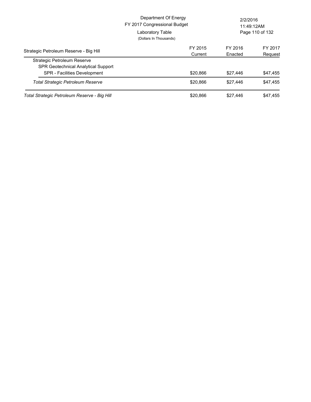|                                                                           | Department Of Energy<br>FY 2017 Congressional Budget<br>Laboratory Table<br>(Dollars In Thousands) | 2/2/2016<br>11:49:12AM<br>Page 110 of 132 |                    |
|---------------------------------------------------------------------------|----------------------------------------------------------------------------------------------------|-------------------------------------------|--------------------|
| Strategic Petroleum Reserve - Big Hill                                    | FY 2015<br>Current                                                                                 | FY 2016<br>Enacted                        | FY 2017<br>Request |
| Strategic Petroleum Reserve<br><b>SPR Geotechnical Analytical Support</b> |                                                                                                    |                                           |                    |
| <b>SPR</b> - Facilities Development                                       | \$20,866                                                                                           | \$27,446                                  | \$47,455           |
| Total Strategic Petroleum Reserve                                         | \$20.866                                                                                           | \$27,446                                  | \$47.455           |
| Total Strategic Petroleum Reserve - Big Hill                              | \$20.866                                                                                           | \$27,446                                  | \$47.455           |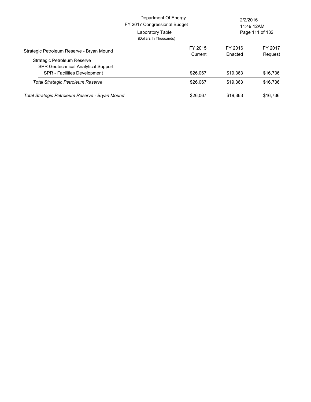|                                                                           | Department Of Energy<br>FY 2017 Congressional Budget<br>Laboratory Table<br>(Dollars In Thousands) |                      | 2/2/2016<br>11:49:12AM<br>Page 111 of 132 |  |
|---------------------------------------------------------------------------|----------------------------------------------------------------------------------------------------|----------------------|-------------------------------------------|--|
| Strategic Petroleum Reserve - Bryan Mound                                 | FY 2015<br>Current                                                                                 | FY 2016<br>Enacted   | FY 2017<br>Request                        |  |
| Strategic Petroleum Reserve<br><b>SPR Geotechnical Analytical Support</b> |                                                                                                    |                      |                                           |  |
| SPR - Facilities Development<br>Total Strategic Petroleum Reserve         | \$26,067<br>\$26,067                                                                               | \$19,363<br>\$19.363 | \$16,736<br>\$16,736                      |  |
| Total Strategic Petroleum Reserve - Bryan Mound                           | \$26,067                                                                                           | \$19.363             | \$16,736                                  |  |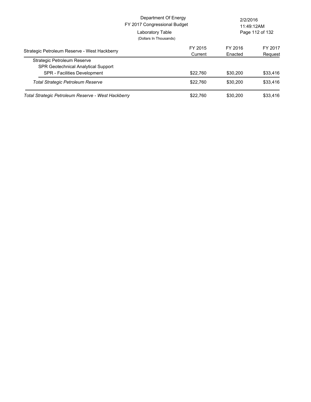|                                                                                 | Department Of Energy<br>FY 2017 Congressional Budget<br>Laboratory Table<br>(Dollars In Thousands) |                      | 2/2/2016<br>11:49:12AM<br>Page 112 of 132 |  |
|---------------------------------------------------------------------------------|----------------------------------------------------------------------------------------------------|----------------------|-------------------------------------------|--|
| Strategic Petroleum Reserve - West Hackberry                                    | FY 2015<br>Current                                                                                 | FY 2016<br>Enacted   | FY 2017<br>Request                        |  |
| Strategic Petroleum Reserve<br><b>SPR Geotechnical Analytical Support</b>       |                                                                                                    |                      |                                           |  |
| <b>SPR - Facilities Development</b><br><b>Total Strategic Petroleum Reserve</b> | \$22,760<br>\$22,760                                                                               | \$30,200<br>\$30,200 | \$33,416<br>\$33,416                      |  |
| Total Strategic Petroleum Reserve - West Hackberry                              | \$22,760                                                                                           | \$30,200             | \$33,416                                  |  |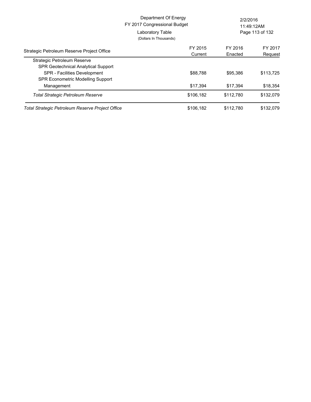|                                                  | Department Of Energy<br>FY 2017 Congressional Budget<br>Laboratory Table | 2/2/2016  | 11:49:12AM<br>Page 113 of 132 |
|--------------------------------------------------|--------------------------------------------------------------------------|-----------|-------------------------------|
|                                                  | (Dollars In Thousands)                                                   |           |                               |
| Strategic Petroleum Reserve Project Office       | FY 2015                                                                  | FY 2016   | FY 2017                       |
|                                                  | Current                                                                  | Enacted   | Request                       |
| Strategic Petroleum Reserve                      |                                                                          |           |                               |
| <b>SPR Geotechnical Analytical Support</b>       |                                                                          |           |                               |
| SPR - Facilities Development                     | \$88,788                                                                 | \$95,386  | \$113,725                     |
| <b>SPR Econometric Modelling Support</b>         |                                                                          |           |                               |
| Management                                       | \$17,394                                                                 | \$17,394  | \$18,354                      |
| <b>Total Strategic Petroleum Reserve</b>         | \$106,182                                                                | \$112,780 | \$132,079                     |
| Total Strategic Petroleum Reserve Project Office | \$106,182                                                                | \$112.780 | \$132,079                     |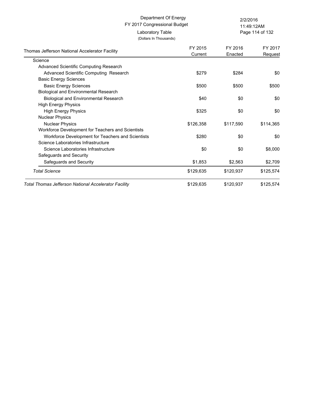(Dollars In Thousands)

Page 114 of 132 11:49:12AM

| Thomas Jefferson National Accelerator Facility       | FY 2015<br>Current | FY 2016<br>Enacted | FY 2017<br>Request |
|------------------------------------------------------|--------------------|--------------------|--------------------|
| Science                                              |                    |                    |                    |
| Advanced Scientific Computing Research               |                    |                    |                    |
| Advanced Scientific Computing Research               | \$279              | \$284              | \$0                |
| <b>Basic Energy Sciences</b>                         |                    |                    |                    |
| <b>Basic Energy Sciences</b>                         | \$500              | \$500              | \$500              |
| Biological and Environmental Research                |                    |                    |                    |
| <b>Biological and Environmental Research</b>         | \$40               | \$0                | \$0                |
| <b>High Energy Physics</b>                           |                    |                    |                    |
| <b>High Energy Physics</b>                           | \$325              | \$0                | \$0                |
| <b>Nuclear Physics</b>                               |                    |                    |                    |
| <b>Nuclear Physics</b>                               | \$126,358          | \$117,590          | \$114,365          |
| Workforce Development for Teachers and Scientists    |                    |                    |                    |
| Workforce Development for Teachers and Scientists    | \$280              | \$0                | \$0                |
| Science Laboratories Infrastructure                  |                    |                    |                    |
| Science Laboratories Infrastructure                  | \$0                | \$0                | \$8,000            |
| Safeguards and Security                              |                    |                    |                    |
| Safeguards and Security                              | \$1,853            | \$2,563            | \$2,709            |
| <b>Total Science</b>                                 | \$129,635          | \$120,937          | \$125,574          |
| Total Thomas Jefferson National Accelerator Facility | \$129,635          | \$120,937          | \$125,574          |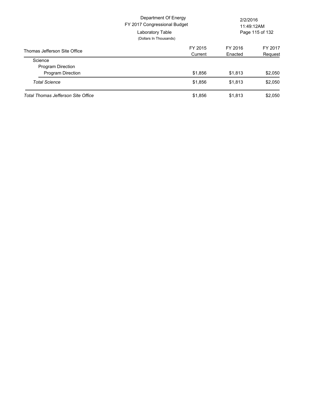| Department Of Energy<br>FY 2017 Congressional Budget<br>Laboratory Table<br>(Dollars In Thousands) |         | 2/2/2016 | 11:49:12AM<br>Page 115 of 132 |
|----------------------------------------------------------------------------------------------------|---------|----------|-------------------------------|
| Thomas Jefferson Site Office                                                                       | FY 2015 | FY 2016  | FY 2017                       |
|                                                                                                    | Current | Enacted  | Request                       |
| Science                                                                                            |         |          |                               |
| <b>Program Direction</b>                                                                           |         |          |                               |
| Program Direction                                                                                  | \$1,856 | \$1,813  | \$2,050                       |
| <b>Total Science</b>                                                                               | \$1,856 | \$1,813  | \$2,050                       |
| <b>Total Thomas Jefferson Site Office</b>                                                          | \$1,856 | \$1.813  | \$2.050                       |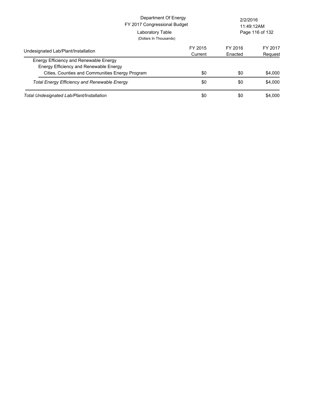| Department Of Energy<br>FY 2017 Congressional Budget<br>Laboratory Table<br>(Dollars In Thousands)     |                    | 2/2/2016<br>11:49:12AM<br>Page 116 of 132 |                    |
|--------------------------------------------------------------------------------------------------------|--------------------|-------------------------------------------|--------------------|
| Undesignated Lab/Plant/Installation                                                                    | FY 2015<br>Current | FY 2016<br>Enacted                        | FY 2017<br>Request |
| Energy Efficiency and Renewable Energy<br>Energy Efficiency and Renewable Energy                       |                    |                                           |                    |
| Cities, Counties and Communities Energy Program<br><b>Total Energy Efficiency and Renewable Energy</b> | \$0<br>\$0         | \$0<br>\$0                                | \$4,000<br>\$4,000 |
| Total Undesignated Lab/Plant/Installation                                                              | \$0                | \$0                                       | \$4,000            |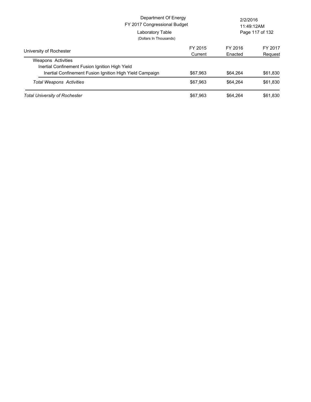| Department Of Energy<br>FY 2017 Congressional Budget<br>Laboratory Table<br>(Dollars In Thousands) |  |          | 2/2/2016<br>11:49:12AM | Page 117 of 132 |
|----------------------------------------------------------------------------------------------------|--|----------|------------------------|-----------------|
| University of Rochester                                                                            |  | FY 2015  | FY 2016                | FY 2017         |
|                                                                                                    |  | Current  | Enacted                | Request         |
| <b>Weapons Activities</b>                                                                          |  |          |                        |                 |
| Inertial Confinement Fusion Ignition High Yield                                                    |  |          |                        |                 |
| Inertial Confinement Fusion Ignition High Yield Campaign                                           |  | \$67.963 | \$64.264               | \$61,830        |
| <b>Total Weapons Activities</b>                                                                    |  | \$67.963 | \$64.264               | \$61,830        |
| Total University of Rochester                                                                      |  | \$67.963 | \$64.264               | \$61.830        |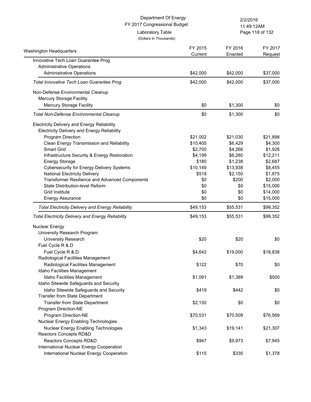| Department Of Energy<br>FY 2017 Congressional Budget     |                                            | 2/2/2016<br>11:49:12AM |                 |
|----------------------------------------------------------|--------------------------------------------|------------------------|-----------------|
|                                                          | Laboratory Table<br>(Dollars In Thousands) |                        | Page 118 of 132 |
| Washington Headquarters                                  | FY 2015                                    | FY 2016                | FY 2017         |
| Innovative Tech Loan Guarantee Prog                      | Current                                    | Enacted                | Request         |
| <b>Administrative Operations</b>                         |                                            |                        |                 |
| <b>Administrative Operations</b>                         | \$42,000                                   | \$42,000               | \$37,000        |
| Total Innovative Tech Loan Guarantee Prog                | \$42,000                                   | \$42,000               | \$37,000        |
| Non-Defense Environmental Cleanup                        |                                            |                        |                 |
| Mercury Storage Facility                                 |                                            |                        |                 |
| Mercury Storage Facility                                 | \$0                                        | \$1,300                | \$0             |
| <b>Total Non-Defense Environmental Cleanup</b>           | \$0                                        | \$1,300                | \$0             |
| Electricity Delivery and Energy Reliability              |                                            |                        |                 |
| <b>Electricity Delivery and Energy Reliability</b>       |                                            |                        |                 |
| Program Direction                                        | \$21,002                                   | \$21,030               | \$21,898        |
| Clean Energy Transmission and Reliability                | \$10,405                                   | \$6,429                | \$4,300         |
| <b>Smart Grid</b>                                        | \$2,700                                    | \$4,266                | \$1,926         |
| Infrastructure Security & Energy Restoration             | \$4,199                                    | \$6,280                | \$12,211        |
| <b>Energy Storage</b>                                    | \$180                                      | \$1,238                | \$2,687         |
| <b>Cybersecurity for Energy Delivery Systems</b>         | \$10,149                                   | \$13,938               | \$8,455         |
| <b>National Electricity Delivery</b>                     | \$518                                      | \$2,150                | \$1,875         |
| Transformer Resilience and Advanced Components           | \$0                                        | \$200                  | \$2,000         |
| State Distribution-level Reform                          | \$0                                        | \$0                    | \$15,000        |
| Grid Institute                                           | \$0                                        | \$0                    | \$14,000        |
| <b>Energy Assurance</b>                                  | \$0                                        | \$0                    | \$15,000        |
| <b>Total Electricity Delivery and Energy Reliability</b> | \$49,153                                   | \$55,531               | \$99,352        |
| <b>Total Electricity Delivery and Energy Reliability</b> | \$49,153                                   | \$55,531               | \$99,352        |
| <b>Nuclear Energy</b>                                    |                                            |                        |                 |
| University Research Program                              |                                            |                        |                 |
| University Research                                      | \$20                                       | \$20                   | \$0             |
| Fuel Cycle R & D                                         |                                            |                        |                 |
| Fuel Cycle R & D                                         | \$4,642                                    | \$19,000               | \$18,838        |
| Radiological Facilities Management                       |                                            |                        |                 |
| Radiological Facilities Management                       | \$122                                      | \$70                   | \$0             |
| Idaho Facilities Management                              |                                            |                        |                 |
| Idaho Facilities Management                              | \$1,091                                    | \$1,389                | \$500           |
| Idaho Sitewide Safeguards and Security                   |                                            |                        |                 |
| Idaho Sitewide Safeguards and Security                   | \$419                                      | \$442                  | \$0             |
| Transfer from State Department                           |                                            |                        |                 |
| Transfer from State Department                           | \$2,150                                    | \$0                    | \$0             |
| Program Direction-NE                                     |                                            |                        |                 |
| Program Direction-NE                                     | \$70,531                                   | \$70,509               | \$76,569        |
| Nuclear Energy Enabling Technologies                     |                                            |                        |                 |
| Nuclear Energy Enabling Technologies                     | \$1,343                                    | \$19,141               | \$21,307        |
| Reactors Concepts RD&D                                   |                                            |                        |                 |
| Reactors Concepts RD&D                                   | \$947                                      | \$9,973                | \$7,945         |
| International Nuclear Energy Cooperation                 |                                            |                        |                 |
| International Nuclear Energy Cooperation                 | \$115                                      | \$335                  | \$1,378         |
|                                                          |                                            |                        |                 |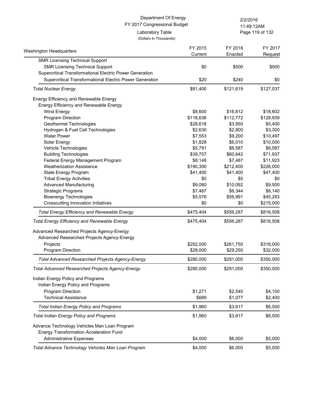Page 119 of 132 11:49:12AM

(Dollars In Thousands)

| Washington Headquarters                                  | FY 2015   | FY 2016   | FY 2017   |
|----------------------------------------------------------|-----------|-----------|-----------|
| <b>SMR Licensing Technical Support</b>                   | Current   | Enacted   | Request   |
| <b>SMR Licensing Technical Support</b>                   | \$0       | \$500     | \$500     |
| Supercritical Transformational Electric Power Generation |           |           |           |
| Supercritical Transformational Electric Power Generation | \$20      | \$240     | \$0       |
| <b>Total Nuclear Energy</b>                              | \$81,400  | \$121,619 | \$127,037 |
|                                                          |           |           |           |
| Energy Efficiency and Renewable Energy                   |           |           |           |
| Energy Efficiency and Renewable Energy                   |           |           |           |
| Wind Energy                                              | \$8,600   | \$16,612  | \$18,602  |
| Program Direction                                        | \$118,636 | \$112,772 | \$128,939 |
| Geothermal Technologies                                  | \$28,618  | \$3,950   | \$5,400   |
| Hydrogen & Fuel Cell Technologies                        | \$2,630   | \$2,800   | \$3,300   |
| <b>Water Power</b>                                       | \$7,553   | \$9,200   | \$10,497  |
| Solar Energy                                             | \$1,828   | \$6,010   | \$10,000  |
| Vehicle Technologies                                     | \$5,791   | \$6,587   | \$6,587   |
| <b>Building Technologies</b>                             | \$39,757  | \$60,642  | \$71,937  |
| Federal Energy Management Program                        | \$8,148   | \$7,487   | \$11,923  |
| <b>Weatherization Assistance</b>                         | \$190,300 | \$212,400 | \$226,000 |
| State Energy Program                                     | \$41,400  | \$41,400  | \$47,400  |
| <b>Tribal Energy Activities</b>                          | \$0       | \$0       | \$0       |
| <b>Advanced Manufacturing</b>                            | \$9,080   | \$10,092  | \$9,500   |
| <b>Strategic Programs</b>                                | \$7,487   | \$6,344   | \$6,140   |
| <b>Bioenergy Technologies</b>                            | \$5,576   | \$59,991  | \$45,283  |
| Crosscutting Innovation Initiatives                      | \$0       | \$0       | \$215,000 |
| <b>Total Energy Efficiency and Renewable Energy</b>      | \$475,404 | \$556,287 | \$816,508 |
| <b>Total Energy Efficiency and Renewable Energy</b>      | \$475,404 | \$556,287 | \$816,508 |
| Advanced Researched Projects Agency-Energy               |           |           |           |
| Advanced Researched Projects Agency-Energy               |           |           |           |
| Projects                                                 | \$252,000 | \$261,750 | \$318,000 |
| Program Direction                                        | \$28,000  | \$29,250  | \$32,000  |
| <b>Total Advanced Researched Projects Agency-Energy</b>  | \$280,000 | \$291,000 | \$350,000 |
| <b>Total Advanced Researched Projects Agency-Energy</b>  | \$280,000 | \$291,000 | \$350,000 |
|                                                          |           |           |           |
| Indian Energy Policy and Programs                        |           |           |           |
| Indian Energy Policy and Programs                        |           |           |           |
| Program Direction                                        | \$1,271   | \$2,540   | \$4,100   |
| <b>Technical Assistance</b>                              | \$689     | \$1,077   | \$2,400   |
| <b>Total Indian Energy Policy and Programs</b>           | \$1,960   | \$3,617   | \$6,500   |
| <b>Total Indian Energy Policy and Programs</b>           | \$1,960   | \$3,617   | \$6,500   |
| Advance Technology Vehicles Man Loan Program             |           |           |           |
| <b>Energy Transformation Acceleration Fund</b>           |           |           |           |
| <b>Administrative Expenses</b>                           | \$4,000   | \$6,000   | \$5,000   |
|                                                          |           |           |           |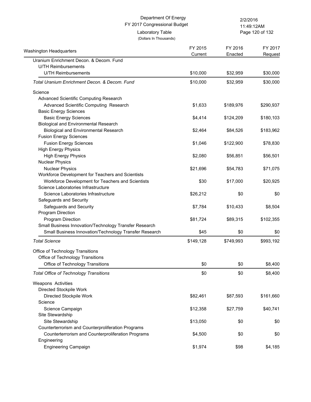(Dollars In Thousands)

Page 120 of 132 11:49:12AM

| Washington Headquarters                                | FY 2015<br>Current | FY 2016<br>Enacted | FY 2017<br>Request |
|--------------------------------------------------------|--------------------|--------------------|--------------------|
| Uranium Enrichment Decon. & Decom. Fund                |                    |                    |                    |
| <b>U/TH Reimbursements</b>                             |                    |                    |                    |
| <b>U/TH Reimbursements</b>                             | \$10,000           | \$32,959           | \$30,000           |
| Total Uranium Enrichment Decon. & Decom. Fund          | \$10,000           | \$32,959           | \$30,000           |
| Science                                                |                    |                    |                    |
| Advanced Scientific Computing Research                 |                    |                    |                    |
| Advanced Scientific Computing Research                 | \$1,633            | \$189,976          | \$290,937          |
| <b>Basic Energy Sciences</b>                           |                    |                    |                    |
| <b>Basic Energy Sciences</b>                           | \$4,414            | \$124,209          | \$180,103          |
| <b>Biological and Environmental Research</b>           |                    |                    |                    |
| Biological and Environmental Research                  | \$2,464            | \$84,526           | \$183,962          |
| <b>Fusion Energy Sciences</b>                          |                    |                    |                    |
| <b>Fusion Energy Sciences</b>                          | \$1,046            | \$122,900          | \$78,830           |
| <b>High Energy Physics</b>                             |                    |                    |                    |
| <b>High Energy Physics</b>                             | \$2,080            | \$56,851           | \$56,501           |
| <b>Nuclear Physics</b>                                 |                    |                    |                    |
| <b>Nuclear Physics</b>                                 | \$21,696           | \$54,783           | \$71,075           |
| Workforce Development for Teachers and Scientists      |                    |                    |                    |
| Workforce Development for Teachers and Scientists      | \$30               | \$17,000           | \$20,925           |
| Science Laboratories Infrastructure                    |                    |                    |                    |
| Science Laboratories Infrastructure                    | \$26,212           | \$0                | \$0                |
| Safeguards and Security                                |                    |                    |                    |
| Safeguards and Security                                | \$7,784            | \$10,433           | \$8,504            |
| Program Direction                                      |                    |                    |                    |
| <b>Program Direction</b>                               | \$81,724           | \$89,315           | \$102,355          |
| Small Business Innovation/Technology Transfer Research |                    |                    |                    |
| Small Business Innovation/Technology Transfer Research | \$45               | \$0                | \$0                |
| <b>Total Science</b>                                   | \$149,128          | \$749,993          | \$993,192          |
| Office of Technology Transitions                       |                    |                    |                    |
| Office of Technology Transitions                       |                    |                    |                    |
| Office of Technology Transitions                       | \$0                | \$0                | \$8,400            |
| <b>Total Office of Technology Transitions</b>          | \$0                | \$0                | \$8,400            |
| Weapons Activities                                     |                    |                    |                    |
| Directed Stockpile Work                                |                    |                    |                    |
| Directed Stockpile Work                                | \$82,461           | \$87,593           | \$161,660          |
| Science                                                |                    |                    |                    |
| Science Campaign                                       | \$12,358           | \$27,759           | \$40,741           |
| Site Stewardship                                       |                    |                    |                    |
| Site Stewardship                                       | \$13,050           | \$0                | \$0                |
| Counterterrorism and Counterproliferation Programs     |                    |                    |                    |
| Counterterrorism and Counterproliferation Programs     | \$4,500            | \$0                | \$0                |
| Engineering                                            |                    |                    |                    |
| Engineering Campaign                                   | \$1,974            | \$98               | \$4,185            |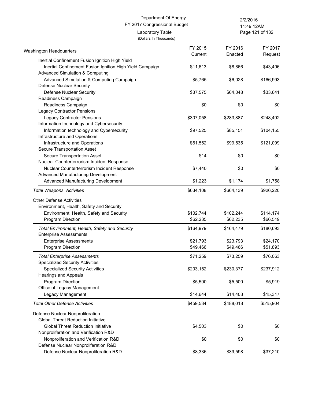#### FY 2017 Congressional Budget (Dollars In Thousands) Department Of Energy 2/2/2016 Laboratory Table

Page 121 of 132 11:49:12AM

| Washington Headquarters                                                  | FY 2015   | FY 2016   | FY 2017   |
|--------------------------------------------------------------------------|-----------|-----------|-----------|
|                                                                          | Current   | Enacted   | Request   |
| Inertial Confinement Fusion Ignition High Yield                          |           |           |           |
| Inertial Confinement Fusion Ignition High Yield Campaign                 | \$11,613  | \$8,866   | \$43,496  |
| <b>Advanced Simulation &amp; Computing</b>                               |           |           |           |
| Advanced Simulation & Computing Campaign                                 | \$5,765   | \$6,028   | \$166,993 |
| Defense Nuclear Security                                                 |           |           |           |
| <b>Defense Nuclear Security</b>                                          | \$37,575  | \$64,048  | \$33,641  |
| Readiness Campaign                                                       |           |           |           |
| Readiness Campaign                                                       | \$0       | \$0       | \$0       |
| <b>Legacy Contractor Pensions</b>                                        |           |           |           |
| <b>Legacy Contractor Pensions</b>                                        | \$307,058 | \$283,887 | \$248,492 |
| Information technology and Cybersecurity                                 |           |           |           |
| Information technology and Cybersecurity                                 | \$97,525  | \$85,151  | \$104,155 |
| Infrastructure and Operations                                            |           |           |           |
| Infrastructure and Operations                                            | \$51,552  | \$99,535  | \$121,099 |
| Secure Transportation Asset                                              |           |           |           |
| Secure Transportation Asset                                              | \$14      | \$0       | \$0       |
| Nuclear Counterterrorism Incident Response                               |           |           |           |
| Nuclear Counterterrorism Incident Response                               | \$7,440   | \$0       | \$0       |
| Advanced Manufacturing Development<br>Advanced Manufacturing Development | \$1,223   | \$1,174   | \$1,758   |
|                                                                          |           |           |           |
| <b>Total Weapons Activities</b>                                          | \$634,108 | \$664,139 | \$926,220 |
| <b>Other Defense Activities</b>                                          |           |           |           |
| Environment, Health, Safety and Security                                 |           |           |           |
| Environment, Health, Safety and Security                                 | \$102,744 | \$102,244 | \$114,174 |
| Program Direction                                                        | \$62,235  | \$62,235  | \$66,519  |
| Total Environment, Health, Safety and Security                           | \$164,979 | \$164,479 | \$180,693 |
| <b>Enterprise Assessments</b>                                            |           |           |           |
| <b>Enterprise Assessments</b>                                            | \$21,793  | \$23,793  | \$24,170  |
| Program Direction                                                        | \$49,466  | \$49,466  | \$51,893  |
| <b>Total Enterprise Assessments</b>                                      | \$71,259  | \$73,259  | \$76,063  |
| <b>Specialized Security Activities</b>                                   |           |           |           |
| <b>Specialized Security Activities</b>                                   | \$203,152 | \$230,377 | \$237,912 |
| <b>Hearings and Appeals</b>                                              |           |           |           |
| Program Direction                                                        | \$5,500   | \$5,500   | \$5,919   |
| Office of Legacy Management                                              |           |           |           |
| Legacy Management                                                        | \$14,644  | \$14,403  | \$15,317  |
| <b>Total Other Defense Activities</b>                                    | \$459,534 | \$488,018 | \$515,904 |
| Defense Nuclear Nonproliferation                                         |           |           |           |
| <b>Global Threat Reduction Initiative</b>                                |           |           |           |
| <b>Global Threat Reduction Initiative</b>                                | \$4,503   | \$0       | \$0       |
| Nonproliferation and Verification R&D                                    |           |           |           |
| Nonproliferation and Verification R&D                                    | \$0       | \$0       | \$0       |
| Defense Nuclear Nonproliferation R&D                                     |           |           |           |
| Defense Nuclear Nonproliferation R&D                                     | \$8,336   | \$39,598  | \$37,210  |
|                                                                          |           |           |           |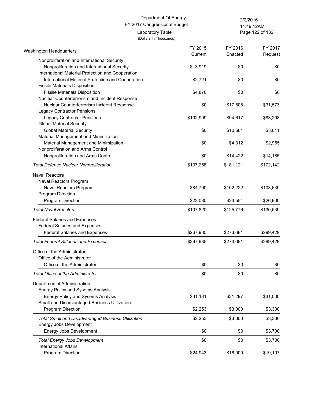(Dollars In Thousands)

Page 122 of 132 11:49:12AM

| <b>Washington Headquarters</b>                                       | FY 2015<br>Current | FY 2016<br>Enacted | FY 2017   |
|----------------------------------------------------------------------|--------------------|--------------------|-----------|
| Nonproliferation and International Security                          |                    |                    | Request   |
| Nonproliferation and International Security                          | \$13,919           | \$0                | \$0       |
| International Material Protection and Cooperation                    |                    |                    |           |
| International Material Protection and Cooperation                    | \$2,721            | \$0                | \$0       |
| <b>Fissile Materials Disposition</b>                                 |                    |                    |           |
| <b>Fissile Materials Disposition</b>                                 | \$4,870            | \$0                | \$0       |
| Nuclear Counterterrorism and Incident Response                       |                    |                    |           |
| Nuclear Counterterrorism Incident Response                           | \$0                | \$17,508           | \$31,573  |
| <b>Legacy Contractor Pensions</b>                                    |                    |                    |           |
| <b>Legacy Contractor Pensions</b>                                    | \$102,909          | \$94,617           | \$83,208  |
| <b>Global Material Security</b>                                      |                    |                    |           |
| <b>Global Material Security</b>                                      | \$0                | \$10,664           | \$3,011   |
| Material Management and Minimization                                 |                    |                    |           |
| Material Management and Minimization                                 | \$0                | \$4,312            | \$2,955   |
| Nonproliferation and Arms Control                                    |                    |                    |           |
| Nonproliferation and Arms Control                                    | \$0                | \$14,422           | \$14,185  |
| <b>Total Defense Nuclear Nonproliferation</b>                        | \$137,258          | \$181,121          | \$172,142 |
| <b>Naval Reactors</b>                                                |                    |                    |           |
| Naval Reactors Program                                               |                    |                    |           |
| Naval Reactors Program                                               | \$84,790           | \$102,222          | \$103,639 |
| Program Direction                                                    |                    |                    |           |
| Program Direction                                                    | \$23,030           | \$23,554           | \$26,900  |
| <b>Total Naval Reactors</b>                                          | \$107,820          | \$125,776          | \$130,539 |
|                                                                      |                    |                    |           |
| <b>Federal Salaries and Expenses</b>                                 |                    |                    |           |
| <b>Federal Salaries and Expenses</b>                                 |                    |                    |           |
| <b>Federal Salaries and Expenses</b>                                 | \$267,935          | \$273,681          | \$299,429 |
| <b>Total Federal Salaries and Expenses</b>                           | \$267,935          | \$273,681          | \$299,429 |
| Office of the Administrator                                          |                    |                    |           |
| Office of the Administrator                                          |                    |                    |           |
| Office of the Administrator                                          | \$0                | \$0                | \$0       |
| Total Office of the Administrator                                    | \$0                | \$0                | \$0       |
| Departmental Administration                                          |                    |                    |           |
| <b>Energy Policy and Sysems Analysis</b>                             |                    |                    |           |
| <b>Energy Policy and Sysems Analysis</b>                             | \$31,181           | \$31,297           | \$31,000  |
| Small and Disadvantaged Business Utilization                         |                    |                    |           |
| Program Direction                                                    | \$2,253            | \$3,000            | \$3,300   |
|                                                                      |                    |                    |           |
| <b>Total Small and Disadvantaged Business Utilization</b>            | \$2,253            | \$3,000            | \$3,300   |
| Energy Jobs Development                                              |                    |                    |           |
| Energy Jobs Development                                              | \$0                | \$0                | \$3,700   |
| <b>Total Energy Jobs Development</b><br><b>International Affairs</b> | \$0                | \$0                | \$3,700   |
|                                                                      |                    |                    |           |
| Program Direction                                                    | \$24,943           | \$18,000           | \$19,107  |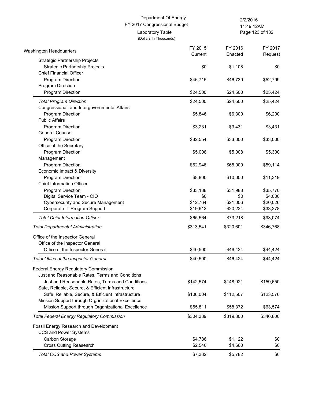#### FY 2017 Congressional Budget (Dollars In Thousands) Department Of Energy 2/2/2016 Laboratory Table

Page 123 of 132 11:49:12AM

| Washington Headquarters                            | FY 2015<br>Current | FY 2016<br>Enacted | FY 2017<br>Request |
|----------------------------------------------------|--------------------|--------------------|--------------------|
| <b>Strategic Partnership Projects</b>              |                    |                    |                    |
| Strategic Partnership Projects                     | \$0                | \$1,108            | \$0                |
| <b>Chief Financial Officer</b>                     |                    |                    |                    |
| Program Direction                                  | \$46,715           | \$46,739           | \$52,799           |
| Program Direction                                  |                    |                    |                    |
| Program Direction                                  | \$24,500           | \$24,500           | \$25,424           |
| <b>Total Program Direction</b>                     | \$24,500           | \$24,500           | \$25,424           |
| Congressional, and Intergovernmental Affairs       |                    |                    |                    |
| Program Direction                                  | \$5,846            | \$6,300            | \$6,200            |
| <b>Public Affairs</b>                              |                    |                    |                    |
| Program Direction                                  | \$3,231            | \$3,431            | \$3,431            |
| <b>General Counsel</b>                             |                    |                    |                    |
| Program Direction                                  | \$32,554           | \$33,000           | \$33,000           |
| Office of the Secretary                            |                    |                    |                    |
| Program Direction                                  | \$5,008            | \$5,008            | \$5,300            |
| Management                                         |                    |                    |                    |
| Program Direction                                  | \$62,946           | \$65,000           | \$59,114           |
| Economic Impact & Diversity                        |                    |                    |                    |
| Program Direction                                  | \$8,800            | \$10,000           | \$11,319           |
| <b>Chief Information Officer</b>                   |                    |                    |                    |
| Program Direction                                  | \$33,188           | \$31,988           | \$35,770           |
| Digital Service Team - CIO                         | \$0                | \$0                | \$4,000            |
| <b>Cybersecurity and Secure Management</b>         | \$12,764           | \$21,006           | \$20,026           |
| Corporate IT Program Support                       | \$19,612           | \$20,224           | \$33,278           |
| <b>Total Chief Information Officer</b>             | \$65,564           | \$73,218           | \$93,074           |
| <b>Total Departmental Administration</b>           | \$313,541          | \$320,601          | \$346,768          |
| Office of the Inspector General                    |                    |                    |                    |
| Office of the Inspector General                    |                    |                    |                    |
| Office of the Inspector General                    | \$40,500           | \$46,424           | \$44,424           |
| Total Office of the Inspector General              | \$40,500           | \$46,424           | \$44,424           |
| Federal Energy Regulatory Commission               |                    |                    |                    |
| Just and Reasonable Rates, Terms and Conditions    |                    |                    |                    |
| Just and Reasonable Rates, Terms and Conditions    | \$142,574          | \$148,921          | \$159,650          |
| Safe, Reliable, Secure, & Efficient Infrastructure |                    |                    |                    |
| Safe, Reliable, Secure, & Efficient Infrastructure | \$106,004          | \$112,507          | \$123,576          |
| Mission Support through Organizational Excellence  |                    |                    |                    |
| Mission Support through Organizational Excellence  | \$55,811           | \$58,372           | \$63,574           |
| <b>Total Federal Energy Regulatory Commission</b>  | \$304,389          | \$319,800          | \$346,800          |
|                                                    |                    |                    |                    |
| Fossil Energy Research and Development             |                    |                    |                    |
| CCS and Power Systems                              |                    |                    |                    |
| Carbon Storage                                     | \$4,786            | \$1,122            | \$0                |
| <b>Cross Cutting Reasearch</b>                     | \$2,546            | \$4,660            | \$0                |
| <b>Total CCS and Power Systems</b>                 | \$7,332            | \$5,782            | \$0                |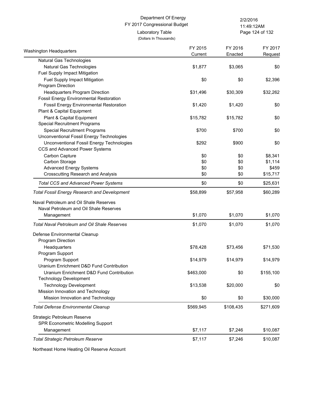#### FY 2017 Congressional Budget (Dollars In Thousands) Department Of Energy 2/2/2016 Laboratory Table

Page 124 of 132 11:49:12AM

|                                                                                                                                         | FY 2015   | FY 2016   | FY 2017   |
|-----------------------------------------------------------------------------------------------------------------------------------------|-----------|-----------|-----------|
| Washington Headquarters                                                                                                                 | Current   | Enacted   | Request   |
| Natural Gas Technologies                                                                                                                |           |           |           |
| Natural Gas Technologies                                                                                                                | \$1,877   | \$3,065   | \$0       |
| Fuel Supply Impact Mitigation                                                                                                           |           |           |           |
| Fuel Supply Impact Mitigation                                                                                                           | \$0       | \$0       | \$2,396   |
| Program Direction                                                                                                                       |           |           |           |
| Headquarters Program Direction                                                                                                          | \$31,496  | \$30,309  | \$32,262  |
| <b>Fossil Energy Environmental Restoration</b>                                                                                          |           |           |           |
| <b>Fossil Energy Environmental Restoration</b>                                                                                          | \$1,420   | \$1,420   | \$0       |
| Plant & Capital Equipment                                                                                                               |           |           |           |
| Plant & Capital Equipment                                                                                                               | \$15,782  | \$15,782  | \$0       |
| <b>Special Recruitment Programs</b>                                                                                                     |           |           |           |
| <b>Special Recruitment Programs</b>                                                                                                     | \$700     | \$700     | \$0       |
| Unconventional Fossil Energy Technologies                                                                                               |           |           |           |
| Unconventional Fossil Energy Technologies                                                                                               | \$292     | \$900     | \$0       |
| CCS and Advanced Power Systems                                                                                                          |           |           |           |
| Carbon Capture                                                                                                                          | \$0       | \$0       | \$8,341   |
| Carbon Storage                                                                                                                          | \$0       | \$0       | \$1,114   |
| <b>Advanced Energy Systems</b>                                                                                                          | \$0       | \$0       | \$459     |
| <b>Crosscutting Research and Analysis</b>                                                                                               | \$0       | \$0       | \$15,717  |
| <b>Total CCS and Advanced Power Systems</b>                                                                                             | \$0       | \$0       | \$25,631  |
| <b>Total Fossil Energy Research and Development</b><br>Naval Petroleum and Oil Shale Reserves<br>Naval Petroleum and Oil Shale Reserves |           |           |           |
| Management                                                                                                                              | \$1,070   | \$1,070   | \$1,070   |
|                                                                                                                                         |           |           |           |
| <b>Total Naval Petroleum and Oil Shale Reserves</b>                                                                                     | \$1,070   | \$1,070   | \$1,070   |
| Defense Environmental Cleanup                                                                                                           |           |           |           |
| Program Direction                                                                                                                       |           |           |           |
| Headquarters                                                                                                                            | \$78,428  | \$73,456  | \$71,530  |
| Program Support                                                                                                                         |           |           |           |
| Program Support                                                                                                                         | \$14,979  | \$14,979  | \$14,979  |
| Uranium Enrichment D&D Fund Contribution                                                                                                |           |           |           |
| Uranium Enrichment D&D Fund Contribution                                                                                                | \$463,000 | \$0       | \$155,100 |
| <b>Technology Development</b>                                                                                                           |           |           |           |
| <b>Technology Development</b>                                                                                                           | \$13,538  | \$20,000  | \$0       |
| Mission Innovation and Technology                                                                                                       |           |           |           |
| Mission Innovation and Technology                                                                                                       | \$0       | \$0       | \$30,000  |
| <b>Total Defense Environmental Cleanup</b>                                                                                              | \$569,945 | \$108,435 | \$271,609 |
| Strategic Petroleum Reserve                                                                                                             |           |           |           |
| SPR Econometric Modelling Support                                                                                                       |           |           |           |
| Management                                                                                                                              | \$7,117   | \$7,246   | \$10,087  |
| <b>Total Strategic Petroleum Reserve</b>                                                                                                | \$7,117   | \$7,246   | \$10,087  |
|                                                                                                                                         |           |           |           |

Northeast Home Heating Oil Reserve Account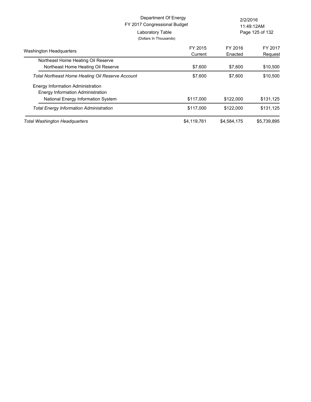| Department Of Energy<br>FY 2017 Congressional Budget<br>Laboratory Table      |                                   | 2/2/2016<br>11:49:12AM<br>Page 125 of 132 |             |
|-------------------------------------------------------------------------------|-----------------------------------|-------------------------------------------|-------------|
| <b>Washington Headquarters</b>                                                | (Dollars In Thousands)<br>FY 2015 | FY 2016                                   | FY 2017     |
|                                                                               | Current                           | Enacted                                   | Request     |
| Northeast Home Heating Oil Reserve                                            |                                   |                                           |             |
| Northeast Home Heating Oil Reserve                                            | \$7,600                           | \$7,600                                   | \$10,500    |
| Total Northeast Home Heating Oil Reserve Account                              | \$7,600                           | \$7,600                                   | \$10,500    |
| Energy Information Administration<br><b>Energy Information Administration</b> |                                   |                                           |             |
| National Energy Information System                                            | \$117,000                         | \$122,000                                 | \$131,125   |
| <b>Total Energy Information Administration</b>                                | \$117,000                         | \$122,000                                 | \$131,125   |
| Total Washington Headquarters                                                 | \$4,119,761                       | \$4,584,175                               | \$5,739,895 |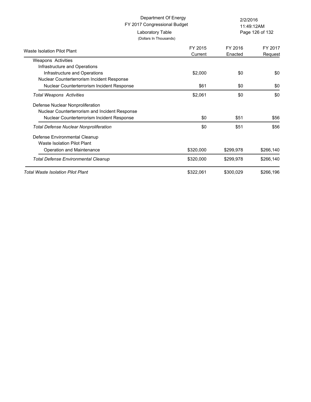(Dollars In Thousands)

Page 126 of 132 11:49:12AM

| Waste Isolation Pilot Plant                    | FY 2015<br>Current | FY 2016<br>Enacted | FY 2017<br>Request |
|------------------------------------------------|--------------------|--------------------|--------------------|
| <b>Weapons Activities</b>                      |                    |                    |                    |
| Infrastructure and Operations                  |                    |                    |                    |
| Infrastructure and Operations                  | \$2,000            | \$0                | \$0                |
| Nuclear Counterterrorism Incident Response     |                    |                    |                    |
| Nuclear Counterterrorism Incident Response     | \$61               | \$0                | \$0                |
| Total Weapons Activities                       | \$2,061            | \$0                | \$0                |
| Defense Nuclear Nonproliferation               |                    |                    |                    |
| Nuclear Counterterrorism and Incident Response |                    |                    |                    |
| Nuclear Counterterrorism Incident Response     | \$0                | \$51               | \$56               |
| Total Defense Nuclear Nonproliferation         | \$0                | \$51               | \$56               |
| Defense Environmental Cleanup                  |                    |                    |                    |
| Waste Isolation Pilot Plant                    |                    |                    |                    |
| Operation and Maintenance                      | \$320,000          | \$299,978          | \$266,140          |
| Total Defense Environmental Cleanup            | \$320,000          | \$299,978          | \$266,140          |
| <b>Total Waste Isolation Pilot Plant</b>       | \$322,061          | \$300,029          | \$266,196          |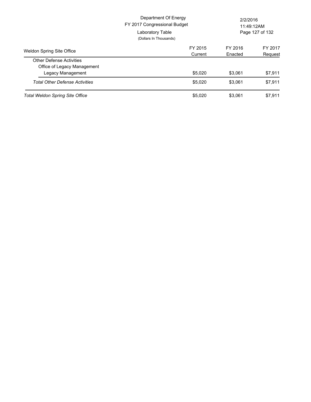|                                        | Department Of Energy<br>FY 2017 Congressional Budget<br>Laboratory Table<br>(Dollars In Thousands) | 2/2/2016<br>11:49:12AM<br>Page 127 of 132 |         |
|----------------------------------------|----------------------------------------------------------------------------------------------------|-------------------------------------------|---------|
| <b>Weldon Spring Site Office</b>       | FY 2015                                                                                            | FY 2016                                   | FY 2017 |
|                                        | Current                                                                                            | Enacted                                   | Request |
| <b>Other Defense Activities</b>        |                                                                                                    |                                           |         |
| Office of Legacy Management            |                                                                                                    |                                           |         |
| Legacy Management                      | \$5.020                                                                                            | \$3.061                                   | \$7,911 |
| <b>Total Other Defense Activities</b>  | \$5.020                                                                                            | \$3.061                                   | \$7,911 |
| <b>Total Weldon Spring Site Office</b> | \$5.020                                                                                            | \$3.061                                   | \$7,911 |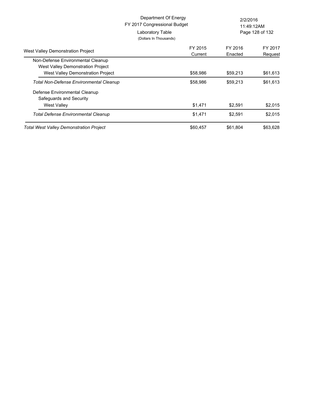|                                                                                                             | Department Of Energy<br>FY 2017 Congressional Budget<br>Laboratory Table<br>(Dollars In Thousands) |                    | 2/2/2016<br>11:49:12AM<br>Page 128 of 132 |  |
|-------------------------------------------------------------------------------------------------------------|----------------------------------------------------------------------------------------------------|--------------------|-------------------------------------------|--|
| West Valley Demonstration Project                                                                           | FY 2015<br>Current                                                                                 | FY 2016<br>Enacted | FY 2017<br>Request                        |  |
| Non-Defense Environmental Cleanup<br>West Valley Demonstration Project<br>West Valley Demonstration Project | \$58,986                                                                                           | \$59,213           | \$61,613                                  |  |
| Total Non-Defense Environmental Cleanup                                                                     | \$58,986                                                                                           | \$59,213           | \$61,613                                  |  |
| Defense Environmental Cleanup<br>Safeguards and Security<br><b>West Valley</b>                              | \$1,471                                                                                            | \$2,591            | \$2,015                                   |  |
| Total Defense Environmental Cleanup                                                                         | \$1,471                                                                                            | \$2,591            | \$2.015                                   |  |
| <b>Total West Valley Demonstration Project</b>                                                              | \$60,457                                                                                           | \$61,804           | \$63,628                                  |  |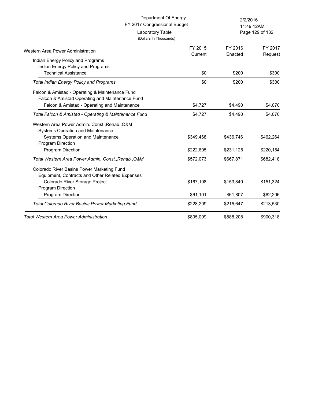Page 129 of 132 11:49:12AM

| $cos\theta$ , $sin\theta$ , $sin\theta$ |
|-----------------------------------------|
| (Dollars In Thousands)                  |

| Western Area Power Administration                       | FY 2015<br>Current | FY 2016<br>Enacted | FY 2017<br>Request |
|---------------------------------------------------------|--------------------|--------------------|--------------------|
| Indian Energy Policy and Programs                       |                    |                    |                    |
| Indian Energy Policy and Programs                       |                    |                    |                    |
| <b>Technical Assistance</b>                             | \$0                | \$200              | \$300              |
| <b>Total Indian Energy Policy and Programs</b>          | \$0                | \$200              | \$300              |
| Falcon & Amistad - Operating & Maintenance Fund         |                    |                    |                    |
| Falcon & Amistad Operating and Maintenance Fund         |                    |                    |                    |
| Falcon & Amistad - Operating and Maintenance            | \$4,727            | \$4,490            | \$4,070            |
| Total Falcon & Amistad - Operating & Maintenance Fund   | \$4,727            | \$4,490            | \$4,070            |
| Western Area Power Admin. Const., Rehab., O&M           |                    |                    |                    |
| Systems Operation and Maintenance                       |                    |                    |                    |
| Systems Operation and Maintenance                       | \$349,468          | \$436,746          | \$462,264          |
| <b>Program Direction</b>                                |                    |                    |                    |
| Program Direction                                       | \$222,605          | \$231,125          | \$220,154          |
| Total Western Area Power Admin. Const., Rehab., O&M     | \$572,073          | \$667,871          | \$682,418          |
| Colorado River Basins Power Marketing Fund              |                    |                    |                    |
| Equipment, Contracts and Other Related Expenses         |                    |                    |                    |
| Colorado River Storage Project                          | \$167,108          | \$153,840          | \$151,324          |
| <b>Program Direction</b>                                |                    |                    |                    |
| <b>Program Direction</b>                                | \$61,101           | \$61,807           | \$62,206           |
| <b>Total Colorado River Basins Power Marketing Fund</b> | \$228,209          | \$215,647          | \$213,530          |
| Total Western Area Power Administration                 | \$805,009          | \$888,208          | \$900,318          |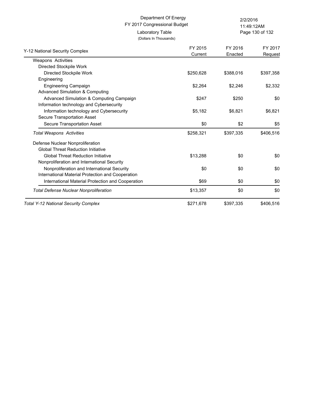(Dollars In Thousands)

Laboratory Table

Page 130 of 132 11:49:12AM

| Y-12 National Security Complex                    | FY 2015<br>Current | FY 2016<br>Enacted | FY 2017<br>Request |
|---------------------------------------------------|--------------------|--------------------|--------------------|
| <b>Weapons Activities</b>                         |                    |                    |                    |
| Directed Stockpile Work                           |                    |                    |                    |
| Directed Stockpile Work                           | \$250,628          | \$388,016          | \$397,358          |
| Engineering                                       |                    |                    |                    |
| <b>Engineering Campaign</b>                       | \$2,264            | \$2,246            | \$2,332            |
| Advanced Simulation & Computing                   |                    |                    |                    |
| Advanced Simulation & Computing Campaign          | \$247              | \$250              | \$0                |
| Information technology and Cybersecurity          |                    |                    |                    |
| Information technology and Cybersecurity          | \$5,182            | \$6,821            | \$6,821            |
| Secure Transportation Asset                       |                    |                    |                    |
| Secure Transportation Asset                       | \$0                | \$2                | \$5                |
| <b>Total Weapons Activities</b>                   | \$258,321          | \$397,335          | \$406,516          |
| Defense Nuclear Nonproliferation                  |                    |                    |                    |
| <b>Global Threat Reduction Initiative</b>         |                    |                    |                    |
| <b>Global Threat Reduction Initiative</b>         | \$13,288           | \$0                | \$0                |
| Nonproliferation and International Security       |                    |                    |                    |
| Nonproliferation and International Security       | \$0                | \$0                | \$0                |
| International Material Protection and Cooperation |                    |                    |                    |
| International Material Protection and Cooperation | \$69               | \$0                | \$0                |
| <b>Total Defense Nuclear Nonproliferation</b>     | \$13,357           | \$0                | \$0                |
| <b>Total Y-12 National Security Complex</b>       | \$271,678          | \$397.335          | \$406.516          |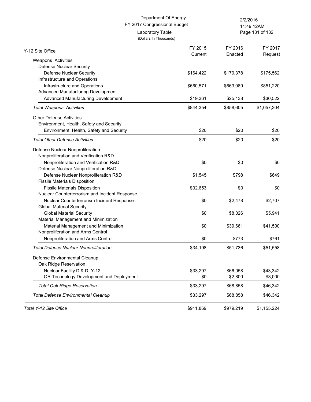(Dollars In Thousands)

Laboratory Table

Page 131 of 132 11:49:12AM

| Y-12 Site Office                               | FY 2015<br>Current | FY 2016<br>Enacted | FY 2017<br>Request |
|------------------------------------------------|--------------------|--------------------|--------------------|
| Weapons Activities                             |                    |                    |                    |
| Defense Nuclear Security                       |                    |                    |                    |
| <b>Defense Nuclear Security</b>                | \$164,422          | \$170,378          | \$175,562          |
| Infrastructure and Operations                  |                    |                    |                    |
| Infrastructure and Operations                  | \$660,571          | \$663,089          | \$851,220          |
| Advanced Manufacturing Development             |                    |                    |                    |
| Advanced Manufacturing Development             | \$19,361           | \$25,138           | \$30,522           |
| <b>Total Weapons Activities</b>                | \$844,354          | \$858,605          | \$1,057,304        |
| <b>Other Defense Activities</b>                |                    |                    |                    |
| Environment, Health, Safety and Security       |                    |                    |                    |
| Environment, Health, Safety and Security       | \$20               | \$20               | \$20               |
| <b>Total Other Defense Activities</b>          | \$20               | \$20               | \$20               |
| Defense Nuclear Nonproliferation               |                    |                    |                    |
| Nonproliferation and Verification R&D          |                    |                    |                    |
| Nonproliferation and Verification R&D          | \$0                | \$0                | \$0                |
| Defense Nuclear Nonproliferation R&D           |                    |                    |                    |
| Defense Nuclear Nonproliferation R&D           | \$1,545            | \$798              | \$649              |
| <b>Fissile Materials Disposition</b>           |                    |                    |                    |
| <b>Fissile Materials Disposition</b>           | \$32,653           | \$0                | \$0                |
| Nuclear Counterterrorism and Incident Response |                    |                    |                    |
| Nuclear Counterterrorism Incident Response     | \$0                | \$2,478            | \$2,707            |
| <b>Global Material Security</b>                |                    |                    |                    |
| <b>Global Material Security</b>                | \$0                | \$8,026            | \$5,941            |
| Material Management and Minimization           |                    |                    |                    |
| Material Management and Minimization           | \$0                | \$39,661           | \$41,500           |
| Nonproliferation and Arms Control              |                    |                    |                    |
| Nonproliferation and Arms Control              | \$0                | \$773              | \$761              |
| <b>Total Defense Nuclear Nonproliferation</b>  | \$34,198           | \$51,736           | \$51,558           |
| Defense Environmental Cleanup                  |                    |                    |                    |
| Oak Ridge Reservation                          |                    |                    |                    |
| Nuclear Facility D & D, Y-12                   | \$33,297           | \$66,058           | \$43,342           |
| OR Technology Development and Deployment       | \$0                | \$2,800            | \$3,000            |
| <b>Total Oak Ridge Reservation</b>             | \$33,297           | \$68,858           | \$46,342           |
| <b>Total Defense Environmental Cleanup</b>     | \$33,297           | \$68,858           | \$46,342           |
| Total Y-12 Site Office                         | \$911,869          | \$979,219          | \$1,155,224        |